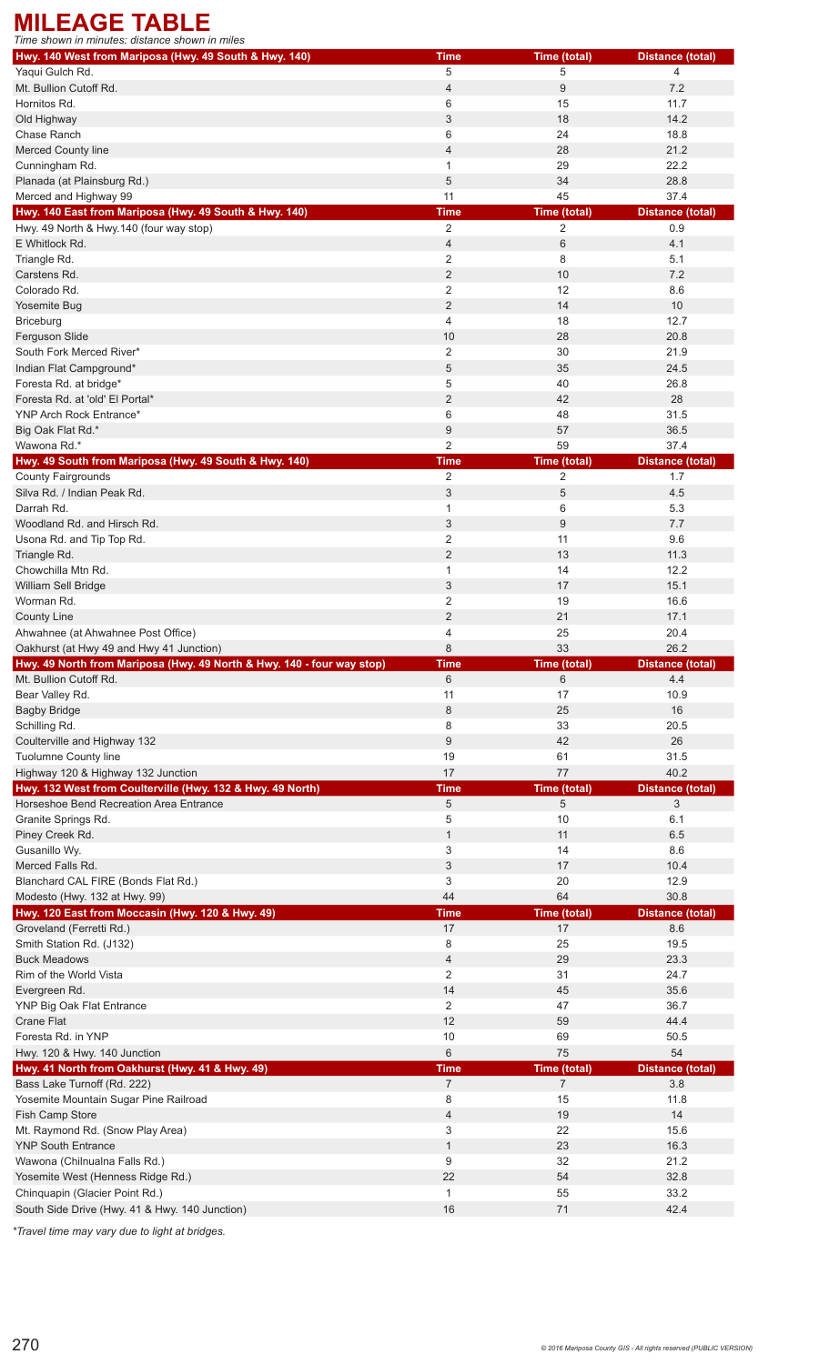## **MILEAGE TABLE**

| Time shown in minutes: distance shown in miles                                   |                    |                |                         |
|----------------------------------------------------------------------------------|--------------------|----------------|-------------------------|
| Hwy. 140 West from Mariposa (Hwy. 49 South & Hwy. 140)                           | <b>Time</b>        | Time (total)   | <b>Distance (total)</b> |
| Yaqui Gulch Rd.                                                                  | 5                  | 5              | 4                       |
| Mt. Bullion Cutoff Rd.                                                           | $\overline{4}$     | 9              | 7.2                     |
| Hornitos Rd.                                                                     | 6                  | 15             | 11.7                    |
| Old Highway                                                                      | 3                  | 18             | 14.2                    |
| Chase Ranch                                                                      | 6                  | 24             | 18.8                    |
| Merced County line                                                               | 4                  | 28             | 21.2                    |
| Cunningham Rd.                                                                   | $\mathbf{1}$       | 29             | 22.2                    |
| Planada (at Plainsburg Rd.)                                                      | 5                  | 34             | 28.8                    |
| Merced and Highway 99                                                            | 11                 | 45             | 37.4                    |
| Hwy. 140 East from Mariposa (Hwy. 49 South & Hwy. 140)                           | <b>Time</b>        | Time (total)   | <b>Distance (total)</b> |
| Hwy. 49 North & Hwy.140 (four way stop)                                          | 2                  | 2              | 0.9                     |
| E Whitlock Rd.                                                                   | 4                  | 6              | 4.1                     |
| Triangle Rd.                                                                     | 2                  | 8              | 5.1                     |
| Carstens Rd.                                                                     | $\overline{2}$     | 10             | 7.2                     |
| Colorado Rd.                                                                     | $\overline{2}$     | 12             | 8.6                     |
| Yosemite Bug                                                                     | $\overline{2}$     | 14             | 10                      |
| <b>Briceburg</b>                                                                 | 4                  | 18             | 12.7                    |
| Ferguson Slide                                                                   | 10                 | 28             | 20.8                    |
| South Fork Merced River*                                                         | 2                  | 30             | 21.9                    |
|                                                                                  |                    |                |                         |
| Indian Flat Campground*                                                          | 5                  | 35             | 24.5                    |
| Foresta Rd. at bridge*                                                           | 5                  | 40             | 26.8                    |
| Foresta Rd. at 'old' El Portal*                                                  | $\overline{2}$     | 42             | 28                      |
| YNP Arch Rock Entrance*                                                          | 6                  | 48             | 31.5                    |
| Big Oak Flat Rd.*                                                                | 9                  | 57             | 36.5                    |
| Wawona Rd.*                                                                      | $\overline{2}$     | 59             | 37.4                    |
| Hwy. 49 South from Mariposa (Hwy. 49 South & Hwy. 140)                           | <b>Time</b>        | Time (total)   | <b>Distance (total)</b> |
| <b>County Fairgrounds</b>                                                        | $\overline{2}$     | $\overline{2}$ | 1.7                     |
| Silva Rd. / Indian Peak Rd.                                                      | 3                  | 5              | 4.5                     |
| Darrah Rd.                                                                       | $\mathbf{1}$       | 6              | 5.3                     |
| Woodland Rd. and Hirsch Rd.                                                      | 3                  | 9              | 7.7                     |
| Usona Rd. and Tip Top Rd.                                                        | 2                  | 11             | 9.6                     |
| Triangle Rd.                                                                     | $\overline{2}$     | 13             | 11.3                    |
| Chowchilla Mtn Rd.                                                               | $\mathbf{1}$       | 14             | 12.2                    |
| William Sell Bridge                                                              | 3                  | 17             | 15.1                    |
| Worman Rd.                                                                       | 2                  | 19             | 16.6                    |
| <b>County Line</b>                                                               | $\overline{2}$     | 21             | 17.1                    |
| Ahwahnee (at Ahwahnee Post Office)                                               | 4                  | 25             | 20.4                    |
| Oakhurst (at Hwy 49 and Hwy 41 Junction)                                         | 8                  | 33             | 26.2                    |
| Hwy. 49 North from Mariposa (Hwy. 49 North & Hwy. 140 - four way stop)           | <b>Time</b>        | Time (total)   | <b>Distance (total)</b> |
| Mt. Bullion Cutoff Rd.                                                           | 6                  | 6              | 4.4                     |
| Bear Valley Rd.                                                                  | 11                 | 17             | 10.9                    |
| <b>Bagby Bridge</b>                                                              | 8                  | 25             | 16                      |
| Schilling Rd.                                                                    | 8                  | 33             | 20.5                    |
| Coulterville and Highway 132                                                     | 9                  | 42             | 26                      |
| Tuolumne County line                                                             | 19                 | 61             | 31.5                    |
| Highway 120 & Highway 132 Junction                                               | 17                 | 77             | 40.2                    |
| Hwy. 132 West from Coulterville (Hwy. 132 & Hwy. 49 North)                       | <b>Time</b>        | Time (total)   | <b>Distance (total)</b> |
| Horseshoe Bend Recreation Area Entrance                                          | 5                  | 5              | 3                       |
|                                                                                  |                    |                |                         |
| Granite Springs Rd.                                                              | 5                  | 10             | 6.1                     |
| Piney Creek Rd.                                                                  | $\mathbf{1}$       | 11             | 6.5                     |
| Gusanillo Wy.                                                                    | 3                  | 14             | 8.6                     |
| Merced Falls Rd.                                                                 | 3                  | 17             | 10.4                    |
| Blanchard CAL FIRE (Bonds Flat Rd.)                                              | 3                  | 20             | 12.9                    |
| Modesto (Hwy. 132 at Hwy. 99)                                                    | 44                 | 64             | 30.8                    |
| Hwy. 120 East from Moccasin (Hwy. 120 & Hwy. 49)                                 | <b>Time</b>        | Time (total)   | <b>Distance (total)</b> |
| Groveland (Ferretti Rd.)                                                         | 17                 | 17             | 8.6                     |
| Smith Station Rd. (J132)                                                         | 8                  | 25             | 19.5                    |
| <b>Buck Meadows</b>                                                              | $\overline{4}$     | 29             | 23.3                    |
| Rim of the World Vista                                                           | 2                  | 31             | 24.7                    |
| Evergreen Rd.                                                                    | 14                 | 45             | 35.6                    |
| YNP Big Oak Flat Entrance                                                        | 2                  | 47             | 36.7                    |
| Crane Flat                                                                       | 12                 | 59             | 44.4                    |
| Foresta Rd. in YNP                                                               | 10                 | 69             | 50.5                    |
| Hwy. 120 & Hwy. 140 Junction                                                     | 6                  | 75             | 54                      |
| Hwy. 41 North from Oakhurst (Hwy. 41 & Hwy. 49)                                  | <b>Time</b>        | Time (total)   | <b>Distance (total)</b> |
| Bass Lake Turnoff (Rd. 222)                                                      | $\overline{7}$     | $\overline{7}$ | 3.8                     |
| Yosemite Mountain Sugar Pine Railroad                                            | 8                  | 15             | 11.8                    |
| Fish Camp Store                                                                  | 4                  | 19             | 14                      |
| Mt. Raymond Rd. (Snow Play Area)                                                 | 3                  | 22             | 15.6                    |
| <b>YNP South Entrance</b>                                                        | $\mathbf{1}$       | 23             | 16.3                    |
| Wawona (Chilnualna Falls Rd.)                                                    |                    |                |                         |
|                                                                                  |                    |                |                         |
|                                                                                  | 9                  | 32             | 21.2                    |
| Yosemite West (Henness Ridge Rd.)                                                | 22                 | 54             | 32.8                    |
| Chinquapin (Glacier Point Rd.)<br>South Side Drive (Hwy. 41 & Hwy. 140 Junction) | $\mathbf{1}$<br>16 | 55<br>71       | 33.2<br>42.4            |

*\*Travel time may vary due to light at bridges.*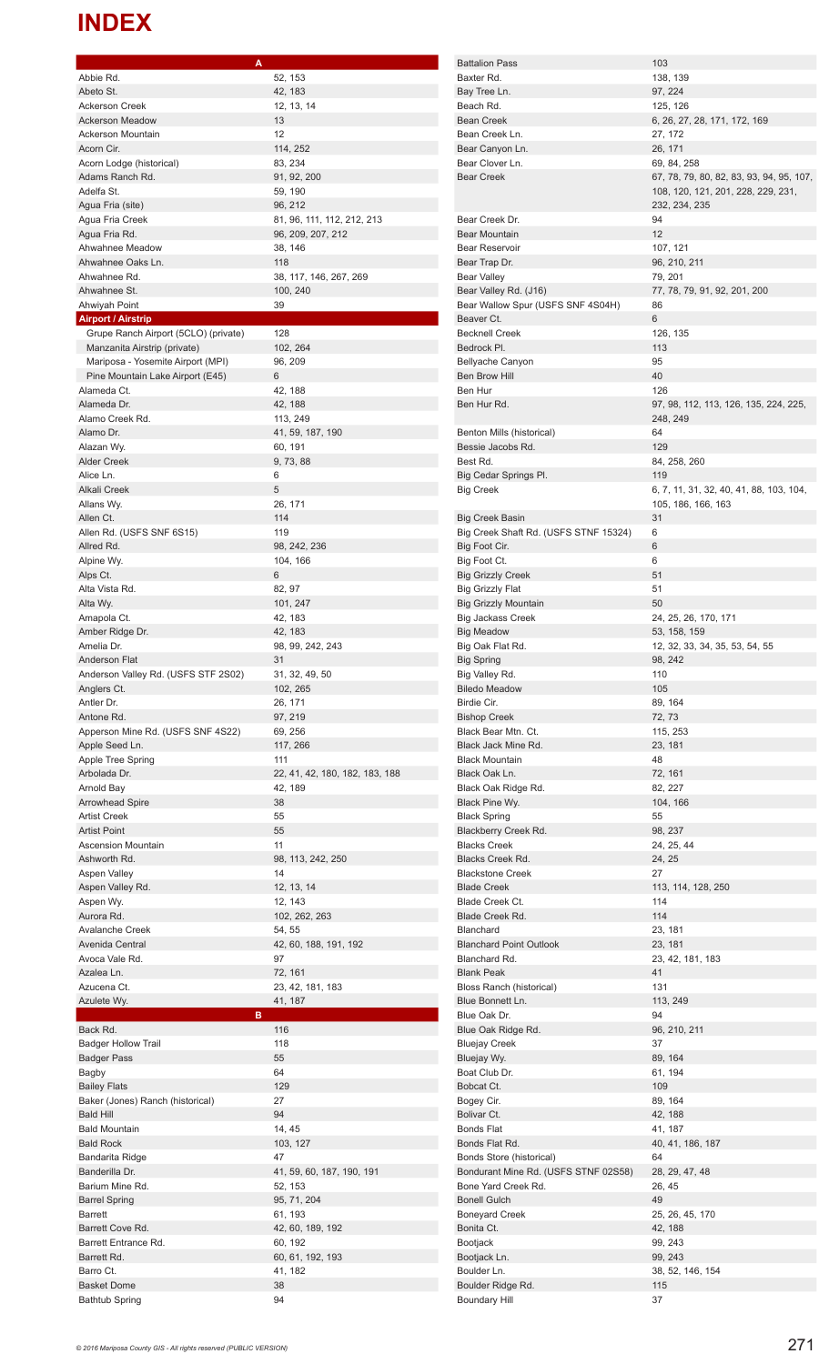## **INDEX**

| Abbie Rd.                                   | 52, 153                            |
|---------------------------------------------|------------------------------------|
| Abeto St.                                   | 42, 183                            |
| <b>Ackerson Creek</b>                       | 12, 13, 14                         |
| <b>Ackerson Meadow</b>                      | 13                                 |
| <b>Ackerson Mountain</b>                    | 12                                 |
| Acorn Cir.                                  | 114, 252                           |
| Acorn Lodge (historical)                    | 83, 234                            |
| Adams Ranch Rd.                             | 91, 92, 200                        |
| Adelfa St.                                  | 59, 190                            |
| Agua Fria (site)                            | 96, 212                            |
| Agua Fria Creek                             | 81, 96, 111, 112, 212, 213         |
| Agua Fria Rd.                               | 96, 209, 207, 212                  |
| Ahwahnee Meadow                             | 38, 146                            |
| Ahwahnee Oaks Ln.                           | 118                                |
| Ahwahnee Rd.<br>Ahwahnee St.                | 38, 117, 146, 267, 269<br>100, 240 |
| Ahwiyah Point                               | 39                                 |
| <b>Airport / Airstrip</b>                   |                                    |
| Grupe Ranch Airport (5CLO) (private)        | 128                                |
| Manzanita Airstrip (private)                | 102, 264                           |
| Mariposa - Yosemite Airport (MPI)           | 96, 209                            |
| Pine Mountain Lake Airport (E45)            | 6                                  |
| Alameda Ct.                                 | 42, 188                            |
| Alameda Dr.                                 | 42, 188                            |
| Alamo Creek Rd.                             | 113, 249                           |
| Alamo Dr.                                   | 41, 59, 187, 190                   |
| Alazan Wy.                                  | 60, 191                            |
| <b>Alder Creek</b>                          | 9, 73, 88                          |
| Alice Ln.                                   | 6                                  |
| Alkali Creek                                | 5                                  |
| Allans Wy.                                  | 26, 171                            |
| Allen Ct.                                   | 114                                |
| Allen Rd. (USFS SNF 6S15)                   | 119                                |
| Allred Rd.                                  | 98, 242, 236                       |
| Alpine Wy.                                  | 104, 166                           |
| Alps Ct.                                    | 6                                  |
| Alta Vista Rd.                              | 82, 97                             |
| Alta Wy.                                    | 101, 247                           |
| Amapola Ct.                                 | 42, 183                            |
| Amber Ridge Dr.                             | 42, 183                            |
| Amelia Dr.                                  | 98, 99, 242, 243                   |
| <b>Anderson Flat</b>                        | 31                                 |
| Anderson Valley Rd. (USFS STF 2S02)         | 31, 32, 49, 50                     |
| Anglers Ct.                                 | 102, 265                           |
| Antler Dr.                                  | 26, 171                            |
|                                             |                                    |
| Antone Rd.                                  | 97, 219                            |
| Apperson Mine Rd. (USFS SNF 4S22)           | 69, 256                            |
| Apple Seed Ln.                              | 117, 266                           |
| Apple Tree Spring                           | 111                                |
| Arbolada Dr.                                | 22, 41, 42, 180, 182, 183, 188     |
| Arnold Bay                                  | 42, 189                            |
| <b>Arrowhead Spire</b>                      | 38                                 |
| <b>Artist Creek</b>                         | 55                                 |
| <b>Artist Point</b>                         | 55                                 |
| <b>Ascension Mountain</b>                   | 11                                 |
| Ashworth Rd.                                | 98, 113, 242, 250                  |
| Aspen Valley                                | 14                                 |
| Aspen Valley Rd.                            | 12, 13, 14                         |
| Aspen Wy.                                   | 12, 143                            |
| Aurora Rd.                                  | 102, 262, 263                      |
| <b>Avalanche Creek</b>                      | 54, 55                             |
| Avenida Central                             | 42, 60, 188, 191, 192              |
| Avoca Vale Rd.                              | 97                                 |
| Azalea Ln.<br>Azucena Ct.                   | 72, 161                            |
|                                             | 23, 42, 181, 183                   |
| Azulete Wy.<br>в                            | 41, 187                            |
| Back Rd.                                    | 116                                |
| <b>Badger Hollow Trail</b>                  | 118                                |
| <b>Badger Pass</b>                          | 55                                 |
| Bagby                                       | 64                                 |
| <b>Bailey Flats</b>                         | 129                                |
| Baker (Jones) Ranch (historical)            | 27                                 |
| <b>Bald Hill</b>                            | 94                                 |
| <b>Bald Mountain</b>                        | 14, 45                             |
| <b>Bald Rock</b>                            | 103, 127                           |
| Bandarita Ridge                             | 47                                 |
| Banderilla Dr.                              | 41, 59, 60, 187, 190, 191          |
| Barium Mine Rd.                             | 52, 153                            |
| <b>Barrel Spring</b>                        | 95, 71, 204                        |
| <b>Barrett</b>                              | 61, 193                            |
| Barrett Cove Rd.                            | 42, 60, 189, 192                   |
| Barrett Entrance Rd.                        | 60, 192                            |
| Barrett Rd.                                 | 60, 61, 192, 193                   |
| Barro Ct.                                   | 41, 182                            |
| <b>Basket Dome</b><br><b>Bathtub Spring</b> | 38<br>94                           |

**A**

Battalion Pass 103<br>Baxter Rd. 138, 139 Baxter Rd. Bay Tree Ln. 97, 224<br>Beach Rd. 97, 224 Beach Rd. Bean Creek 6, 26, 27, 28, 171, 172, 169 Bean Creek Ln. 27, 172 Bear Canyon Ln. 26, 171 Bear Clover Ln. 69, 84, 258 Bear Creek 67, 78, 79, 80, 82, 83, 93, 94, 95, 107, 108, 120, 121, 201, 228, 229, 231, 232, 234, 235 Bear Creek Dr. 94 Bear Mountain 12 Bear Reservoir 107, 121 Bear Trap Dr. 96, 210, 211 Bear Valley 79, 201 Bear Valley Rd. (J16) 77, 78, 79, 91, 92, 201, 200 Bear Wallow Spur (USFS SNF 4S04H) 86 Beaver Ct. 6<br>Becknell Creek 6 126, 135 Becknell Creek Bedrock Pl. 113 Bellyache Canyon 95 Ben Brow Hill 40 Ben Hur 126 Ben Hur Rd. 1997, 98, 112, 113, 126, 135, 224, 225, 248, 249 Benton Mills (historical) 64<br>Bessie Jacobs Rd. (129) Bessie Jacobs Rd. Best Rd. 84, 258, 260 Big Cedar Springs Pl. 119 Big Creek 6, 7, 11, 31, 32, 40, 41, 88, 103, 104, 105, 186, 166, 163 Big Creek Basin 31 Big Creek Shaft Rd. (USFS STNF 15324) 6 Big Foot Cir. 6 Big Foot Ct. 6 Big Grizzly Creek 51 Big Grizzly Flat 51 Big Grizzly Mountain 50 Big Jackass Creek 24, 25, 26, 170, 171 Big Meadow 53, 158, 159 Big Oak Flat Rd. 12, 32, 33, 34, 35, 53, 54, 55 Big Spring 88, 242 Big Valley Rd. 110 Biledo Meadow **105** Birdie Cir. 69, 164 Bishop Creek 72, 73 Black Bear Mtn. Ct. 115, 253 Black Jack Mine Rd. 23, 181 Black Mountain<br>Black Oak Ln. 1999 - 1999 - 1999 - 1999 - 1999 - 1999 - 1999 - 1999 - 1999 - 1999 - 1999 - 1999 - 1999 - 1999 -Black Oak Ln. 72, 161<br>Black Oak Ridge Rd. 72, 227 Black Oak Ridge Rd. Black Pine Wy. 104, 166 Black Spring 55 Blackberry Creek Rd. 98, 237 Blacks Creek 24, 25, 44 Blacks Creek Rd. 24, 25 Blackstone Creek 27 Blade Creek 113, 114, 128, 250 Blade Creek Ct. 114 Blade Creek Rd. 114<br>Blanchard 23. 181 Blanchard Blanchard Point Outlook 23, 181 Blanchard Rd. 23, 42, 181, 183 Blank Peak **41** Bloss Ranch (historical) 131 Blue Bonnett Ln. 113, 249 Blue Oak Dr. (1994)<br>Blue Oak Ridge Rd. (1996) 1996, 210, 211 Blue Oak Ridge Rd. Bluejay Creek 37 Bluejay Wy. 89, 164 Boat Club Dr. 61, 194 Bobcat Ct. 109<br>Bogey Cir. 109<br>89, 164 Bogey Cir. Bolivar Ct. 42, 188 Bonds Flat 41, 187<br>Bonds Flat Rd. 40, 41, 40, 41, 40, 41, 186, 187 Bonds Store (historical) 64 Bondurant Mine Rd. (USFS STNF 02S58) 28, 29, 47, 48 Bone Yard Creek Rd. 26, 45 Bonell Gulch 49<br>Boneyard Creek 25, 26, 45, 170 Boneyard Creek Bonita Ct. 42, 188<br>Bootjack 89, 243 Bootjack Bootjack Ln. 99, 243 Boulder Ln. 38, 52, 146, 154 Boulder Ridge Rd. 115 Boundary Hill 37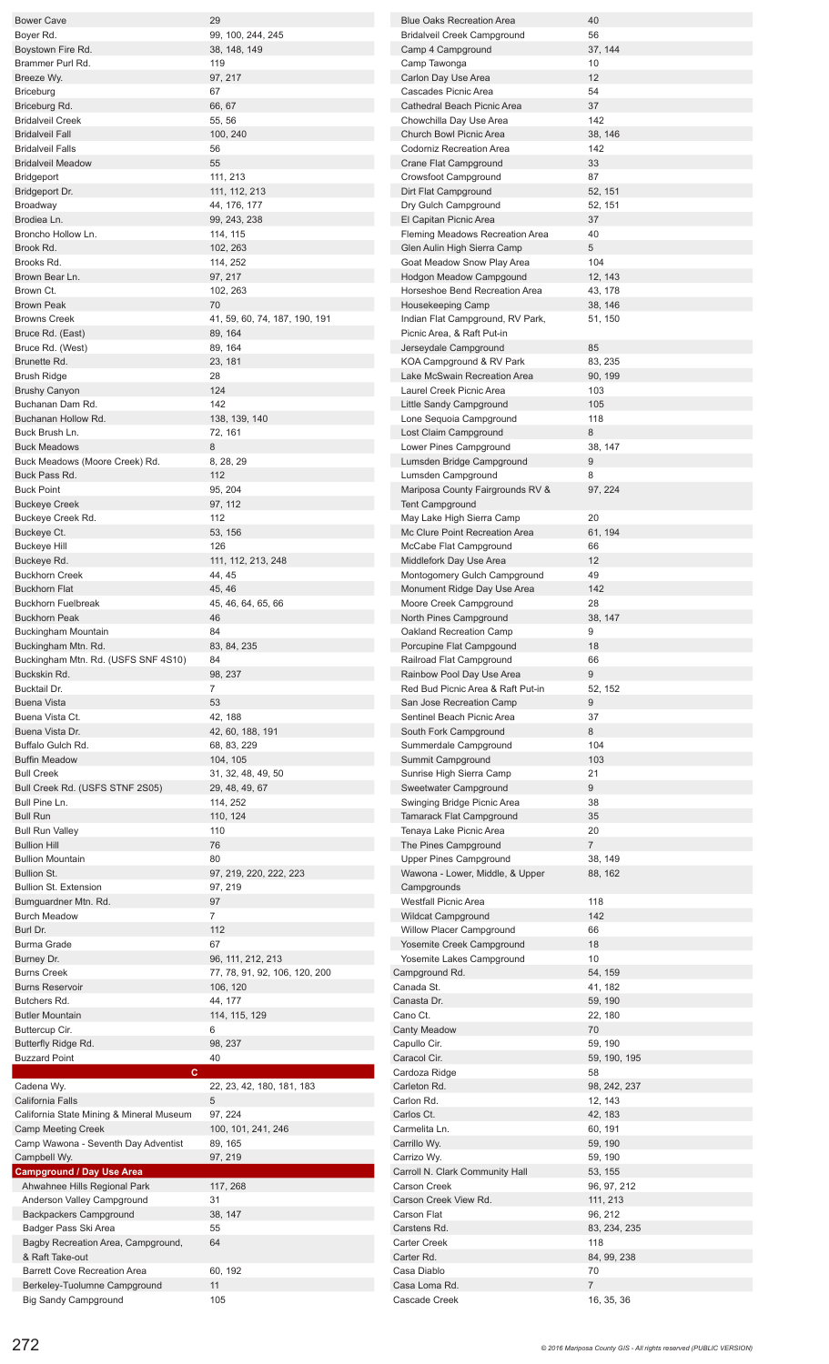| <b>Bower Cave</b>                                                                                                        | 29                            |
|--------------------------------------------------------------------------------------------------------------------------|-------------------------------|
| Boyer Rd.                                                                                                                | 99, 100, 244, 245             |
| Boystown Fire Rd.                                                                                                        | 38, 148, 149                  |
| Brammer Purl Rd.                                                                                                         | 119                           |
| Breeze Wv.                                                                                                               | 97, 217                       |
| <b>Briceburg</b>                                                                                                         | 67                            |
| Briceburg Rd.<br><b>Bridalveil Creek</b>                                                                                 | 66, 67<br>55, 56              |
| <b>Bridalveil Fall</b>                                                                                                   | 100, 240                      |
| <b>Bridalveil Falls</b>                                                                                                  | 56                            |
| <b>Bridalveil Meadow</b>                                                                                                 | 55                            |
| Bridgeport                                                                                                               | 111, 213                      |
| Bridgeport Dr.                                                                                                           | 111, 112, 213                 |
| Broadway                                                                                                                 | 44, 176, 177                  |
| Brodiea Ln.                                                                                                              | 99, 243, 238                  |
| Broncho Hollow Ln.                                                                                                       | 114, 115                      |
| Brook Rd.                                                                                                                | 102, 263                      |
| Brooks Rd.<br>Brown Bear Ln.                                                                                             | 114, 252                      |
| Brown Ct.                                                                                                                | 97, 217<br>102, 263           |
| <b>Brown Peak</b>                                                                                                        | 70                            |
| <b>Browns Creek</b>                                                                                                      | 41, 59, 60, 74, 187, 190, 191 |
| Bruce Rd. (East)                                                                                                         | 89, 164                       |
| Bruce Rd. (West)                                                                                                         | 89.164                        |
| Brunette Rd.                                                                                                             | 23, 181                       |
| <b>Brush Ridge</b>                                                                                                       | 28                            |
| <b>Brushy Canyon</b>                                                                                                     | 124                           |
| Buchanan Dam Rd.                                                                                                         | 142                           |
| Buchanan Hollow Rd.                                                                                                      | 138, 139, 140                 |
| Buck Brush Ln.                                                                                                           | 72, 161                       |
| <b>Buck Meadows</b>                                                                                                      | 8                             |
| Buck Meadows (Moore Creek) Rd.                                                                                           | 8, 28, 29                     |
| Buck Pass Rd.<br><b>Buck Point</b>                                                                                       | 112<br>95, 204                |
| <b>Buckeye Creek</b>                                                                                                     | 97, 112                       |
| Buckeye Creek Rd.                                                                                                        | 112                           |
| Buckeye Ct.                                                                                                              | 53, 156                       |
| <b>Buckeye Hill</b>                                                                                                      | 126                           |
| Buckeye Rd.                                                                                                              | 111, 112, 213, 248            |
| <b>Buckhorn Creek</b>                                                                                                    | 44, 45                        |
| <b>Buckhorn Flat</b>                                                                                                     | 45, 46                        |
| <b>Buckhorn Fuelbreak</b>                                                                                                | 45, 46, 64, 65, 66            |
| <b>Buckhorn Peak</b>                                                                                                     | 46                            |
| Buckingham Mountain                                                                                                      | 84                            |
| Buckingham Mtn. Rd.                                                                                                      | 83, 84, 235<br>84             |
| Buckingham Mtn. Rd. (USFS SNF 4S10)<br>Buckskin Rd.                                                                      | 98, 237                       |
| Bucktail Dr.                                                                                                             | $\overline{7}$                |
| <b>Buena Vista</b>                                                                                                       | 53                            |
| Buena Vista Ct.                                                                                                          | 42, 188                       |
| Buena Vista Dr.                                                                                                          | 42, 60, 188, 191              |
| Buffalo Gulch Rd.                                                                                                        | 68, 83, 229                   |
| <b>Buffin Meadow</b>                                                                                                     | 104, 105                      |
| <b>Bull Creek</b>                                                                                                        | 31, 32, 48, 49, 50            |
| Bull Creek Rd. (USFS STNF 2S05)                                                                                          | 29, 48, 49, 67                |
| Bull Pine Ln.                                                                                                            | 114, 252                      |
| <b>Bull Run</b>                                                                                                          | 110, 124<br>110               |
| <b>Bull Run Valley</b><br><b>Bullion Hill</b>                                                                            | 76                            |
| <b>Bullion Mountain</b>                                                                                                  | 80                            |
| <b>Bullion St.</b>                                                                                                       | 97, 219, 220, 222, 223        |
| <b>Bullion St. Extension</b>                                                                                             | 97, 219                       |
| Bumguardner Mtn. Rd.                                                                                                     | 97                            |
| <b>Burch Meadow</b>                                                                                                      | 7                             |
| Burl Dr.                                                                                                                 | 112                           |
| <b>Burma Grade</b>                                                                                                       | 67                            |
| Burney Dr.                                                                                                               | 96, 111, 212, 213             |
| <b>Burns Creek</b>                                                                                                       | 77, 78, 91, 92, 106, 120, 200 |
| <b>Burns Reservoir</b>                                                                                                   | 106, 120                      |
| Butchers Rd.                                                                                                             | 44, 177                       |
| <b>Butler Mountain</b>                                                                                                   | 114, 115, 129                 |
| Buttercup Cir.                                                                                                           | 6                             |
| Butterfly Ridge Rd.<br><b>Buzzard Point</b>                                                                              | 98, 237<br>40                 |
| c                                                                                                                        |                               |
| Cadena Wy.                                                                                                               | 22, 23, 42, 180, 181, 183     |
| California Falls                                                                                                         | 5                             |
| California State Mining & Mineral Museum                                                                                 | 97, 224                       |
| <b>Camp Meeting Creek</b>                                                                                                | 100, 101, 241, 246            |
|                                                                                                                          | 89, 165                       |
|                                                                                                                          |                               |
|                                                                                                                          | 97, 219                       |
|                                                                                                                          |                               |
| Ahwahnee Hills Regional Park                                                                                             | 117, 268                      |
| Anderson Valley Campground                                                                                               | 31                            |
| Camp Wawona - Seventh Day Adventist<br>Campbell Wy.<br><b>Campground / Day Use Area</b><br><b>Backpackers Campground</b> | 38, 147                       |
| Badger Pass Ski Area                                                                                                     | 55                            |
| Bagby Recreation Area, Campground,                                                                                       | 64                            |
| & Raft Take-out                                                                                                          |                               |
| <b>Barrett Cove Recreation Area</b><br>Berkeley-Tuolumne Campground                                                      | 60, 192<br>11                 |

| <b>Blue Oaks Recreation Area</b>                           | 40                           |
|------------------------------------------------------------|------------------------------|
| Bridalveil Creek Campground                                | 56                           |
| Camp 4 Campground<br>Camp Tawonga                          | 37, 144<br>10                |
| Carlon Day Use Area                                        | 12                           |
| Cascades Picnic Area                                       | 54                           |
| Cathedral Beach Picnic Area                                | 37                           |
| Chowchilla Day Use Area<br>Church Bowl Picnic Area         | 142<br>38, 146               |
| Codorniz Recreation Area                                   | 142                          |
| Crane Flat Campground                                      | 33                           |
| Crowsfoot Campground                                       | 87                           |
| Dirt Flat Campground<br>Dry Gulch Campground               | 52, 151<br>52, 151           |
| El Capitan Picnic Area                                     | 37                           |
| Fleming Meadows Recreation Area                            | 40                           |
| Glen Aulin High Sierra Camp                                | 5                            |
| Goat Meadow Snow Play Area<br>Hodgon Meadow Campgound      | 104<br>12, 143               |
| Horseshoe Bend Recreation Area                             | 43, 178                      |
| Housekeeping Camp                                          | 38, 146                      |
| Indian Flat Campground, RV Park,                           | 51, 150                      |
| Picnic Area, & Raft Put-in<br>Jerseydale Campground        | 85                           |
| KOA Campground & RV Park                                   | 83, 235                      |
| Lake McSwain Recreation Area                               | 90, 199                      |
| Laurel Creek Picnic Area                                   | 103                          |
| Little Sandy Campground<br>Lone Sequoia Campground         | 105<br>118                   |
| Lost Claim Campground                                      | 8                            |
| Lower Pines Campground                                     | 38, 147                      |
| Lumsden Bridge Campground                                  | 9                            |
| Lumsden Campground                                         | 8                            |
| Mariposa County Fairgrounds RV &<br><b>Tent Campground</b> | 97, 224                      |
| May Lake High Sierra Camp                                  | 20                           |
| Mc Clure Point Recreation Area                             | 61, 194                      |
| McCabe Flat Campground                                     | 66                           |
| Middlefork Day Use Area<br>Montogomery Gulch Campground    | 12<br>49                     |
| Monument Ridge Day Use Area                                | 142                          |
| Moore Creek Campground                                     | 28                           |
| North Pines Campground                                     | 38, 147                      |
| Oakland Recreation Camp<br>Porcupine Flat Campgound        | 9<br>18                      |
|                                                            |                              |
| Railroad Flat Campground                                   | 66                           |
| Rainbow Pool Day Use Area                                  | 9                            |
| Red Bud Picnic Area & Raft Put-in                          | 52, 152                      |
| San Jose Recreation Camp                                   | 9                            |
| Sentinel Beach Picnic Area                                 | 37                           |
| South Fork Campground<br>Summerdale Campground             | 8<br>104                     |
| Summit Campground                                          | 103                          |
| Sunrise High Sierra Camp                                   | 21                           |
| Sweetwater Campground                                      | 9                            |
| Swinging Bridge Picnic Area<br>Tamarack Flat Campground    | 38<br>35                     |
| Tenaya Lake Picnic Area                                    | 20                           |
| The Pines Campground                                       | $\overline{7}$               |
| Upper Pines Campground                                     | 38, 149                      |
| Wawona - Lower, Middle, & Upper<br>Campgrounds             | 88, 162                      |
| <b>Westfall Picnic Area</b>                                | 118                          |
| <b>Wildcat Campground</b>                                  | 142                          |
| Willow Placer Campground                                   | 66                           |
| Yosemite Creek Campground<br>Yosemite Lakes Campground     | 18<br>10                     |
| Campground Rd.                                             | 54, 159                      |
| Canada St.                                                 | 41, 182                      |
| Canasta Dr.                                                | 59, 190                      |
| Cano Ct.<br><b>Canty Meadow</b>                            | 22, 180<br>70                |
| Capullo Cir.                                               | 59, 190                      |
| Caracol Cir.                                               | 59, 190, 195                 |
| Cardoza Ridge                                              | 58                           |
| Carleton Rd.<br>Carlon Rd.                                 | 98, 242, 237<br>12, 143      |
| Carlos Ct.                                                 | 42, 183                      |
| Carmelita Ln.                                              | 60, 191                      |
| Carrillo Wy.                                               | 59, 190                      |
| Carrizo Wy.                                                | 59, 190                      |
| Carroll N. Clark Community Hall<br><b>Carson Creek</b>     | 53, 155<br>96, 97, 212       |
| Carson Creek View Rd.                                      | 111, 213                     |
| Carson Flat                                                | 96, 212                      |
| Carstens Rd.                                               | 83, 234, 235                 |
| Carter Creek<br>Carter Rd.                                 | 118<br>84, 99, 238           |
| Casa Diablo                                                | 70                           |
| Casa Loma Rd.<br>Cascade Creek                             | $\overline{7}$<br>16, 35, 36 |

Big Sandy Campground 105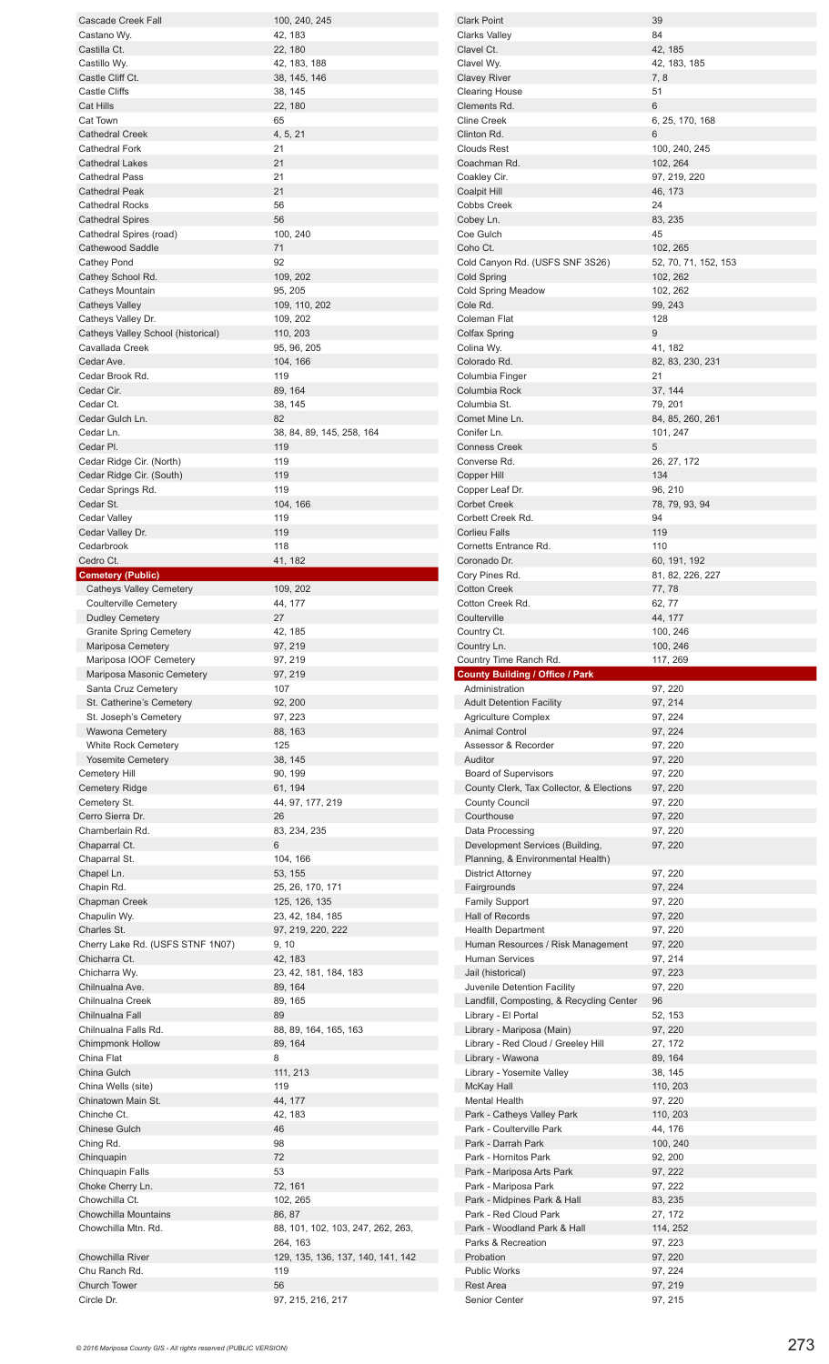| Cascade Creek Fall                 | 100, 240, 245                     |
|------------------------------------|-----------------------------------|
| Castano Wy.                        | 42, 183                           |
| Castilla Ct.                       | 22, 180                           |
| Castillo Wy.                       | 42, 183, 188                      |
| Castle Cliff Ct.                   | 38, 145, 146                      |
| <b>Castle Cliffs</b>               |                                   |
|                                    | 38, 145                           |
| <b>Cat Hills</b>                   | 22, 180                           |
| Cat Town                           | 65                                |
| <b>Cathedral Creek</b>             | 4, 5, 21                          |
| <b>Cathedral Fork</b>              | 21                                |
| <b>Cathedral Lakes</b>             | 21                                |
| <b>Cathedral Pass</b>              | 21                                |
| <b>Cathedral Peak</b>              | 21                                |
| <b>Cathedral Rocks</b>             | 56                                |
| <b>Cathedral Spires</b>            | 56                                |
|                                    |                                   |
| Cathedral Spires (road)            | 100, 240                          |
| Cathewood Saddle                   | 71                                |
| Cathey Pond                        | 92                                |
| Cathey School Rd.                  | 109, 202                          |
| Catheys Mountain                   | 95, 205                           |
| <b>Catheys Valley</b>              | 109, 110, 202                     |
| Catheys Valley Dr.                 | 109, 202                          |
| Catheys Valley School (historical) | 110, 203                          |
| Cavallada Creek                    |                                   |
|                                    | 95, 96, 205                       |
| Cedar Ave.                         | 104, 166                          |
| Cedar Brook Rd.                    | 119                               |
| Cedar Cir.                         | 89, 164                           |
| Cedar Ct.                          | 38, 145                           |
| Cedar Gulch Ln.                    | 82                                |
| Cedar Ln.                          | 38, 84, 89, 145, 258, 164         |
| Cedar Pl.                          | 119                               |
| Cedar Ridge Cir. (North)           | 119                               |
|                                    |                                   |
| Cedar Ridge Cir. (South)           | 119                               |
| Cedar Springs Rd.                  | 119                               |
| Cedar St.                          | 104, 166                          |
| Cedar Valley                       | 119                               |
| Cedar Valley Dr.                   | 119                               |
| Cedarbrook                         | 118                               |
| Cedro Ct.                          | 41, 182                           |
| <b>Cemetery (Public)</b>           |                                   |
| <b>Catheys Valley Cemetery</b>     | 109, 202                          |
| <b>Coulterville Cemetery</b>       | 44, 177                           |
|                                    |                                   |
| <b>Dudley Cemetery</b>             | 27                                |
| <b>Granite Spring Cemetery</b>     | 42, 185                           |
| Mariposa Cemetery                  | 97, 219                           |
|                                    |                                   |
| Mariposa IOOF Cemetery             | 97, 219                           |
| Mariposa Masonic Cemetery          | 97, 219                           |
| Santa Cruz Cemetery                | 107                               |
|                                    |                                   |
| St. Catherine's Cemetery           | 92, 200                           |
| St. Joseph's Cemetery              | 97, 223                           |
| <b>Wawona Cemetery</b>             | 88, 163                           |
| <b>White Rock Cemetery</b>         | 125                               |
| <b>Yosemite Cemetery</b>           | 38, 145                           |
| Cemetery Hill                      | 90, 199                           |
| <b>Cemetery Ridge</b>              | 61, 194                           |
| Cemetery St.                       | 44, 97, 177, 219                  |
| Cerro Sierra Dr.                   | 26                                |
| Chamberlain Rd.                    | 83, 234, 235                      |
|                                    | 6                                 |
| Chaparral Ct.                      |                                   |
| Chaparral St.                      | 104, 166                          |
| Chapel Ln.                         | 53, 155                           |
| Chapin Rd.                         | 25, 26, 170, 171                  |
| Chapman Creek                      | 125, 126, 135                     |
| Chapulin Wy.                       | 23, 42, 184, 185                  |
| Charles St.                        | 97, 219, 220, 222                 |
| Cherry Lake Rd. (USFS STNF 1N07)   | 9, 10                             |
| Chicharra Ct.                      | 42, 183                           |
| Chicharra Wy.                      |                                   |
|                                    | 23, 42, 181, 184, 183             |
| Chilnualna Ave.                    | 89, 164                           |
| Chilnualna Creek                   | 89, 165                           |
| Chilnualna Fall                    | 89                                |
| Chilnualna Falls Rd.               | 88, 89, 164, 165, 163             |
| <b>Chimpmonk Hollow</b>            | 89, 164                           |
| China Flat                         | 8                                 |
| China Gulch                        | 111, 213                          |
| China Wells (site)                 | 119                               |
| Chinatown Main St.                 |                                   |
|                                    | 44, 177                           |
| Chinche Ct.                        | 42, 183                           |
| <b>Chinese Gulch</b>               | 46                                |
| Ching Rd.                          | 98                                |
| Chinquapin                         | 72                                |
| Chinquapin Falls                   | 53                                |
| Choke Cherry Ln.                   | 72, 161                           |
| Chowchilla Ct.                     | 102, 265                          |
| <b>Chowchilla Mountains</b>        |                                   |
|                                    | 86, 87                            |
| Chowchilla Mtn. Rd.                | 88, 101, 102, 103, 247, 262, 263, |
|                                    | 264, 163                          |
| Chowchilla River                   | 129, 135, 136, 137, 140, 141, 142 |
| Chu Ranch Rd.                      | 119                               |
| Church Tower<br>Circle Dr.         | 56<br>97, 215, 216, 217           |

| <b>Clark Point</b>                                                                 | 39                          |
|------------------------------------------------------------------------------------|-----------------------------|
| Clarks Valley                                                                      | 84                          |
| Clavel Ct.                                                                         | 42, 185                     |
| Clavel Wy.                                                                         | 42, 183, 185                |
| Clavey River<br>Clearing House                                                     | 7,8<br>51                   |
| Clements Rd.                                                                       | 6                           |
| <b>Cline Creek</b>                                                                 | 6, 25, 170, 168             |
| Clinton Rd.<br><b>Clouds Rest</b>                                                  | 6                           |
| Coachman Rd.                                                                       | 100, 240, 245<br>102, 264   |
| Coakley Cir.                                                                       | 97, 219, 220                |
| Coalpit Hill                                                                       | 46, 173                     |
| Cobbs Creek                                                                        | 24                          |
| Cobey Ln.<br>Coe Gulch                                                             | 83, 235<br>45               |
| Coho Ct.                                                                           | 102, 265                    |
| Cold Canyon Rd. (USFS SNF 3S26)                                                    | 52, 70, 71, 152, 153        |
| Cold Spring                                                                        | 102, 262                    |
| Cold Spring Meadow                                                                 | 102, 262                    |
| Cole Rd.<br>Coleman Flat                                                           | 99, 243<br>128              |
| <b>Colfax Spring</b>                                                               | 9                           |
| Colina Wy.                                                                         | 41, 182                     |
| Colorado Rd.                                                                       | 82, 83, 230, 231            |
| Columbia Finger                                                                    | 21                          |
| Columbia Rock<br>Columbia St.                                                      | 37, 144                     |
| Comet Mine Ln.                                                                     | 79, 201<br>84, 85, 260, 261 |
| Conifer Ln.                                                                        | 101, 247                    |
| Conness Creek                                                                      | 5                           |
| Converse Rd.                                                                       | 26, 27, 172                 |
| Copper Hill                                                                        | 134                         |
| Copper Leaf Dr.<br>Corbet Creek                                                    | 96, 210<br>78, 79, 93, 94   |
| Corbett Creek Rd.                                                                  | 94                          |
| Corlieu Falls                                                                      | 119                         |
| Cornetts Entrance Rd.                                                              | 110                         |
| Coronado Dr.                                                                       | 60, 191, 192                |
| Cory Pines Rd.<br>Cotton Creek                                                     | 81, 82, 226, 227<br>77, 78  |
| Cotton Creek Rd.                                                                   | 62, 77                      |
| Coulterville                                                                       | 44, 177                     |
| Country Ct.                                                                        | 100, 246                    |
|                                                                                    |                             |
| Country Ln.                                                                        | 100, 246                    |
|                                                                                    | 117, 269                    |
| Country Time Ranch Rd.<br><b>County Building / Office / Park</b><br>Administration | 97, 220                     |
| <b>Adult Detention Facility</b>                                                    | 97, 214                     |
| <b>Agriculture Complex</b>                                                         | 97, 224                     |
| <b>Animal Control</b>                                                              | 97, 224                     |
| Assessor & Recorder                                                                | 97, 220                     |
| Auditor<br><b>Board of Supervisors</b>                                             | 97, 220<br>97, 220          |
| County Clerk, Tax Collector, & Elections                                           | 97, 220                     |
| <b>County Council</b>                                                              | 97, 220                     |
| Courthouse                                                                         | 97, 220                     |
| Data Processing                                                                    | 97, 220                     |
| Development Services (Building,<br>Planning, & Environmental Health)               | 97, 220                     |
| <b>District Attorney</b>                                                           | 97, 220                     |
| Fairgrounds                                                                        | 97, 224                     |
| <b>Family Support</b>                                                              | 97, 220                     |
| Hall of Records                                                                    | 97, 220                     |
| <b>Health Department</b><br>Human Resources / Risk Management                      | 97, 220<br>97, 220          |
| <b>Human Services</b>                                                              | 97, 214                     |
| Jail (historical)                                                                  | 97, 223                     |
| Juvenile Detention Facility                                                        | 97, 220                     |
| Landfill, Composting, & Recycling Center                                           | 96                          |
| Library - El Portal<br>Library - Mariposa (Main)                                   | 52, 153<br>97, 220          |
| Library - Red Cloud / Greeley Hill                                                 | 27, 172                     |
| Library - Wawona                                                                   | 89, 164                     |
| Library - Yosemite Valley                                                          | 38, 145                     |
| <b>McKay Hall</b>                                                                  | 110, 203                    |
| Mental Health<br>Park - Catheys Valley Park                                        | 97, 220<br>110, 203         |
| Park - Coulterville Park                                                           | 44, 176                     |
| Park - Darrah Park                                                                 | 100, 240                    |
| Park - Hornitos Park                                                               | 92, 200                     |
| Park - Mariposa Arts Park                                                          | 97, 222                     |
| Park - Mariposa Park<br>Park - Midpines Park & Hall                                | 97, 222<br>83, 235          |
| Park - Red Cloud Park                                                              | 27, 172                     |
| Park - Woodland Park & Hall                                                        | 114, 252                    |
| Parks & Recreation                                                                 | 97, 223                     |
| Probation                                                                          | 97, 220                     |
| <b>Public Works</b><br>Rest Area                                                   | 97, 224<br>97, 219          |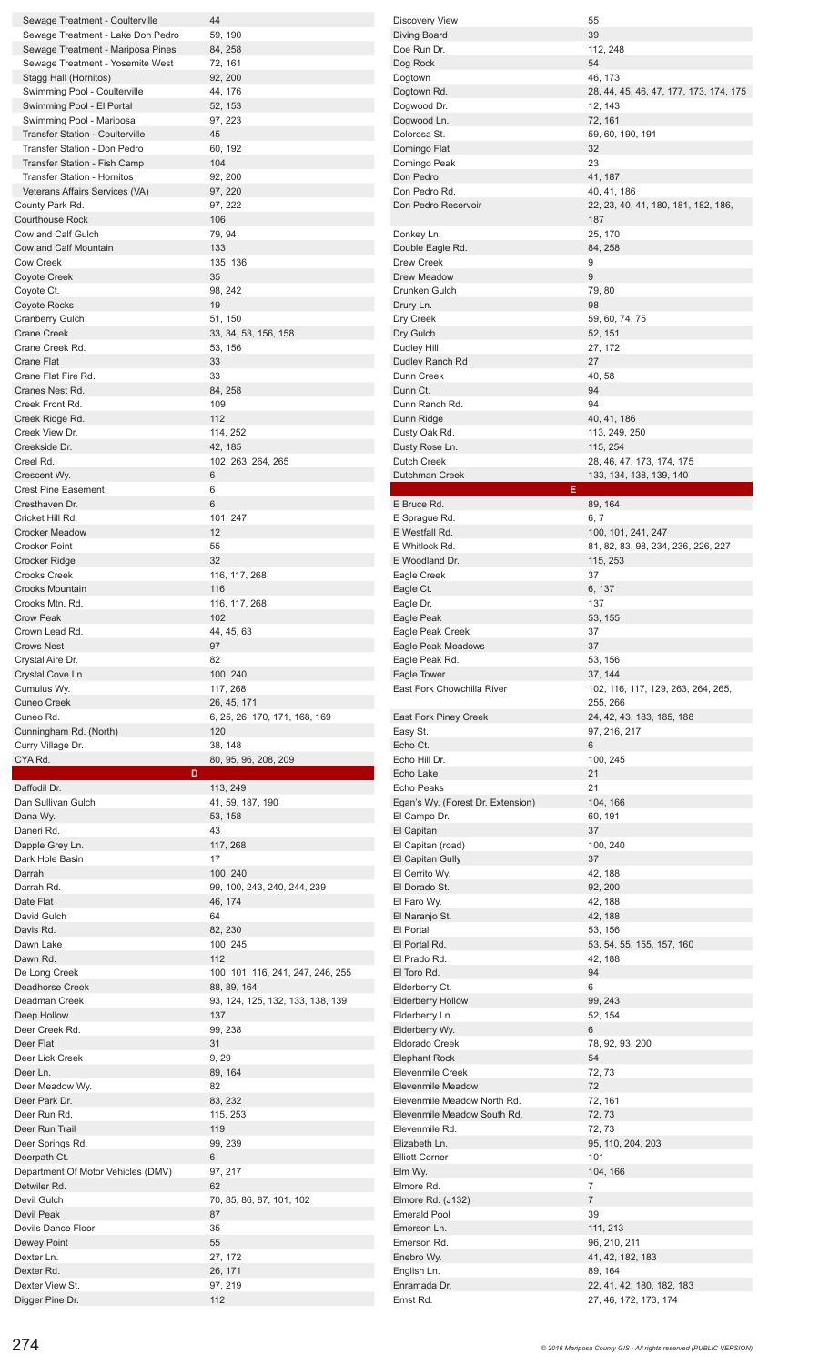| Sewage Treatment - Coulterville        | 44                                | <b>Discovery View</b>             | 55                                                 |
|----------------------------------------|-----------------------------------|-----------------------------------|----------------------------------------------------|
| Sewage Treatment - Lake Don Pedro      | 59, 190                           | Diving Board                      | 39                                                 |
| Sewage Treatment - Mariposa Pines      | 84, 258                           | Doe Run Dr.                       | 112, 248                                           |
| Sewage Treatment - Yosemite West       | 72, 161                           | Dog Rock                          | 54                                                 |
|                                        |                                   |                                   |                                                    |
| Stagg Hall (Hornitos)                  | 92, 200                           | Dogtown                           | 46, 173                                            |
| Swimming Pool - Coulterville           | 44, 176                           | Dogtown Rd.                       | 28, 44, 45, 46, 47, 177, 173, 174, 175             |
| Swimming Pool - El Portal              | 52, 153                           | Dogwood Dr.                       | 12, 143                                            |
| Swimming Pool - Mariposa               | 97, 223                           | Dogwood Ln.                       | 72, 161                                            |
| <b>Transfer Station - Coulterville</b> | 45                                | Dolorosa St.                      | 59, 60, 190, 191                                   |
| Transfer Station - Don Pedro           | 60, 192                           | Domingo Flat                      | 32                                                 |
| Transfer Station - Fish Camp           | 104                               | Domingo Peak                      | 23                                                 |
|                                        |                                   |                                   |                                                    |
| <b>Transfer Station - Hornitos</b>     | 92, 200                           | Don Pedro                         | 41, 187                                            |
| Veterans Affairs Services (VA)         | 97, 220                           | Don Pedro Rd.                     | 40, 41, 186                                        |
| County Park Rd.                        | 97, 222                           | Don Pedro Reservoir               | 22, 23, 40, 41, 180, 181, 182, 186,                |
| <b>Courthouse Rock</b>                 | 106                               |                                   | 187                                                |
| Cow and Calf Gulch                     | 79, 94                            | Donkey Ln.                        | 25, 170                                            |
| Cow and Calf Mountain                  | 133                               | Double Eagle Rd.                  | 84, 258                                            |
| <b>Cow Creek</b>                       | 135, 136                          | Drew Creek                        | 9                                                  |
|                                        |                                   |                                   |                                                    |
| Coyote Creek                           | 35                                | Drew Meadow                       | $\mathsf g$                                        |
| Coyote Ct.                             | 98, 242                           | Drunken Gulch                     | 79,80                                              |
| Coyote Rocks                           | 19                                | Drury Ln.                         | 98                                                 |
| <b>Cranberry Gulch</b>                 | 51, 150                           | Dry Creek                         | 59, 60, 74, 75                                     |
| <b>Crane Creek</b>                     | 33, 34, 53, 156, 158              | Dry Gulch                         | 52, 151                                            |
| Crane Creek Rd.                        | 53, 156                           | Dudley Hill                       | 27, 172                                            |
| <b>Crane Flat</b>                      | 33                                |                                   | 27                                                 |
|                                        |                                   | Dudley Ranch Rd                   |                                                    |
| Crane Flat Fire Rd.                    | 33                                | Dunn Creek                        | 40, 58                                             |
| Cranes Nest Rd.                        | 84, 258                           | Dunn Ct.                          | 94                                                 |
| Creek Front Rd.                        | 109                               | Dunn Ranch Rd.                    | 94                                                 |
| Creek Ridge Rd.                        | 112                               | Dunn Ridge                        | 40, 41, 186                                        |
| Creek View Dr.                         | 114, 252                          | Dusty Oak Rd.                     | 113, 249, 250                                      |
| Creekside Dr.                          | 42, 185                           | Dusty Rose Ln.                    | 115, 254                                           |
|                                        |                                   |                                   |                                                    |
| Creel Rd.                              | 102, 263, 264, 265                | Dutch Creek                       | 28, 46, 47, 173, 174, 175                          |
| Crescent Wy.                           | 6                                 | Dutchman Creek                    | 133, 134, 138, 139, 140                            |
| <b>Crest Pine Easement</b>             | 6                                 |                                   | E.                                                 |
| Cresthaven Dr.                         | 6                                 | E Bruce Rd.                       | 89, 164                                            |
| Cricket Hill Rd.                       | 101, 247                          | E Sprague Rd.                     | 6, 7                                               |
| <b>Crocker Meadow</b>                  | 12                                | E Westfall Rd.                    | 100, 101, 241, 247                                 |
| Crocker Point                          | 55                                | E Whitlock Rd.                    | 81, 82, 83, 98, 234, 236, 226, 227                 |
|                                        | 32                                |                                   |                                                    |
| Crocker Ridge                          |                                   | E Woodland Dr.                    | 115, 253                                           |
| Crooks Creek                           | 116, 117, 268                     | Eagle Creek                       | 37                                                 |
| <b>Crooks Mountain</b>                 | 116                               | Eagle Ct.                         | 6, 137                                             |
| Crooks Mtn. Rd.                        | 116, 117, 268                     | Eagle Dr.                         | 137                                                |
| <b>Crow Peak</b>                       | 102                               | Eagle Peak                        | 53, 155                                            |
| Crown Lead Rd.                         | 44, 45, 63                        | Eagle Peak Creek                  | 37                                                 |
|                                        | 97                                | Eagle Peak Meadows                | 37                                                 |
|                                        |                                   |                                   |                                                    |
| <b>Crows Nest</b>                      |                                   |                                   |                                                    |
| Crystal Aire Dr.                       | 82                                | Eagle Peak Rd.                    | 53, 156                                            |
| Crystal Cove Ln.                       | 100, 240                          | Eagle Tower                       | 37, 144                                            |
| Cumulus Wy.                            | 117, 268                          | East Fork Chowchilla River        | 102, 116, 117, 129, 263, 264, 265,                 |
|                                        |                                   |                                   |                                                    |
| <b>Cuneo Creek</b>                     | 26, 45, 171                       |                                   | 255, 266                                           |
| Cuneo Rd.                              | 6, 25, 26, 170, 171, 168, 169     | East Fork Piney Creek             | 24, 42, 43, 183, 185, 188                          |
| Cunningham Rd. (North)                 | 120                               | Easy St.                          | 97, 216, 217                                       |
| Curry Village Dr.                      | 38, 148                           | Echo Ct.                          | 6                                                  |
| CYA Rd.                                | 80, 95, 96, 208, 209              | Echo Hill Dr.                     | 100, 245                                           |
|                                        | D                                 | Echo Lake                         | 21                                                 |
| Daffodil Dr.                           | 113, 249                          | Echo Peaks                        | 21                                                 |
| Dan Sullivan Gulch                     |                                   |                                   | 104, 166                                           |
|                                        | 41, 59, 187, 190                  | Egan's Wy. (Forest Dr. Extension) |                                                    |
| Dana Wy.                               | 53, 158                           | El Campo Dr.                      | 60, 191                                            |
| Daneri Rd.                             | 43                                | El Capitan                        | 37                                                 |
| Dapple Grey Ln.                        | 117, 268                          | El Capitan (road)                 | 100, 240                                           |
| Dark Hole Basin                        | 17                                | El Capitan Gully                  | 37                                                 |
| Darrah                                 | 100, 240                          | El Cerrito Wy.                    | 42, 188                                            |
| Darrah Rd.                             | 99, 100, 243, 240, 244, 239       | El Dorado St.                     | 92, 200                                            |
| Date Flat                              | 46, 174                           | El Faro Wy.                       | 42, 188                                            |
| David Gulch                            | 64                                | El Naranjo St.                    | 42, 188                                            |
| Davis Rd.                              | 82, 230                           | El Portal                         | 53, 156                                            |
|                                        |                                   |                                   |                                                    |
| Dawn Lake                              | 100, 245                          | El Portal Rd.                     | 53, 54, 55, 155, 157, 160                          |
| Dawn Rd.                               | 112                               | El Prado Rd.                      | 42, 188                                            |
| De Long Creek                          | 100, 101, 116, 241, 247, 246, 255 | El Toro Rd.                       | 94                                                 |
| Deadhorse Creek                        | 88, 89, 164                       | Elderberry Ct.                    | 6                                                  |
| Deadman Creek                          | 93, 124, 125, 132, 133, 138, 139  | <b>Elderberry Hollow</b>          | 99, 243                                            |
| Deep Hollow                            | 137                               | Elderberry Ln.                    | 52, 154                                            |
| Deer Creek Rd.                         | 99, 238                           |                                   | 6                                                  |
|                                        |                                   | Elderberry Wy.                    |                                                    |
| Deer Flat                              | 31                                | Eldorado Creek                    | 78, 92, 93, 200                                    |
| Deer Lick Creek                        | 9, 29                             | <b>Elephant Rock</b>              | 54                                                 |
| Deer Ln.                               | 89, 164                           | Elevenmile Creek                  | 72, 73                                             |
| Deer Meadow Wy.                        | 82                                | <b>Elevenmile Meadow</b>          | 72                                                 |
| Deer Park Dr.                          | 83, 232                           | Elevenmile Meadow North Rd.       | 72, 161                                            |
| Deer Run Rd.                           | 115, 253                          | Elevenmile Meadow South Rd.       | 72, 73                                             |
| Deer Run Trail                         | 119                               | Elevenmile Rd.                    | 72, 73                                             |
|                                        |                                   | Elizabeth Ln.                     |                                                    |
| Deer Springs Rd.                       | 99, 239                           |                                   | 95, 110, 204, 203                                  |
| Deerpath Ct.                           | 6                                 | <b>Elliott Corner</b>             | 101                                                |
| Department Of Motor Vehicles (DMV)     | 97, 217                           | Elm Wy.                           | 104, 166                                           |
| Detwiler Rd.                           | 62                                | Elmore Rd.                        | $\overline{7}$                                     |
| Devil Gulch                            | 70, 85, 86, 87, 101, 102          | Elmore Rd. (J132)                 | $\overline{7}$                                     |
| Devil Peak                             | 87                                | <b>Emerald Pool</b>               | 39                                                 |
| Devils Dance Floor                     | 35                                | Emerson Ln.                       | 111, 213                                           |
| Dewey Point                            |                                   | Emerson Rd.                       | 96, 210, 211                                       |
|                                        | 55                                |                                   |                                                    |
| Dexter Ln.                             | 27, 172                           | Enebro Wy.                        | 41, 42, 182, 183                                   |
| Dexter Rd.                             | 26, 171                           | English Ln.                       | 89, 164                                            |
| Dexter View St.<br>Digger Pine Dr.     | 97, 219<br>112                    | Enramada Dr.<br>Ernst Rd.         | 22, 41, 42, 180, 182, 183<br>27, 46, 172, 173, 174 |

Digger Pine Dr.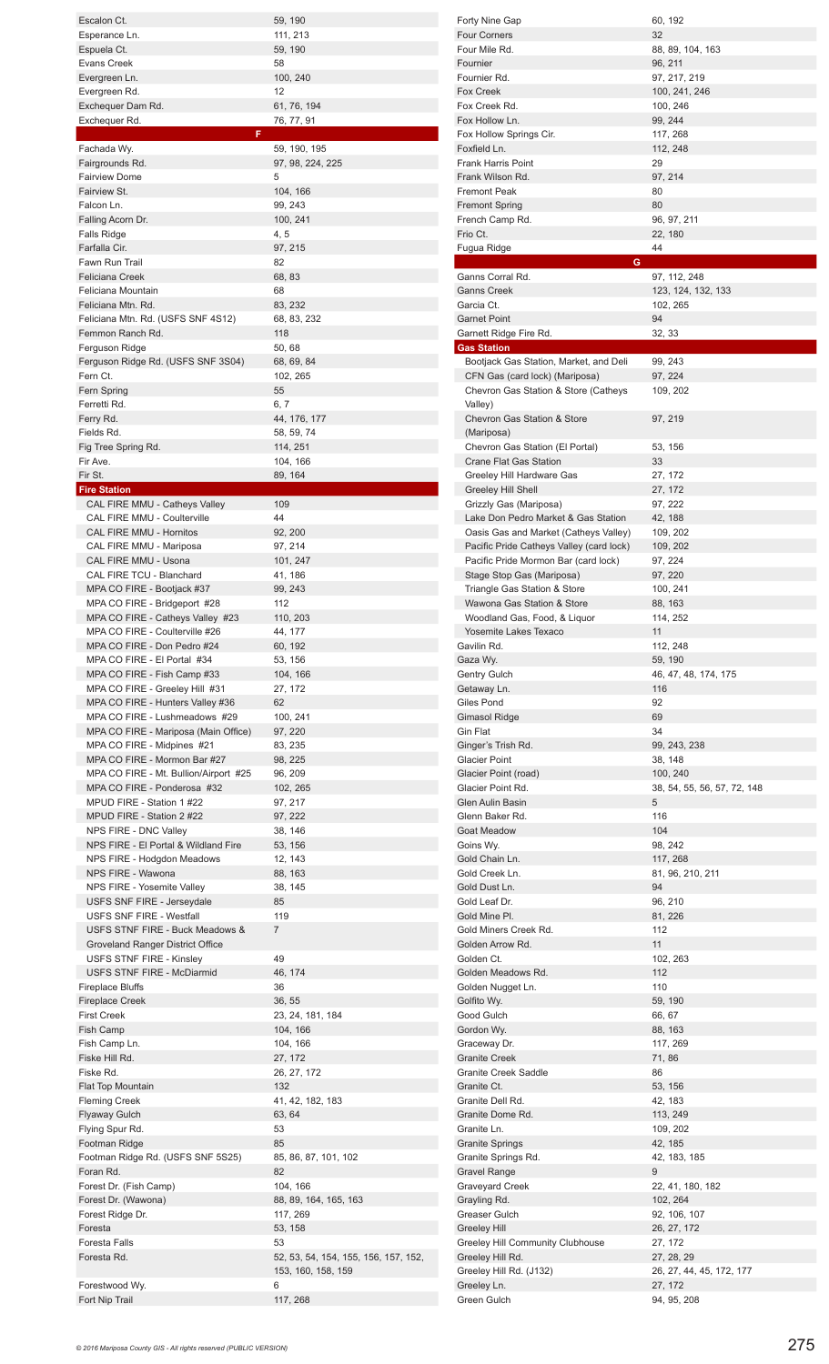| Escalon Ct.                                                           | 59, 190                                                    |
|-----------------------------------------------------------------------|------------------------------------------------------------|
| Esperance Ln.                                                         | 111, 213                                                   |
| Espuela Ct.<br>Evans Creek                                            | 59, 190<br>58                                              |
| Evergreen Ln.                                                         | 100, 240                                                   |
| Evergreen Rd.                                                         | 12                                                         |
| Exchequer Dam Rd.<br>Exchequer Rd.                                    | 61, 76, 194<br>76, 77, 91                                  |
| F                                                                     |                                                            |
| Fachada Wy.                                                           | 59, 190, 195                                               |
| Fairgrounds Rd.<br><b>Fairview Dome</b>                               | 97, 98, 224, 225<br>5                                      |
| Fairview St.                                                          | 104, 166                                                   |
| Falcon Ln.                                                            | 99, 243                                                    |
| Falling Acorn Dr.                                                     | 100, 241                                                   |
| <b>Falls Ridge</b><br>Farfalla Cir.                                   | 4, 5<br>97, 215                                            |
| Fawn Run Trail                                                        | 82                                                         |
| <b>Feliciana Creek</b>                                                | 68, 83                                                     |
| Feliciana Mountain<br>Feliciana Mtn. Rd.                              | 68<br>83, 232                                              |
| Feliciana Mtn. Rd. (USFS SNF 4S12)                                    | 68, 83, 232                                                |
| Femmon Ranch Rd.                                                      | 118                                                        |
| Ferguson Ridge                                                        | 50, 68                                                     |
| Ferguson Ridge Rd. (USFS SNF 3S04)<br>Fern Ct.                        | 68, 69, 84<br>102, 265                                     |
| Fern Spring                                                           | 55                                                         |
| Ferretti Rd.                                                          | 6, 7                                                       |
| Ferry Rd.<br>Fields Rd.                                               | 44, 176, 177<br>58, 59, 74                                 |
| Fig Tree Spring Rd.                                                   | 114, 251                                                   |
| Fir Ave.                                                              | 104, 166                                                   |
| Fir St.                                                               | 89, 164                                                    |
| <b>Fire Station</b><br>CAL FIRE MMU - Catheys Valley                  | 109                                                        |
| CAL FIRE MMU - Coulterville                                           | 44                                                         |
| CAL FIRE MMU - Hornitos                                               | 92, 200                                                    |
| CAL FIRE MMU - Mariposa<br>CAL FIRE MMU - Usona                       | 97, 214<br>101, 247                                        |
| CAL FIRE TCU - Blanchard                                              | 41, 186                                                    |
| MPA CO FIRE - Bootjack #37                                            | 99, 243                                                    |
| MPA CO FIRE - Bridgeport #28<br>MPA CO FIRE - Catheys Valley #23      | 112<br>110, 203                                            |
| MPA CO FIRE - Coulterville #26                                        | 44, 177                                                    |
| MPA CO FIRE - Don Pedro #24                                           | 60, 192                                                    |
| MPA CO FIRE - El Portal #34                                           | 53, 156                                                    |
|                                                                       |                                                            |
| MPA CO FIRE - Fish Camp #33                                           | 104, 166                                                   |
| MPA CO FIRE - Greeley Hill #31<br>MPA CO FIRE - Hunters Valley #36    | 27, 172<br>62                                              |
| MPA CO FIRE - Lushmeadows #29                                         | 100, 241                                                   |
| MPA CO FIRE - Mariposa (Main Office)                                  | 97, 220                                                    |
| MPA CO FIRE - Midpines #21                                            | 83, 235                                                    |
| MPA CO FIRE - Mormon Bar #27<br>MPA CO FIRE - Mt. Bullion/Airport #25 | 98, 225<br>96, 209                                         |
| MPA CO FIRE - Ponderosa #32                                           | 102, 265                                                   |
| MPUD FIRE - Station 1 #22                                             | 97, 217                                                    |
| MPUD FIRE - Station 2 #22<br>NPS FIRE - DNC Valley                    | 97, 222<br>38, 146                                         |
| NPS FIRE - El Portal & Wildland Fire                                  | 53, 156                                                    |
| NPS FIRE - Hodgdon Meadows                                            | 12, 143                                                    |
| NPS FIRE - Wawona                                                     | 88, 163                                                    |
| NPS FIRE - Yosemite Valley<br>USFS SNF FIRE - Jerseydale              | 38, 145<br>85                                              |
| <b>USFS SNF FIRE - Westfall</b>                                       | 119                                                        |
| USFS STNF FIRE - Buck Meadows &                                       | 7                                                          |
| Groveland Ranger District Office<br><b>USFS STNF FIRE - Kinsley</b>   | 49                                                         |
| USFS STNF FIRE - McDiarmid                                            | 46, 174                                                    |
| <b>Fireplace Bluffs</b>                                               | 36                                                         |
| <b>Fireplace Creek</b>                                                | 36, 55                                                     |
| <b>First Creek</b><br>Fish Camp                                       | 23, 24, 181, 184<br>104, 166                               |
| Fish Camp Ln.                                                         | 104, 166                                                   |
| Fiske Hill Rd.                                                        | 27, 172                                                    |
| Fiske Rd.<br>Flat Top Mountain                                        | 26, 27, 172<br>132                                         |
| <b>Fleming Creek</b>                                                  | 41, 42, 182, 183                                           |
| <b>Flyaway Gulch</b>                                                  | 63, 64                                                     |
| Flying Spur Rd.                                                       | 53                                                         |
| Footman Ridge<br>Footman Ridge Rd. (USFS SNF 5S25)                    | 85<br>85, 86, 87, 101, 102                                 |
| Foran Rd.                                                             | 82                                                         |
| Forest Dr. (Fish Camp)                                                | 104, 166                                                   |
| Forest Dr. (Wawona)<br>Forest Ridge Dr.                               | 88, 89, 164, 165, 163<br>117, 269                          |
| Foresta                                                               | 53, 158                                                    |
| <b>Foresta Falls</b>                                                  | 53                                                         |
| Foresta Rd.                                                           | 52, 53, 54, 154, 155, 156, 157, 152,<br>153, 160, 158, 159 |
| Forestwood Wy.                                                        | 6                                                          |

| Forty Nine Gap                                                   | 60, 192                       |
|------------------------------------------------------------------|-------------------------------|
| Four Corners                                                     | 32                            |
| Four Mile Rd.                                                    | 88, 89, 104, 163              |
| Fournier<br>Fournier Rd.                                         | 96, 211                       |
| Fox Creek                                                        | 97, 217, 219<br>100, 241, 246 |
| Fox Creek Rd.                                                    | 100, 246                      |
| Fox Hollow Ln.                                                   | 99, 244                       |
| Fox Hollow Springs Cir.                                          | 117, 268                      |
| Foxfield Ln.                                                     | 112, 248                      |
| <b>Frank Harris Point</b>                                        | 29                            |
| Frank Wilson Rd.                                                 | 97, 214                       |
| <b>Fremont Peak</b>                                              | 80                            |
| Fremont Spring                                                   | 80                            |
| French Camp Rd.                                                  | 96, 97, 211                   |
| Frio Ct.                                                         | 22, 180                       |
| Fugua Ridge<br>G                                                 | 44                            |
| Ganns Corral Rd.                                                 | 97, 112, 248                  |
| Ganns Creek                                                      | 123, 124, 132, 133            |
| Garcia Ct.                                                       | 102, 265                      |
| <b>Garnet Point</b>                                              | 94                            |
| Garnett Ridge Fire Rd.                                           | 32, 33                        |
| <b>Gas Station</b>                                               |                               |
| Bootjack Gas Station, Market, and Deli                           | 99, 243                       |
| CFN Gas (card lock) (Mariposa)                                   | 97, 224                       |
| Chevron Gas Station & Store (Catheys                             | 109, 202                      |
| Valley)                                                          |                               |
| <b>Chevron Gas Station &amp; Store</b>                           | 97, 219                       |
| (Mariposa)                                                       |                               |
| Chevron Gas Station (El Portal)<br><b>Crane Flat Gas Station</b> | 53, 156<br>33                 |
| Greeley Hill Hardware Gas                                        | 27, 172                       |
| Greeley Hill Shell                                               | 27, 172                       |
| Grizzly Gas (Mariposa)                                           | 97, 222                       |
| Lake Don Pedro Market & Gas Station                              | 42, 188                       |
| Oasis Gas and Market (Catheys Valley)                            | 109, 202                      |
| Pacific Pride Catheys Valley (card lock)                         | 109, 202                      |
| Pacific Pride Mormon Bar (card lock)                             | 97, 224                       |
| Stage Stop Gas (Mariposa)                                        | 97, 220                       |
| Triangle Gas Station & Store                                     | 100, 241                      |
| Wawona Gas Station & Store                                       | 88, 163                       |
| Woodland Gas, Food, & Liquor                                     | 114, 252                      |
| Yosemite Lakes Texaco                                            | 11                            |
| Gavilin Rd.                                                      | 112, 248                      |
| Gaza Wy.                                                         | 59, 190                       |
| Gentry Gulch                                                     | 46, 47, 48, 174, 175          |
| Getaway Ln.<br>Giles Pond                                        | 116<br>92                     |
| Gimasol Ridge                                                    | 69                            |
| Gin Flat                                                         | 34                            |
| Ginger's Trish Rd.                                               | 99, 243, 238                  |
| Glacier Point                                                    | 38, 148                       |
| Glacier Point (road)                                             | 100, 240                      |
| Glacier Point Rd.                                                | 38, 54, 55, 56, 57, 72, 148   |
| Glen Aulin Basin                                                 | 5                             |
| Glenn Baker Rd.                                                  | 116                           |
| Goat Meadow                                                      | 104                           |
| Goins Wy.                                                        | 98, 242                       |
| Gold Chain Ln.                                                   | 117, 268                      |
| Gold Creek Ln.                                                   | 81, 96, 210, 211              |
| Gold Dust Ln.                                                    | 94                            |
| Gold Leaf Dr.<br>Gold Mine Pl.                                   | 96, 210<br>81, 226            |
| Gold Miners Creek Rd.                                            | 112                           |
| Golden Arrow Rd.                                                 | 11                            |
| Golden Ct.                                                       | 102, 263                      |
| Golden Meadows Rd.                                               | 112                           |
| Golden Nugget Ln.                                                | 110                           |
| Golfito Wy.                                                      | 59, 190                       |
| Good Gulch                                                       | 66, 67                        |
| Gordon Wy.                                                       | 88, 163                       |
| Graceway Dr.                                                     | 117, 269                      |
| Granite Creek                                                    | 71, 86                        |
| <b>Granite Creek Saddle</b>                                      | 86                            |
| Granite Ct.                                                      | 53, 156                       |
| Granite Dell Rd.                                                 | 42, 183                       |
| Granite Dome Rd.<br>Granite Ln.                                  | 113, 249                      |
| Granite Springs                                                  | 109, 202<br>42, 185           |
| Granite Springs Rd.                                              | 42, 183, 185                  |
| Gravel Range                                                     | 9                             |
| Graveyard Creek                                                  | 22, 41, 180, 182              |
| Grayling Rd.                                                     | 102, 264                      |
| Greaser Gulch                                                    | 92, 106, 107                  |
| Greeley Hill                                                     | 26, 27, 172                   |
| Greeley Hill Community Clubhouse                                 | 27, 172                       |
| Greeley Hill Rd.                                                 | 27, 28, 29                    |
| Greeley Hill Rd. (J132)                                          | 26, 27, 44, 45, 172, 177      |
| Greeley Ln.                                                      | 27, 172                       |
| Green Gulch                                                      | 94, 95, 208                   |
|                                                                  |                               |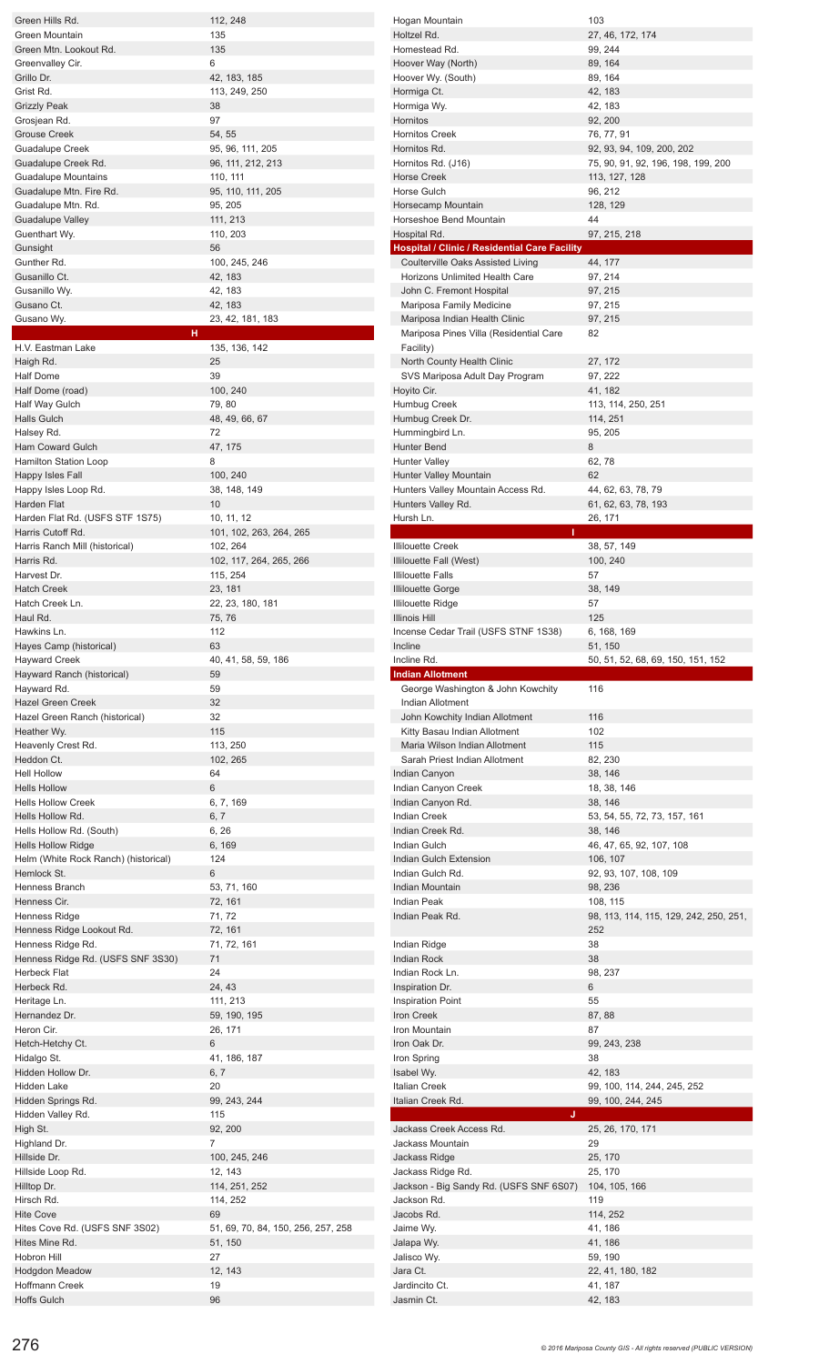| Green Hills Rd.                                                                    | 112, 248                           | Hogan Mountain                                       | 103                                    |
|------------------------------------------------------------------------------------|------------------------------------|------------------------------------------------------|----------------------------------------|
| Green Mountain                                                                     | 135                                | Holtzel Rd.                                          | 27, 46, 172, 174                       |
|                                                                                    | 135                                | Homestead Rd.                                        |                                        |
| Green Mtn. Lookout Rd.                                                             |                                    |                                                      | 99, 244                                |
| Greenvalley Cir.                                                                   | 6                                  | Hoover Way (North)                                   | 89, 164                                |
| Grillo Dr.                                                                         | 42, 183, 185                       | Hoover Wy. (South)                                   | 89, 164                                |
| Grist Rd.                                                                          | 113, 249, 250                      | Hormiga Ct.                                          | 42, 183                                |
| <b>Grizzly Peak</b>                                                                | 38                                 | Hormiga Wy.                                          | 42, 183                                |
| Grosjean Rd.                                                                       | 97                                 | Hornitos                                             | 92, 200                                |
| <b>Grouse Creek</b>                                                                | 54, 55                             | <b>Hornitos Creek</b>                                | 76, 77, 91                             |
|                                                                                    |                                    |                                                      |                                        |
| <b>Guadalupe Creek</b>                                                             | 95, 96, 111, 205                   | Hornitos Rd.                                         | 92, 93, 94, 109, 200, 202              |
| Guadalupe Creek Rd.                                                                | 96, 111, 212, 213                  | Hornitos Rd. (J16)                                   | 75, 90, 91, 92, 196, 198, 199, 200     |
| <b>Guadalupe Mountains</b>                                                         | 110, 111                           | <b>Horse Creek</b>                                   | 113, 127, 128                          |
| Guadalupe Mtn. Fire Rd.                                                            | 95, 110, 111, 205                  | Horse Gulch                                          | 96, 212                                |
| Guadalupe Mtn. Rd.                                                                 | 95, 205                            | Horsecamp Mountain                                   | 128, 129                               |
|                                                                                    |                                    |                                                      | 44                                     |
| <b>Guadalupe Valley</b>                                                            | 111, 213                           | Horseshoe Bend Mountain                              |                                        |
| Guenthart Wy.                                                                      | 110, 203                           | Hospital Rd.                                         | 97, 215, 218                           |
| Gunsight                                                                           | 56                                 | <b>Hospital / Clinic / Residential Care Facility</b> |                                        |
| Gunther Rd.                                                                        | 100, 245, 246                      | Coulterville Oaks Assisted Living                    | 44, 177                                |
| Gusanillo Ct.                                                                      | 42, 183                            | <b>Horizons Unlimited Health Care</b>                | 97, 214                                |
| Gusanillo Wy.                                                                      | 42, 183                            | John C. Fremont Hospital                             | 97, 215                                |
|                                                                                    |                                    |                                                      |                                        |
| Gusano Ct.                                                                         | 42, 183                            | Mariposa Family Medicine                             | 97, 215                                |
| Gusano Wy.                                                                         | 23, 42, 181, 183                   | Mariposa Indian Health Clinic                        | 97, 215                                |
| н                                                                                  |                                    | Mariposa Pines Villa (Residential Care               | 82                                     |
| H.V. Eastman Lake                                                                  | 135, 136, 142                      | Facility)                                            |                                        |
| Haigh Rd.                                                                          | 25                                 | North County Health Clinic                           | 27, 172                                |
|                                                                                    |                                    |                                                      |                                        |
| Half Dome                                                                          | 39                                 | SVS Mariposa Adult Day Program                       | 97, 222                                |
| Half Dome (road)                                                                   | 100, 240                           | Hoyito Cir.                                          | 41, 182                                |
| Half Way Gulch                                                                     | 79,80                              | Humbug Creek                                         | 113, 114, 250, 251                     |
| <b>Halls Gulch</b>                                                                 | 48, 49, 66, 67                     | Humbug Creek Dr.                                     | 114, 251                               |
| Halsey Rd.                                                                         | 72                                 | Hummingbird Ln.                                      | 95, 205                                |
|                                                                                    |                                    |                                                      |                                        |
| <b>Ham Coward Gulch</b>                                                            | 47, 175                            | <b>Hunter Bend</b>                                   | 8                                      |
| Hamilton Station Loop                                                              | 8                                  | <b>Hunter Valley</b>                                 | 62,78                                  |
| Happy Isles Fall                                                                   | 100, 240                           | Hunter Valley Mountain                               | 62                                     |
| Happy Isles Loop Rd.                                                               | 38, 148, 149                       | Hunters Valley Mountain Access Rd.                   | 44, 62, 63, 78, 79                     |
| Harden Flat                                                                        | 10                                 |                                                      |                                        |
|                                                                                    |                                    | Hunters Valley Rd.                                   | 61, 62, 63, 78, 193                    |
| Harden Flat Rd. (USFS STF 1S75)                                                    | 10, 11, 12                         | Hursh Ln.                                            | 26, 171                                |
| Harris Cutoff Rd.                                                                  | 101, 102, 263, 264, 265            |                                                      |                                        |
| Harris Ranch Mill (historical)                                                     | 102, 264                           | <b>Illilouette Creek</b>                             | 38, 57, 149                            |
| Harris Rd.                                                                         | 102, 117, 264, 265, 266            | Illilouette Fall (West)                              | 100, 240                               |
| Harvest Dr.                                                                        | 115, 254                           | <b>Illilouette Falls</b>                             | 57                                     |
|                                                                                    |                                    |                                                      |                                        |
| <b>Hatch Creek</b>                                                                 | 23, 181                            | <b>Illilouette Gorge</b>                             | 38, 149                                |
| Hatch Creek Ln.                                                                    | 22, 23, 180, 181                   | <b>Illilouette Ridge</b>                             | 57                                     |
| Haul Rd.                                                                           | 75, 76                             | Illinois Hill                                        | 125                                    |
| Hawkins Ln.                                                                        | 112                                | Incense Cedar Trail (USFS STNF 1S38)                 | 6, 168, 169                            |
| Hayes Camp (historical)                                                            | 63                                 | Incline                                              | 51, 150                                |
|                                                                                    |                                    | Incline Rd.                                          |                                        |
|                                                                                    |                                    |                                                      | 50, 51, 52, 68, 69, 150, 151, 152      |
| <b>Hayward Creek</b>                                                               | 40, 41, 58, 59, 186                |                                                      |                                        |
| Hayward Ranch (historical)                                                         | 59                                 | <b>Indian Allotment</b>                              |                                        |
| Hayward Rd.                                                                        | 59                                 | George Washington & John Kowchity                    | 116                                    |
|                                                                                    |                                    |                                                      |                                        |
| <b>Hazel Green Creek</b>                                                           | 32                                 | <b>Indian Allotment</b>                              |                                        |
| Hazel Green Ranch (historical)                                                     | 32                                 | John Kowchity Indian Allotment                       | 116                                    |
| Heather Wy.                                                                        | 115                                | Kitty Basau Indian Allotment                         | 102                                    |
| Heavenly Crest Rd.                                                                 | 113, 250                           | Maria Wilson Indian Allotment                        | 115                                    |
| Heddon Ct.                                                                         | 102, 265                           | Sarah Priest Indian Allotment                        | 82, 230                                |
| <b>Hell Hollow</b>                                                                 | 64                                 |                                                      |                                        |
|                                                                                    |                                    | Indian Canyon                                        | 38, 146                                |
| <b>Hells Hollow</b>                                                                | 6                                  | Indian Canyon Creek                                  | 18, 38, 146                            |
| <b>Hells Hollow Creek</b>                                                          | 6, 7, 169                          | Indian Canyon Rd.                                    | 38, 146                                |
| Hells Hollow Rd.                                                                   | 6, 7                               | <b>Indian Creek</b>                                  | 53, 54, 55, 72, 73, 157, 161           |
| Hells Hollow Rd. (South)                                                           | 6, 26                              | Indian Creek Rd.                                     | 38, 146                                |
| <b>Hells Hollow Ridge</b>                                                          | 6, 169                             | Indian Gulch                                         | 46, 47, 65, 92, 107, 108               |
|                                                                                    | 124                                | Indian Gulch Extension                               |                                        |
| Helm (White Rock Ranch) (historical)                                               |                                    |                                                      | 106, 107                               |
| Hemlock St.                                                                        | 6                                  | Indian Gulch Rd.                                     | 92, 93, 107, 108, 109                  |
| Henness Branch                                                                     | 53, 71, 160                        | Indian Mountain                                      | 98, 236                                |
| Henness Cir.                                                                       | 72, 161                            | Indian Peak                                          | 108, 115                               |
| Henness Ridge                                                                      | 71, 72                             | Indian Peak Rd.                                      | 98, 113, 114, 115, 129, 242, 250, 251, |
| Henness Ridge Lookout Rd.                                                          | 72, 161                            |                                                      | 252                                    |
|                                                                                    |                                    |                                                      |                                        |
| Henness Ridge Rd.                                                                  | 71, 72, 161                        | Indian Ridge                                         | 38                                     |
| Henness Ridge Rd. (USFS SNF 3S30)                                                  | 71                                 | <b>Indian Rock</b>                                   | 38                                     |
| Herbeck Flat                                                                       | 24                                 | Indian Rock Ln.                                      | 98, 237                                |
| Herbeck Rd.                                                                        | 24, 43                             | Inspiration Dr.                                      | 6                                      |
| Heritage Ln.                                                                       | 111, 213                           | <b>Inspiration Point</b>                             | 55                                     |
| Hernandez Dr.                                                                      |                                    | Iron Creek                                           | 87, 88                                 |
|                                                                                    | 59, 190, 195                       |                                                      |                                        |
| Heron Cir.                                                                         | 26, 171                            | Iron Mountain                                        | 87                                     |
| Hetch-Hetchy Ct.                                                                   | 6                                  | Iron Oak Dr.                                         | 99, 243, 238                           |
| Hidalgo St.                                                                        | 41, 186, 187                       | Iron Spring                                          | 38                                     |
| Hidden Hollow Dr.                                                                  | 6, 7                               | Isabel Wy.                                           | 42, 183                                |
| Hidden Lake                                                                        | 20                                 | <b>Italian Creek</b>                                 | 99, 100, 114, 244, 245, 252            |
|                                                                                    |                                    | Italian Creek Rd.                                    |                                        |
| Hidden Springs Rd.                                                                 | 99, 243, 244                       |                                                      | 99, 100, 244, 245                      |
| Hidden Valley Rd.                                                                  | 115                                | IJ                                                   |                                        |
| High St.                                                                           | 92, 200                            | Jackass Creek Access Rd.                             | 25, 26, 170, 171                       |
| Highland Dr.                                                                       | $\overline{7}$                     | Jackass Mountain                                     | 29                                     |
|                                                                                    | 100, 245, 246                      | Jackass Ridge                                        | 25, 170                                |
|                                                                                    | 12, 143                            |                                                      |                                        |
|                                                                                    |                                    | Jackass Ridge Rd.                                    | 25, 170                                |
| Hillside Dr.<br>Hillside Loop Rd.<br>Hilltop Dr.                                   | 114, 251, 252                      | Jackson - Big Sandy Rd. (USFS SNF 6S07)              | 104, 105, 166                          |
|                                                                                    | 114, 252                           | Jackson Rd.                                          | 119                                    |
|                                                                                    | 69                                 | Jacobs Rd.                                           | 114, 252                               |
|                                                                                    | 51, 69, 70, 84, 150, 256, 257, 258 | Jaime Wy.                                            | 41, 186                                |
| Hirsch Rd.<br><b>Hite Cove</b><br>Hites Cove Rd. (USFS SNF 3S02)<br>Hites Mine Rd. |                                    |                                                      |                                        |
|                                                                                    | 51, 150                            | Jalapa Wy.                                           | 41, 186                                |
| Hobron Hill                                                                        | 27                                 | Jalisco Wy.                                          | 59, 190                                |
| <b>Hodgdon Meadow</b>                                                              | 12, 143                            | Jara Ct.                                             | 22, 41, 180, 182                       |
| Hoffmann Creek<br><b>Hoffs Gulch</b>                                               | 19<br>96                           | Jardincito Ct.<br>Jasmin Ct.                         | 41, 187<br>42, 183                     |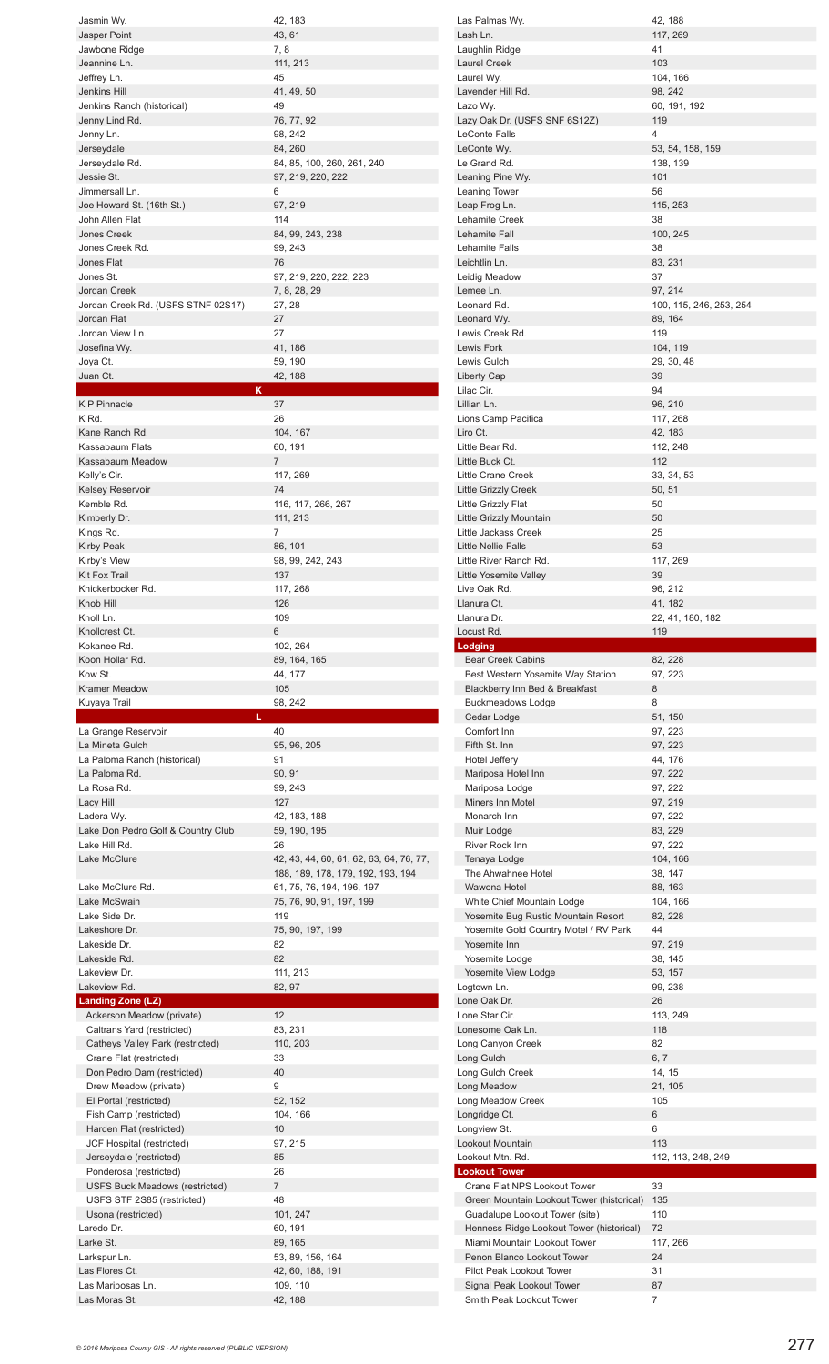| Jasmin Wy.                                                  | 42, 183                                                        |
|-------------------------------------------------------------|----------------------------------------------------------------|
| Jasper Point                                                | 43, 61                                                         |
| Jawbone Ridge                                               | 7,8                                                            |
| Jeannine Ln.<br>Jeffrey Ln.                                 | 111, 213<br>45                                                 |
| Jenkins Hill                                                | 41, 49, 50                                                     |
| Jenkins Ranch (historical)                                  | 49                                                             |
| Jenny Lind Rd.<br>Jenny Ln.                                 | 76, 77, 92<br>98, 242                                          |
| Jerseydale                                                  | 84, 260                                                        |
| Jerseydale Rd.                                              | 84, 85, 100, 260, 261, 240                                     |
| Jessie St.<br>Jimmersall Ln.                                | 97, 219, 220, 222<br>6                                         |
| Joe Howard St. (16th St.)                                   | 97, 219                                                        |
| John Allen Flat                                             | 114                                                            |
| <b>Jones Creek</b><br>Jones Creek Rd.                       | 84, 99, 243, 238<br>99, 243                                    |
| Jones Flat                                                  | 76                                                             |
| Jones St.                                                   | 97, 219, 220, 222, 223                                         |
| <b>Jordan Creek</b><br>Jordan Creek Rd. (USFS STNF 02S17)   | 7, 8, 28, 29<br>27, 28                                         |
| Jordan Flat                                                 | 27                                                             |
| Jordan View Ln.                                             | 27                                                             |
| Josefina Wy.<br>Joya Ct.                                    | 41, 186<br>59, 190                                             |
| Juan Ct.                                                    | 42, 188                                                        |
| κ                                                           |                                                                |
| <b>KP</b> Pinnacle<br>K Rd.                                 | 37<br>26                                                       |
| Kane Ranch Rd.                                              | 104, 167                                                       |
| Kassabaum Flats                                             | 60, 191                                                        |
| Kassabaum Meadow<br>Kelly's Cir.                            | 7<br>117, 269                                                  |
| <b>Kelsey Reservoir</b>                                     | 74                                                             |
| Kemble Rd.                                                  | 116, 117, 266, 267                                             |
| Kimberly Dr.<br>Kings Rd.                                   | 111, 213<br>7                                                  |
| Kirby Peak                                                  | 86, 101                                                        |
| Kirby's View                                                | 98, 99, 242, 243                                               |
| <b>Kit Fox Trail</b><br>Knickerbocker Rd.                   | 137<br>117, 268                                                |
| Knob Hill                                                   | 126                                                            |
| Knoll Ln.                                                   | 109                                                            |
| Knollcrest Ct.<br>Kokanee Rd.                               | 6<br>102, 264                                                  |
| Koon Hollar Rd.                                             | 89, 164, 165                                                   |
|                                                             |                                                                |
| Kow St.                                                     | 44, 177                                                        |
| <b>Kramer Meadow</b>                                        | 105                                                            |
| Kuyaya Trail<br>L                                           | 98, 242                                                        |
| La Grange Reservoir                                         | 40                                                             |
| La Mineta Gulch                                             | 95, 96, 205                                                    |
| La Paloma Ranch (historical)<br>La Paloma Rd.               | 91<br>90, 91                                                   |
| La Rosa Rd.                                                 | 99, 243                                                        |
| Lacy Hill                                                   | 127                                                            |
| Ladera Wy.<br>Lake Don Pedro Golf & Country Club            | 42, 183, 188<br>59, 190, 195                                   |
| Lake Hill Rd.                                               | 26                                                             |
| Lake McClure                                                | 42, 43, 44, 60, 61, 62, 63, 64, 76, 77,                        |
| Lake McClure Rd.                                            | 188, 189, 178, 179, 192, 193, 194<br>61, 75, 76, 194, 196, 197 |
| Lake McSwain                                                | 75, 76, 90, 91, 197, 199                                       |
| Lake Side Dr.                                               | 119                                                            |
| Lakeshore Dr.<br>Lakeside Dr.                               | 75, 90, 197, 199<br>82                                         |
| Lakeside Rd.                                                | 82                                                             |
| Lakeview Dr.                                                | 111, 213                                                       |
| Lakeview Rd.<br>Landing Zone (LZ)                           | 82, 97                                                         |
| Ackerson Meadow (private)                                   | 12                                                             |
| Caltrans Yard (restricted)                                  | 83, 231                                                        |
| Catheys Valley Park (restricted)<br>Crane Flat (restricted) | 110, 203<br>33                                                 |
| Don Pedro Dam (restricted)                                  | 40                                                             |
| Drew Meadow (private)                                       | 9<br>52, 152                                                   |
| El Portal (restricted)<br>Fish Camp (restricted)            | 104, 166                                                       |
| Harden Flat (restricted)                                    | 10                                                             |
| JCF Hospital (restricted)                                   | 97, 215<br>85                                                  |
| Jerseydale (restricted)<br>Ponderosa (restricted)           | 26                                                             |
| <b>USFS Buck Meadows (restricted)</b>                       | $\overline{7}$                                                 |
| USFS STF 2S85 (restricted)                                  | 48                                                             |
| Usona (restricted)<br>Laredo Dr.                            | 101, 247<br>60, 191                                            |
| Larke St.                                                   | 89, 165                                                        |
| Larkspur Ln.                                                | 53, 89, 156, 164                                               |
| Las Flores Ct.<br>Las Mariposas Ln.                         | 42, 60, 188, 191<br>109, 110                                   |

| Las Palmas Wy.                                                             | 42, 188                            |
|----------------------------------------------------------------------------|------------------------------------|
| Lash Ln.<br>Laughlin Ridge                                                 | 117, 269<br>41                     |
| Laurel Creek                                                               | 103                                |
| Laurel Wy.                                                                 | 104, 166                           |
| Lavender Hill Rd.                                                          | 98, 242                            |
| Lazo Wy.<br>Lazy Oak Dr. (USFS SNF 6S12Z)                                  | 60, 191, 192<br>119                |
| LeConte Falls                                                              | 4                                  |
| LeConte Wy.                                                                | 53, 54, 158, 159                   |
| Le Grand Rd.                                                               | 138, 139                           |
| Leaning Pine Wy.<br>Leaning Tower                                          | 101<br>56                          |
| Leap Frog Ln.                                                              | 115, 253                           |
| Lehamite Creek                                                             | 38                                 |
| Lehamite Fall<br>Lehamite Falls                                            | 100, 245<br>38                     |
| Leichtlin Ln.                                                              | 83, 231                            |
| Leidig Meadow                                                              | 37                                 |
| Lemee Ln.<br>Leonard Rd.                                                   | 97, 214                            |
| Leonard Wy.                                                                | 100, 115, 246, 253, 254<br>89, 164 |
| Lewis Creek Rd.                                                            | 119                                |
| Lewis Fork                                                                 | 104, 119                           |
| Lewis Gulch<br>Liberty Cap                                                 | 29, 30, 48<br>39                   |
| Lilac Cir.                                                                 | 94                                 |
| Lillian Ln.                                                                | 96, 210                            |
| Lions Camp Pacifica                                                        | 117, 268                           |
| Liro Ct.<br>Little Bear Rd.                                                | 42, 183<br>112, 248                |
| Little Buck Ct.                                                            | 112                                |
| Little Crane Creek                                                         | 33, 34, 53                         |
| <b>Little Grizzly Creek</b>                                                | 50, 51                             |
| Little Grizzly Flat<br>Little Grizzly Mountain                             | 50<br>50                           |
| Little Jackass Creek                                                       | 25                                 |
| <b>Little Nellie Falls</b>                                                 | 53                                 |
| Little River Ranch Rd.<br>Little Yosemite Valley                           | 117, 269<br>39                     |
| Live Oak Rd.                                                               | 96, 212                            |
| Llanura Ct.                                                                | 41, 182                            |
| Llanura Dr.                                                                | 22, 41, 180, 182<br>119            |
| Locust Rd.<br>Lodging                                                      |                                    |
| <b>Bear Creek Cabins</b>                                                   | 82, 228                            |
|                                                                            |                                    |
| Best Western Yosemite Way Station                                          | 97, 223                            |
| Blackberry Inn Bed & Breakfast                                             | 8<br>8                             |
| <b>Buckmeadows Lodge</b><br>Cedar Lodge                                    | 51, 150                            |
| Comfort Inn                                                                | 97, 223                            |
| Fifth St. Inn                                                              | 97, 223                            |
| Hotel Jeffery<br>Mariposa Hotel Inn                                        | 44, 176<br>97, 222                 |
| Mariposa Lodge                                                             | 97, 222                            |
| Miners Inn Motel                                                           | 97, 219                            |
| Monarch Inn                                                                | 97, 222                            |
| Muir Lodge<br>River Rock Inn                                               | 83, 229<br>97, 222                 |
| Tenaya Lodge                                                               | 104, 166                           |
| The Ahwahnee Hotel                                                         | 38, 147                            |
| Wawona Hotel<br>White Chief Mountain Lodge                                 | 88, 163<br>104, 166                |
| Yosemite Bug Rustic Mountain Resort                                        | 82, 228                            |
| Yosemite Gold Country Motel / RV Park                                      | 44                                 |
| Yosemite Inn                                                               | 97, 219                            |
| Yosemite Lodge<br>Yosemite View Lodge                                      | 38, 145<br>53, 157                 |
| Logtown Ln.                                                                | 99, 238                            |
| Lone Oak Dr.                                                               | 26                                 |
| Lone Star Cir.<br>Lonesome Oak Ln.                                         | 113, 249<br>118                    |
| Long Canyon Creek                                                          | 82                                 |
| Long Gulch                                                                 | 6, 7                               |
| Long Gulch Creek                                                           | 14, 15                             |
| Long Meadow<br>Long Meadow Creek                                           | 21, 105<br>105                     |
| Longridge Ct.                                                              | 6                                  |
| Longview St.                                                               | 6                                  |
| Lookout Mountain<br>Lookout Mtn. Rd.                                       | 113<br>112, 113, 248, 249          |
| <b>Lookout Tower</b>                                                       |                                    |
| Crane Flat NPS Lookout Tower                                               | 33                                 |
| Green Mountain Lookout Tower (historical)                                  | 135<br>110                         |
| Guadalupe Lookout Tower (site)<br>Henness Ridge Lookout Tower (historical) | 72                                 |
| Miami Mountain Lookout Tower                                               | 117, 266                           |
| Penon Blanco Lookout Tower                                                 | 24                                 |
| <b>Pilot Peak Lookout Tower</b><br>Signal Peak Lookout Tower               | 31<br>87                           |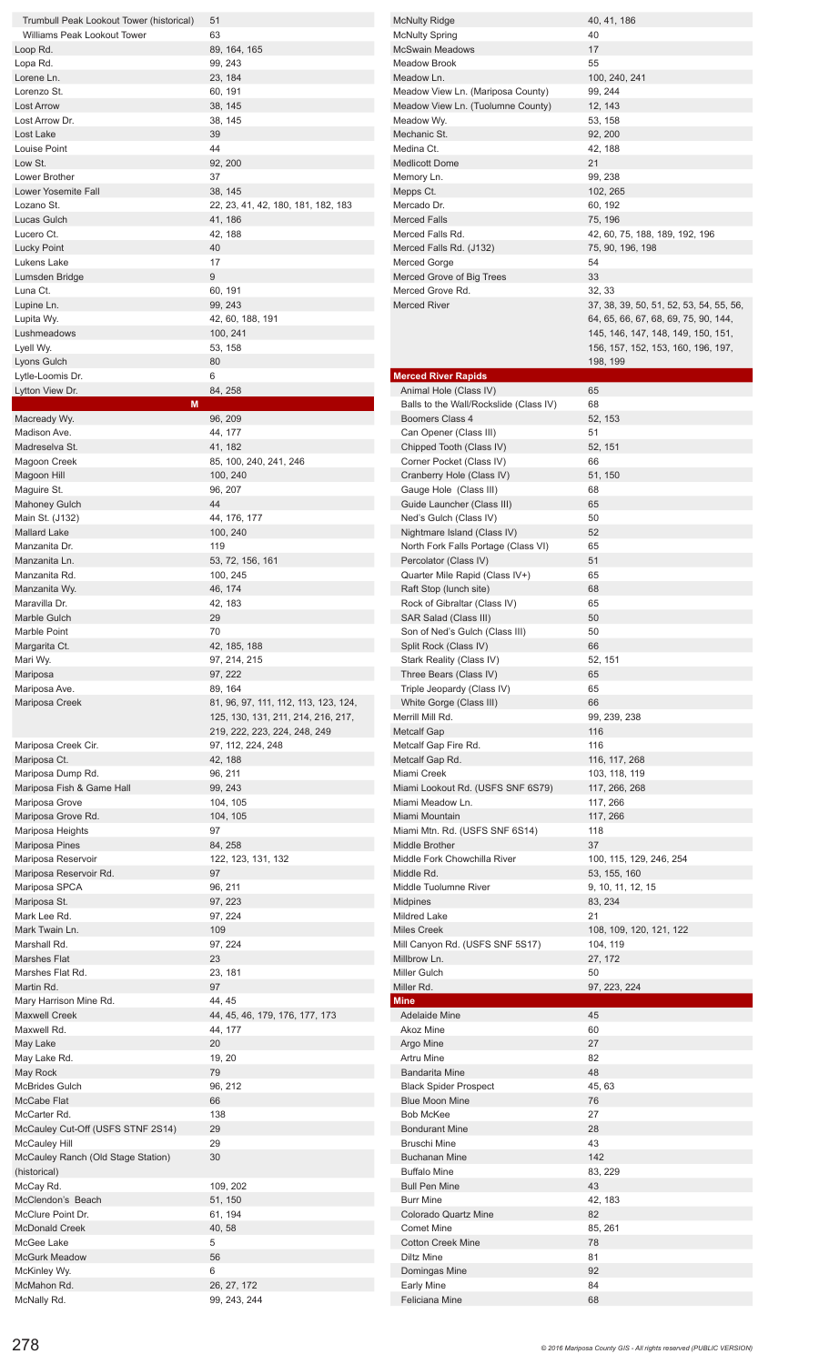| Trumbull Peak Lookout Tower (historical) | 51                                   | <b>McNulty Ridge</b>                   | 40, 41, 186                             |
|------------------------------------------|--------------------------------------|----------------------------------------|-----------------------------------------|
| Williams Peak Lookout Tower              | 63                                   | <b>McNulty Spring</b>                  | 40                                      |
| Loop Rd.                                 | 89, 164, 165                         | <b>McSwain Meadows</b>                 | 17                                      |
| Lopa Rd.                                 | 99, 243                              | <b>Meadow Brook</b>                    | 55                                      |
| Lorene Ln.                               | 23, 184                              | Meadow Ln.                             | 100, 240, 241                           |
|                                          |                                      |                                        |                                         |
| Lorenzo St.                              | 60, 191                              | Meadow View Ln. (Mariposa County)      | 99, 244                                 |
| <b>Lost Arrow</b>                        | 38, 145                              | Meadow View Ln. (Tuolumne County)      | 12, 143                                 |
| Lost Arrow Dr.                           | 38, 145                              | Meadow Wy.                             | 53, 158                                 |
| Lost Lake                                | 39                                   | Mechanic St.                           | 92, 200                                 |
| Louise Point                             | 44                                   | Medina Ct.                             | 42, 188                                 |
| Low St.                                  | 92, 200                              | <b>Medlicott Dome</b>                  | 21                                      |
| Lower Brother                            | 37                                   | Memory Ln.                             | 99, 238                                 |
| <b>Lower Yosemite Fall</b>               | 38, 145                              |                                        | 102, 265                                |
|                                          |                                      | Mepps Ct.                              |                                         |
| Lozano St.                               | 22, 23, 41, 42, 180, 181, 182, 183   | Mercado Dr.                            | 60, 192                                 |
| Lucas Gulch                              | 41, 186                              | <b>Merced Falls</b>                    | 75, 196                                 |
| Lucero Ct.                               | 42, 188                              | Merced Falls Rd.                       | 42, 60, 75, 188, 189, 192, 196          |
| <b>Lucky Point</b>                       | 40                                   | Merced Falls Rd. (J132)                | 75, 90, 196, 198                        |
| Lukens Lake                              | 17                                   | Merced Gorge                           | 54                                      |
| Lumsden Bridge                           | 9                                    | Merced Grove of Big Trees              | 33                                      |
| Luna Ct.                                 | 60, 191                              | Merced Grove Rd.                       | 32, 33                                  |
| Lupine Ln.                               | 99, 243                              | <b>Merced River</b>                    | 37, 38, 39, 50, 51, 52, 53, 54, 55, 56, |
|                                          |                                      |                                        |                                         |
| Lupita Wy.                               | 42, 60, 188, 191                     |                                        | 64, 65, 66, 67, 68, 69, 75, 90, 144,    |
| Lushmeadows                              | 100, 241                             |                                        | 145, 146, 147, 148, 149, 150, 151,      |
| Lyell Wy.                                | 53, 158                              |                                        | 156, 157, 152, 153, 160, 196, 197,      |
| Lyons Gulch                              | 80                                   |                                        | 198, 199                                |
| Lytle-Loomis Dr.                         | 6                                    | <b>Merced River Rapids</b>             |                                         |
| Lytton View Dr.                          | 84, 258                              | Animal Hole (Class IV)                 | 65                                      |
| M                                        |                                      | Balls to the Wall/Rockslide (Class IV) | 68                                      |
| Macready Wy.                             | 96, 209                              | Boomers Class 4                        | 52, 153                                 |
| Madison Ave.                             | 44, 177                              |                                        | 51                                      |
|                                          |                                      | Can Opener (Class III)                 |                                         |
| Madreselva St.                           | 41, 182                              | Chipped Tooth (Class IV)               | 52, 151                                 |
| Magoon Creek                             | 85, 100, 240, 241, 246               | Corner Pocket (Class IV)               | 66                                      |
| Magoon Hill                              | 100, 240                             | Cranberry Hole (Class IV)              | 51, 150                                 |
| Maguire St.                              | 96, 207                              | Gauge Hole (Class III)                 | 68                                      |
| <b>Mahoney Gulch</b>                     | 44                                   | Guide Launcher (Class III)             | 65                                      |
| Main St. (J132)                          | 44, 176, 177                         | Ned's Gulch (Class IV)                 | 50                                      |
| Mallard Lake                             | 100, 240                             | Nightmare Island (Class IV)            | 52                                      |
| Manzanita Dr.                            | 119                                  | North Fork Falls Portage (Class VI)    | 65                                      |
|                                          |                                      |                                        |                                         |
| Manzanita Ln.                            | 53, 72, 156, 161                     | Percolator (Class IV)                  | 51                                      |
| Manzanita Rd.                            | 100, 245                             | Quarter Mile Rapid (Class IV+)         | 65                                      |
| Manzanita Wy.                            | 46, 174                              | Raft Stop (lunch site)                 | 68                                      |
| Maravilla Dr.                            | 42, 183                              | Rock of Gibraltar (Class IV)           | 65                                      |
| Marble Gulch                             | 29                                   | SAR Salad (Class III)                  | 50                                      |
| Marble Point                             | 70                                   | Son of Ned's Gulch (Class III)         | 50                                      |
| Margarita Ct.                            | 42, 185, 188                         | Split Rock (Class IV)                  | 66                                      |
| Mari Wy.                                 | 97, 214, 215                         | Stark Reality (Class IV)               | 52, 151                                 |
| Mariposa                                 | 97, 222                              | Three Bears (Class IV)                 | 65                                      |
|                                          |                                      |                                        |                                         |
| Mariposa Ave.                            | 89, 164                              | Triple Jeopardy (Class IV)             | 65                                      |
| Mariposa Creek                           | 81, 96, 97, 111, 112, 113, 123, 124, | White Gorge (Class III)                | 66                                      |
|                                          | 125, 130, 131, 211, 214, 216, 217,   | Merrill Mill Rd.                       | 99, 239, 238                            |
|                                          | 219, 222, 223, 224, 248, 249         | <b>Metcalf Gap</b>                     | 116                                     |
| Mariposa Creek Cir.                      | 97, 112, 224, 248                    | Metcalf Gap Fire Rd.                   | 116                                     |
| Mariposa Ct.                             | 42, 188                              | Metcalf Gap Rd.                        | 116, 117, 268                           |
| Mariposa Dump Rd.                        | 96, 211                              | Miami Creek                            | 103, 118, 119                           |
| Mariposa Fish & Game Hall                | 99, 243                              | Miami Lookout Rd. (USFS SNF 6S79)      | 117, 266, 268                           |
| Mariposa Grove                           | 104, 105                             | Miami Meadow Ln.                       | 117, 266                                |
|                                          |                                      |                                        |                                         |
| Mariposa Grove Rd.                       | 104, 105                             | Miami Mountain                         | 117, 266                                |
| Mariposa Heights                         | 97                                   | Miami Mtn. Rd. (USFS SNF 6S14)         | 118                                     |
| <b>Mariposa Pines</b>                    | 84, 258                              | Middle Brother                         | 37                                      |
| Mariposa Reservoir                       | 122, 123, 131, 132                   | Middle Fork Chowchilla River           | 100, 115, 129, 246, 254                 |
| Mariposa Reservoir Rd.                   | 97                                   | Middle Rd.                             | 53, 155, 160                            |
| Mariposa SPCA                            | 96, 211                              | Middle Tuolumne River                  | 9, 10, 11, 12, 15                       |
| Mariposa St.                             | 97, 223                              | <b>Midpines</b>                        | 83, 234                                 |
| Mark Lee Rd.                             | 97, 224                              | <b>Mildred Lake</b>                    | 21                                      |
| Mark Twain Ln.                           | 109                                  | <b>Miles Creek</b>                     | 108, 109, 120, 121, 122                 |
| Marshall Rd.                             | 97, 224                              | Mill Canyon Rd. (USFS SNF 5S17)        | 104, 119                                |
| <b>Marshes Flat</b>                      | 23                                   | Millbrow Ln.                           |                                         |
|                                          |                                      |                                        | 27, 172                                 |
| Marshes Flat Rd.                         | 23, 181                              | <b>Miller Gulch</b>                    | 50                                      |
| Martin Rd.                               | 97                                   | Miller Rd.                             | 97, 223, 224                            |
| Mary Harrison Mine Rd.                   | 44, 45                               | <b>Mine</b>                            |                                         |
| <b>Maxwell Creek</b>                     | 44, 45, 46, 179, 176, 177, 173       | <b>Adelaide Mine</b>                   | 45                                      |
| Maxwell Rd.                              | 44, 177                              | Akoz Mine                              | 60                                      |
| May Lake                                 | 20                                   | Argo Mine                              | 27                                      |
| May Lake Rd.                             | 19, 20                               | Artru Mine                             | 82                                      |
| May Rock                                 | 79                                   | <b>Bandarita Mine</b>                  | 48                                      |
| <b>McBrides Gulch</b>                    | 96, 212                              | <b>Black Spider Prospect</b>           | 45, 63                                  |
| McCabe Flat                              | 66                                   | <b>Blue Moon Mine</b>                  | 76                                      |
|                                          |                                      |                                        |                                         |
| McCarter Rd.                             | 138                                  | <b>Bob McKee</b>                       | 27                                      |
| McCauley Cut-Off (USFS STNF 2S14)        | 29                                   | <b>Bondurant Mine</b>                  | 28                                      |
| <b>McCauley Hill</b>                     | 29                                   | <b>Bruschi Mine</b>                    | 43                                      |
| McCauley Ranch (Old Stage Station)       | 30                                   | <b>Buchanan Mine</b>                   | 142                                     |
| (historical)                             |                                      | <b>Buffalo Mine</b>                    | 83, 229                                 |
| McCay Rd.                                | 109, 202                             | <b>Bull Pen Mine</b>                   | 43                                      |
| McClendon's Beach                        | 51, 150                              | <b>Burr Mine</b>                       | 42, 183                                 |
| McClure Point Dr.                        | 61, 194                              | <b>Colorado Quartz Mine</b>            | 82                                      |
| <b>McDonald Creek</b>                    | 40, 58                               | <b>Comet Mine</b>                      | 85, 261                                 |
|                                          | 5                                    |                                        | 78                                      |
| McGee Lake                               |                                      | <b>Cotton Creek Mine</b>               |                                         |
| <b>McGurk Meadow</b>                     |                                      |                                        |                                         |
|                                          | 56                                   | <b>Diltz Mine</b>                      | 81                                      |
| McKinley Wy.                             | 6                                    | Domingas Mine                          | 92                                      |
| McMahon Rd.<br>McNally Rd.               | 26, 27, 172<br>99, 243, 244          | Early Mine<br>Feliciana Mine           | 84<br>68                                |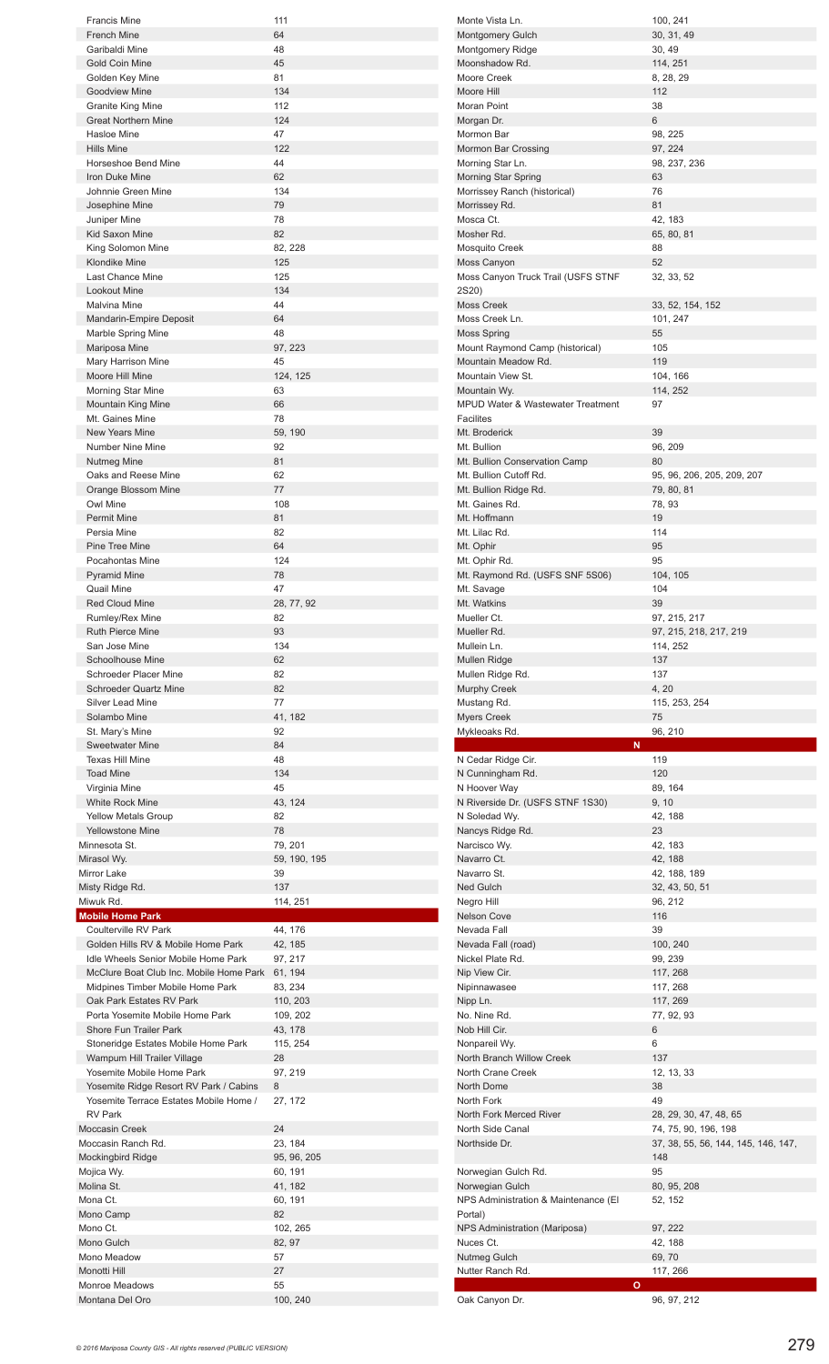| <b>Francis Mine</b>                                                              | 111                |
|----------------------------------------------------------------------------------|--------------------|
| <b>French Mine</b><br>Garibaldi Mine                                             | 64<br>48           |
| <b>Gold Coin Mine</b>                                                            | 45                 |
| Golden Key Mine                                                                  | 81                 |
| <b>Goodview Mine</b>                                                             | 134                |
| <b>Granite King Mine</b>                                                         | 112                |
| <b>Great Northern Mine</b>                                                       | 124                |
| Hasloe Mine                                                                      | 47                 |
| Hills Mine                                                                       | 122                |
| Horseshoe Bend Mine                                                              | 44                 |
| Iron Duke Mine<br>Johnnie Green Mine                                             | 62<br>134          |
| Josephine Mine                                                                   | 79                 |
| Juniper Mine                                                                     | 78                 |
| Kid Saxon Mine                                                                   | 82                 |
| King Solomon Mine                                                                | 82, 228            |
| <b>Klondike Mine</b>                                                             | 125                |
| Last Chance Mine                                                                 | 125                |
| Lookout Mine                                                                     | 134                |
| Malvina Mine                                                                     | 44                 |
| Mandarin-Empire Deposit<br>Marble Spring Mine                                    | 64<br>48           |
| Mariposa Mine                                                                    | 97, 223            |
| Mary Harrison Mine                                                               | 45                 |
| Moore Hill Mine                                                                  | 124, 125           |
| <b>Morning Star Mine</b>                                                         | 63                 |
| <b>Mountain King Mine</b>                                                        | 66                 |
| Mt. Gaines Mine                                                                  | 78                 |
| <b>New Years Mine</b>                                                            | 59, 190            |
| Number Nine Mine                                                                 | 92                 |
| Nutmeg Mine<br>Oaks and Reese Mine                                               | 81<br>62           |
| Orange Blossom Mine                                                              | 77                 |
| Owl Mine                                                                         | 108                |
| <b>Permit Mine</b>                                                               | 81                 |
| Persia Mine                                                                      | 82                 |
| Pine Tree Mine                                                                   | 64                 |
| Pocahontas Mine                                                                  | 124                |
| <b>Pyramid Mine</b>                                                              | 78                 |
| Quail Mine                                                                       | 47                 |
| <b>Red Cloud Mine</b>                                                            | 28, 77, 92         |
| Rumley/Rex Mine<br><b>Ruth Pierce Mine</b>                                       | 82<br>93           |
| San Jose Mine                                                                    | 134                |
| Schoolhouse Mine                                                                 | 62                 |
| Schroeder Placer Mine                                                            | 82                 |
| <b>Schroeder Quartz Mine</b>                                                     | 82                 |
| <b>Silver Lead Mine</b>                                                          | 77                 |
| Solambo Mine                                                                     | 41, 182            |
| St. Mary's Mine                                                                  | 92                 |
|                                                                                  | 84                 |
| <b>Sweetwater Mine</b>                                                           |                    |
| <b>Texas Hill Mine</b>                                                           | 48                 |
| <b>Toad Mine</b>                                                                 | 134                |
| Virginia Mine                                                                    | 45                 |
| White Rock Mine<br><b>Yellow Metals Group</b>                                    | 43, 124<br>82      |
| <b>Yellowstone Mine</b>                                                          | 78                 |
| Minnesota St.                                                                    | 79, 201            |
| Mirasol Wy.                                                                      | 59, 190, 195       |
| Mirror Lake                                                                      | 39                 |
| Misty Ridge Rd.                                                                  | 137                |
| Miwuk Rd.                                                                        | 114, 251           |
| <b>Mobile Home Park</b><br>Coulterville RV Park                                  |                    |
| Golden Hills RV & Mobile Home Park                                               | 44, 176            |
| Idle Wheels Senior Mobile Home Park                                              | 42, 185<br>97, 217 |
| McClure Boat Club Inc. Mobile Home Park                                          | 61, 194            |
| Midpines Timber Mobile Home Park                                                 | 83, 234            |
| Oak Park Estates RV Park                                                         | 110, 203           |
| Porta Yosemite Mobile Home Park                                                  | 109, 202           |
| Shore Fun Trailer Park                                                           | 43, 178            |
| Stoneridge Estates Mobile Home Park                                              | 115, 254           |
| Wampum Hill Trailer Village<br>Yosemite Mobile Home Park                         | 28                 |
|                                                                                  | 97, 219<br>8       |
| Yosemite Ridge Resort RV Park / Cabins<br>Yosemite Terrace Estates Mobile Home / | 27, 172            |
| <b>RV Park</b>                                                                   |                    |
| <b>Moccasin Creek</b>                                                            | 24                 |
| Moccasin Ranch Rd.                                                               | 23, 184            |
| <b>Mockingbird Ridge</b>                                                         | 95, 96, 205        |
| Mojica Wy.                                                                       | 60, 191            |
| Molina St.                                                                       | 41, 182            |
| Mona Ct.                                                                         | 60, 191            |
| Mono Camp                                                                        | 82                 |
| Mono Ct.<br>Mono Gulch                                                           | 102, 265<br>82, 97 |
| Mono Meadow                                                                      | 57                 |
| Monotti Hill                                                                     | 27                 |
| <b>Monroe Meadows</b><br>Montana Del Oro                                         | 55<br>100, 240     |

| Monte Vista Ln.                                         | 100, 241                            |
|---------------------------------------------------------|-------------------------------------|
| <b>Montgomery Gulch</b>                                 | 30, 31, 49                          |
| Montgomery Ridge                                        | 30, 49                              |
| Moonshadow Rd.<br>Moore Creek                           | 114, 251                            |
| Moore Hill                                              | 8, 28, 29<br>112                    |
| Moran Point                                             | 38                                  |
| Morgan Dr.                                              | 6                                   |
| Mormon Bar                                              | 98, 225                             |
| Mormon Bar Crossing                                     | 97, 224                             |
| Morning Star Ln.                                        | 98, 237, 236                        |
| Morning Star Spring                                     | 63                                  |
| Morrissey Ranch (historical)                            | 76<br>81                            |
| Morrissey Rd.<br>Mosca Ct.                              | 42, 183                             |
| Mosher Rd.                                              | 65, 80, 81                          |
| Mosquito Creek                                          | 88                                  |
| Moss Canyon                                             | 52                                  |
| Moss Canyon Truck Trail (USFS STNF                      | 32, 33, 52                          |
| 2S20)                                                   |                                     |
| <b>Moss Creek</b>                                       | 33, 52, 154, 152                    |
| Moss Creek Ln.<br>Moss Spring                           | 101, 247<br>55                      |
| Mount Raymond Camp (historical)                         | 105                                 |
| Mountain Meadow Rd.                                     | 119                                 |
| Mountain View St.                                       | 104, 166                            |
| Mountain Wy.                                            | 114, 252                            |
| <b>MPUD Water &amp; Wastewater Treatment</b>            | 97                                  |
| Facilites                                               |                                     |
| Mt. Broderick                                           | 39                                  |
| Mt. Bullion                                             | 96, 209                             |
| Mt. Bullion Conservation Camp<br>Mt. Bullion Cutoff Rd. | 80<br>95, 96, 206, 205, 209, 207    |
| Mt. Bullion Ridge Rd.                                   | 79, 80, 81                          |
| Mt. Gaines Rd.                                          | 78, 93                              |
| Mt. Hoffmann                                            | 19                                  |
| Mt. Lilac Rd.                                           | 114                                 |
| Mt. Ophir                                               | 95                                  |
| Mt. Ophir Rd.                                           | 95                                  |
| Mt. Raymond Rd. (USFS SNF 5S06)                         | 104, 105                            |
| Mt. Savage<br>Mt. Watkins                               | 104<br>39                           |
| Mueller Ct.                                             | 97, 215, 217                        |
| Mueller Rd.                                             | 97, 215, 218, 217, 219              |
| Mullein Ln.                                             | 114, 252                            |
|                                                         |                                     |
| Mullen Ridge                                            | 137                                 |
| Mullen Ridge Rd.                                        | 137                                 |
| <b>Murphy Creek</b>                                     | 4, 20                               |
| Mustang Rd.                                             | 115, 253, 254                       |
| <b>Myers Creek</b>                                      | 75                                  |
| Mykleoaks Rd.<br>N                                      | 96, 210                             |
| N Cedar Ridge Cir.                                      | 119                                 |
| N Cunningham Rd.                                        | 120                                 |
| N Hoover Way                                            | 89, 164                             |
| N Riverside Dr. (USFS STNF 1S30)                        | 9, 10                               |
| N Soledad Wy.                                           | 42, 188<br>23                       |
| Nancys Ridge Rd.<br>Narcisco Wy.                        | 42, 183                             |
| Navarro Ct.                                             | 42, 188                             |
| Navarro St.                                             | 42, 188, 189                        |
| Ned Gulch                                               | 32, 43, 50, 51                      |
| Negro Hill                                              | 96, 212                             |
| <b>Nelson Cove</b>                                      | 116                                 |
| Nevada Fall                                             | 39                                  |
| Nevada Fall (road)<br>Nickel Plate Rd.                  | 100, 240<br>99, 239                 |
| Nip View Cir.                                           | 117, 268                            |
| Nipinnawasee                                            | 117, 268                            |
| Nipp Ln.                                                | 117, 269                            |
| No. Nine Rd.                                            | 77, 92, 93                          |
| Nob Hill Cir.                                           | 6                                   |
| Nonpareil Wy.                                           | 6                                   |
| North Branch Willow Creek<br>North Crane Creek          | 137<br>12, 13, 33                   |
| North Dome                                              | 38                                  |
| North Fork                                              | 49                                  |
| North Fork Merced River                                 | 28, 29, 30, 47, 48, 65              |
| North Side Canal                                        | 74, 75, 90, 196, 198                |
| Northside Dr.                                           | 37, 38, 55, 56, 144, 145, 146, 147, |
|                                                         | 148                                 |
| Norwegian Gulch Rd.                                     | 95                                  |
| Norwegian Gulch<br>NPS Administration & Maintenance (El | 80, 95, 208<br>52, 152              |
| Portal)                                                 |                                     |
| NPS Administration (Mariposa)                           | 97, 222                             |
| Nuces Ct.                                               | 42, 188                             |
| Nutmeg Gulch                                            | 69,70                               |
| Nutter Ranch Rd.<br>$\mathbf{o}$                        | 117, 266                            |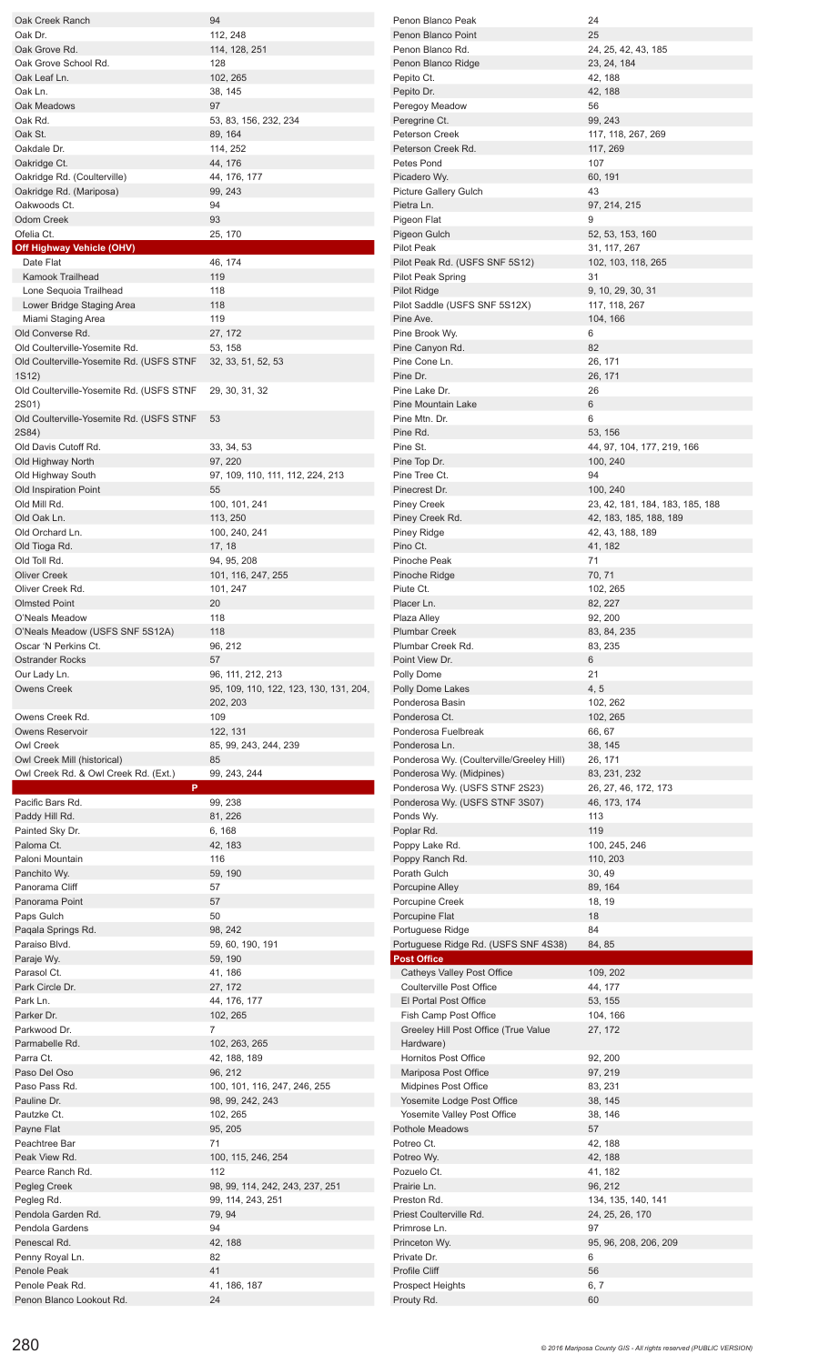| Oak Creek Ranch                                         | 94                                     | Penon Blanco Peak                                     | 24                                          |
|---------------------------------------------------------|----------------------------------------|-------------------------------------------------------|---------------------------------------------|
| Oak Dr.                                                 | 112, 248                               | Penon Blanco Point                                    | 25                                          |
| Oak Grove Rd.                                           | 114, 128, 251                          | Penon Blanco Rd.                                      | 24, 25, 42, 43, 185                         |
| Oak Grove School Rd.                                    | 128                                    | Penon Blanco Ridge                                    | 23, 24, 184                                 |
| Oak Leaf Ln.                                            | 102, 265                               | Pepito Ct.                                            | 42, 188                                     |
| Oak Ln.                                                 | 38, 145                                | Pepito Dr.                                            | 42, 188                                     |
| Oak Meadows                                             | 97                                     | Peregoy Meadow                                        | 56                                          |
| Oak Rd.                                                 | 53, 83, 156, 232, 234                  | Peregrine Ct.                                         | 99, 243                                     |
| Oak St.                                                 | 89, 164                                | Peterson Creek                                        | 117, 118, 267, 269                          |
| Oakdale Dr.                                             | 114, 252                               | Peterson Creek Rd.                                    | 117, 269                                    |
| Oakridge Ct.                                            | 44, 176                                | Petes Pond                                            | 107                                         |
| Oakridge Rd. (Coulterville)                             | 44, 176, 177                           | Picadero Wy.                                          | 60, 191                                     |
| Oakridge Rd. (Mariposa)                                 | 99, 243                                | Picture Gallery Gulch                                 | 43                                          |
| Oakwoods Ct.                                            | 94                                     | Pietra Ln.                                            | 97, 214, 215                                |
| Odom Creek                                              | 93                                     | Pigeon Flat                                           | 9                                           |
| Ofelia Ct.                                              | 25, 170                                | Pigeon Gulch                                          | 52, 53, 153, 160                            |
| <b>Off Highway Vehicle (OHV)</b>                        |                                        | <b>Pilot Peak</b>                                     | 31, 117, 267                                |
| Date Flat                                               | 46, 174                                | Pilot Peak Rd. (USFS SNF 5S12)                        | 102, 103, 118, 265                          |
| Kamook Trailhead                                        | 119                                    | <b>Pilot Peak Spring</b>                              | 31                                          |
| Lone Sequoia Trailhead                                  | 118                                    | <b>Pilot Ridge</b>                                    | 9, 10, 29, 30, 31                           |
| Lower Bridge Staging Area                               | 118                                    | Pilot Saddle (USFS SNF 5S12X)                         | 117, 118, 267                               |
| Miami Staging Area                                      | 119                                    | Pine Ave.                                             | 104, 166                                    |
| Old Converse Rd.                                        | 27, 172                                | Pine Brook Wy.                                        | 6                                           |
| Old Coulterville-Yosemite Rd.                           | 53, 158                                | Pine Canyon Rd.                                       | 82                                          |
| Old Coulterville-Yosemite Rd. (USFS STNF                | 32, 33, 51, 52, 53                     | Pine Cone Ln.                                         | 26, 171                                     |
| 1S12)                                                   |                                        | Pine Dr.                                              | 26, 171                                     |
| Old Coulterville-Yosemite Rd. (USFS STNF 29, 30, 31, 32 |                                        | Pine Lake Dr.                                         | 26                                          |
| 2S01)                                                   |                                        | <b>Pine Mountain Lake</b>                             | 6                                           |
| Old Coulterville-Yosemite Rd. (USFS STNF 53             |                                        | Pine Mtn. Dr.                                         | 6                                           |
| 2S84)                                                   |                                        | Pine Rd.                                              | 53, 156                                     |
| Old Davis Cutoff Rd.                                    | 33, 34, 53                             | Pine St.                                              | 44, 97, 104, 177, 219, 166                  |
| Old Highway North                                       | 97, 220                                | Pine Top Dr.                                          | 100, 240                                    |
| Old Highway South                                       | 97, 109, 110, 111, 112, 224, 213<br>55 | Pine Tree Ct.                                         | 94                                          |
| Old Inspiration Point<br>Old Mill Rd.                   | 100, 101, 241                          | Pinecrest Dr.<br><b>Piney Creek</b>                   | 100, 240<br>23, 42, 181, 184, 183, 185, 188 |
| Old Oak Ln.                                             | 113, 250                               | Piney Creek Rd.                                       |                                             |
| Old Orchard Ln.                                         | 100, 240, 241                          |                                                       | 42, 183, 185, 188, 189                      |
| Old Tioga Rd.                                           | 17, 18                                 | Piney Ridge<br>Pino Ct.                               | 42, 43, 188, 189<br>41, 182                 |
| Old Toll Rd.                                            | 94, 95, 208                            | Pinoche Peak                                          | 71                                          |
| <b>Oliver Creek</b>                                     | 101, 116, 247, 255                     | Pinoche Ridge                                         | 70, 71                                      |
| Oliver Creek Rd.                                        | 101, 247                               | Piute Ct.                                             | 102, 265                                    |
| <b>Olmsted Point</b>                                    | 20                                     | Placer Ln.                                            | 82, 227                                     |
| O'Neals Meadow                                          | 118                                    | Plaza Alley                                           | 92, 200                                     |
| O'Neals Meadow (USFS SNF 5S12A)                         | 118                                    | <b>Plumbar Creek</b>                                  | 83, 84, 235                                 |
| Oscar 'N Perkins Ct.                                    | 96, 212                                | Plumbar Creek Rd.                                     | 83, 235                                     |
| <b>Ostrander Rocks</b>                                  | 57                                     | Point View Dr.                                        | 6                                           |
|                                                         |                                        |                                                       |                                             |
|                                                         |                                        |                                                       |                                             |
| Our Lady Ln.                                            | 96, 111, 212, 213                      | Polly Dome                                            | 21                                          |
| <b>Owens Creek</b>                                      | 95, 109, 110, 122, 123, 130, 131, 204, | Polly Dome Lakes<br>Ponderosa Basin                   | 4, 5                                        |
| Owens Creek Rd.                                         | 202, 203<br>109                        | Ponderosa Ct.                                         | 102, 262                                    |
| <b>Owens Reservoir</b>                                  |                                        | Ponderosa Fuelbreak                                   | 102, 265                                    |
| Owl Creek                                               | 122, 131<br>85, 99, 243, 244, 239      | Ponderosa Ln.                                         | 66, 67<br>38, 145                           |
| Owl Creek Mill (historical)                             | 85                                     | Ponderosa Wy. (Coulterville/Greeley Hill)             | 26, 171                                     |
| Owl Creek Rd. & Owl Creek Rd. (Ext.)                    | 99, 243, 244                           | Ponderosa Wy. (Midpines)                              | 83, 231, 232                                |
| P                                                       |                                        | Ponderosa Wy. (USFS STNF 2S23)                        | 26, 27, 46, 172, 173                        |
| Pacific Bars Rd.                                        | 99, 238                                | Ponderosa Wy. (USFS STNF 3S07)                        | 46, 173, 174                                |
| Paddy Hill Rd.                                          | 81, 226                                | Ponds Wy.                                             | 113                                         |
| Painted Sky Dr.                                         | 6, 168                                 | Poplar Rd.                                            | 119                                         |
| Paloma Ct.                                              | 42, 183                                | Poppy Lake Rd.                                        | 100, 245, 246                               |
| Paloni Mountain                                         | 116                                    | Poppy Ranch Rd.                                       | 110, 203                                    |
| Panchito Wy.                                            | 59, 190                                | Porath Gulch                                          | 30, 49                                      |
| Panorama Cliff                                          | 57                                     | Porcupine Alley                                       | 89, 164                                     |
| Panorama Point                                          | 57                                     | Porcupine Creek                                       | 18, 19                                      |
| Paps Gulch                                              | 50                                     | Porcupine Flat                                        | 18                                          |
| Paqala Springs Rd.                                      | 98, 242                                | Portuguese Ridge                                      | 84                                          |
| Paraiso Blvd.                                           | 59, 60, 190, 191                       | Portuguese Ridge Rd. (USFS SNF 4S38)                  | 84, 85                                      |
| Paraje Wy.                                              | 59, 190                                | <b>Post Office</b>                                    |                                             |
| Parasol Ct.                                             | 41, 186                                | Catheys Valley Post Office                            | 109, 202                                    |
| Park Circle Dr.                                         | 27, 172                                | <b>Coulterville Post Office</b>                       | 44, 177                                     |
| Park Ln.                                                | 44, 176, 177                           | El Portal Post Office                                 | 53, 155                                     |
| Parker Dr.                                              | 102, 265                               | Fish Camp Post Office                                 | 104, 166                                    |
| Parkwood Dr.                                            | $\overline{7}$                         | Greeley Hill Post Office (True Value                  | 27, 172                                     |
| Parmabelle Rd.                                          | 102, 263, 265                          | Hardware)                                             |                                             |
| Parra Ct.                                               | 42, 188, 189                           | Hornitos Post Office                                  | 92, 200                                     |
| Paso Del Oso                                            | 96, 212                                | Mariposa Post Office                                  | 97, 219                                     |
| Paso Pass Rd.<br>Pauline Dr.                            | 100, 101, 116, 247, 246, 255           | Midpines Post Office                                  | 83, 231                                     |
| Pautzke Ct.                                             | 98, 99, 242, 243                       | Yosemite Lodge Post Office                            | 38, 145                                     |
|                                                         | 102, 265                               | Yosemite Valley Post Office<br><b>Pothole Meadows</b> | 38, 146<br>57                               |
| Payne Flat<br>Peachtree Bar                             | 95, 205<br>71                          | Potreo Ct.                                            | 42, 188                                     |
| Peak View Rd.                                           | 100, 115, 246, 254                     | Potreo Wy.                                            | 42, 188                                     |
| Pearce Ranch Rd.                                        | 112                                    | Pozuelo Ct.                                           | 41, 182                                     |
| Pegleg Creek                                            | 98, 99, 114, 242, 243, 237, 251        | Prairie Ln.                                           | 96, 212                                     |
| Pegleg Rd.                                              | 99, 114, 243, 251                      | Preston Rd.                                           |                                             |
| Pendola Garden Rd.                                      | 79, 94                                 | Priest Coulterville Rd.                               | 134, 135, 140, 141<br>24, 25, 26, 170       |
| Pendola Gardens                                         | 94                                     | Primrose Ln.                                          | 97                                          |
| Penescal Rd.                                            | 42, 188                                | Princeton Wy.                                         | 95, 96, 208, 206, 209                       |
| Penny Royal Ln.                                         | 82                                     | Private Dr.                                           | 6                                           |
| Penole Peak                                             | 41                                     | Profile Cliff                                         | 56                                          |
| Penole Peak Rd.                                         | 41, 186, 187                           | <b>Prospect Heights</b>                               | 6, 7                                        |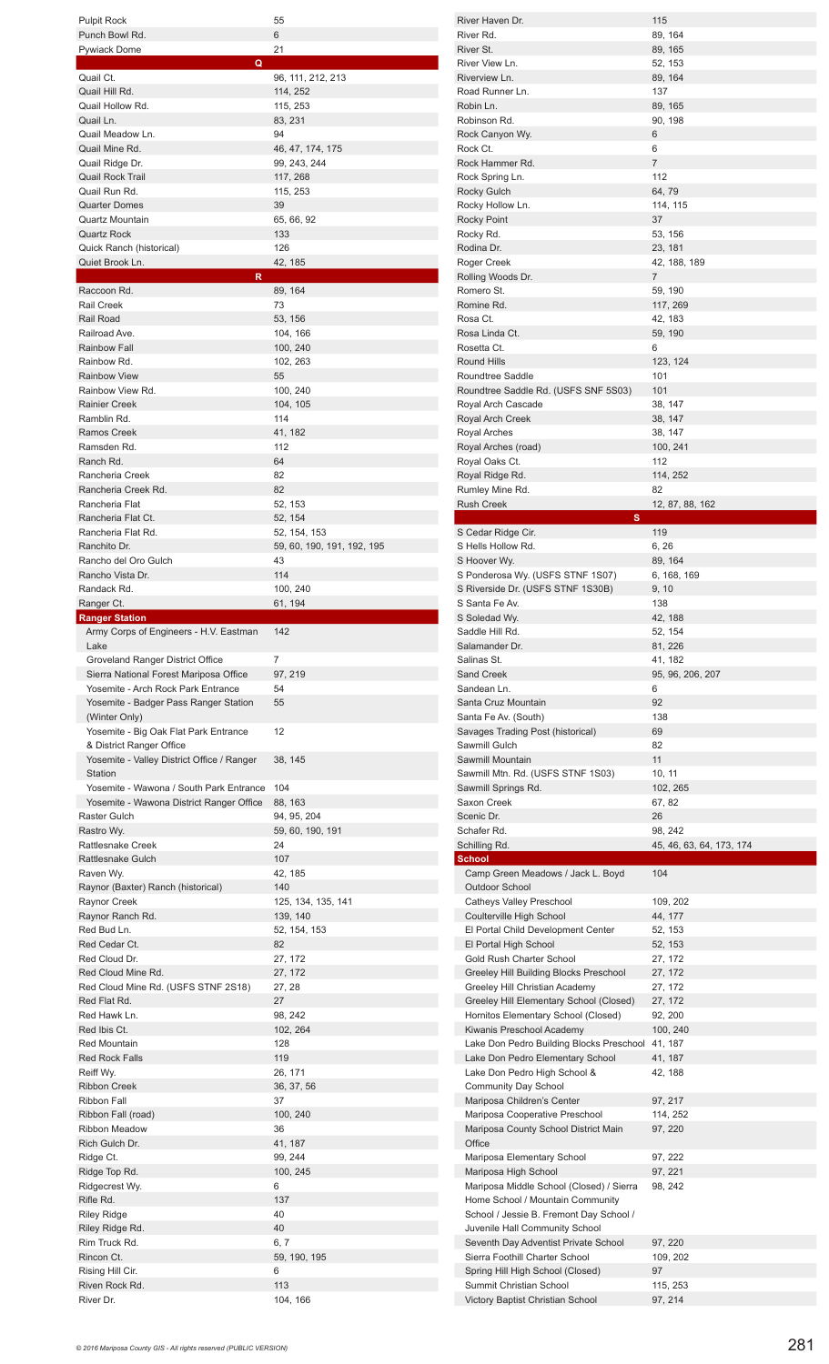| <b>Pulpit Rock</b><br>Punch Bowl Rd.                   | 55<br>6                    |
|--------------------------------------------------------|----------------------------|
| <b>Pywiack Dome</b>                                    | 21                         |
| Q<br>Quail Ct.                                         | 96, 111, 212, 213          |
| Quail Hill Rd.                                         | 114, 252                   |
| Quail Hollow Rd.                                       | 115, 253                   |
| Quail Ln.<br>Quail Meadow Ln.                          | 83, 231<br>94              |
| Quail Mine Rd.                                         | 46, 47, 174, 175           |
| Quail Ridge Dr.                                        | 99, 243, 244               |
| <b>Quail Rock Trail</b>                                | 117, 268                   |
| Quail Run Rd.<br><b>Quarter Domes</b>                  | 115, 253<br>39             |
| Quartz Mountain                                        | 65, 66, 92                 |
| <b>Quartz Rock</b>                                     | 133                        |
| Quick Ranch (historical)<br>Quiet Brook Ln.            | 126<br>42, 185             |
| R                                                      |                            |
| Raccoon Rd.                                            | 89, 164                    |
| <b>Rail Creek</b><br>Rail Road                         | 73<br>53, 156              |
| Railroad Ave.                                          | 104, 166                   |
| Rainbow Fall                                           | 100, 240                   |
| Rainbow Rd.<br><b>Rainbow View</b>                     | 102, 263<br>55             |
| Rainbow View Rd.                                       | 100, 240                   |
| <b>Rainier Creek</b>                                   | 104, 105                   |
| Ramblin Rd.                                            | 114                        |
| Ramos Creek<br>Ramsden Rd.                             | 41, 182<br>112             |
| Ranch Rd.                                              | 64                         |
| Rancheria Creek                                        | 82                         |
| Rancheria Creek Rd.                                    | 82                         |
| Rancheria Flat<br>Rancheria Flat Ct.                   | 52, 153<br>52, 154         |
| Rancheria Flat Rd.                                     | 52, 154, 153               |
| Ranchito Dr.                                           | 59, 60, 190, 191, 192, 195 |
| Rancho del Oro Gulch                                   | 43                         |
| Rancho Vista Dr.<br>Randack Rd.                        | 114<br>100, 240            |
| Ranger Ct.                                             | 61, 194                    |
| <b>Ranger Station</b>                                  |                            |
| Army Corps of Engineers - H.V. Eastman<br>Lake         | 142                        |
|                                                        |                            |
| Groveland Ranger District Office                       | 7                          |
| Sierra National Forest Mariposa Office                 | 97, 219                    |
| Yosemite - Arch Rock Park Entrance                     | 54                         |
| Yosemite - Badger Pass Ranger Station                  | 55                         |
| (Winter Only)<br>Yosemite - Big Oak Flat Park Entrance | 12                         |
| & District Ranger Office                               |                            |
| Yosemite - Valley District Office / Ranger             | 38, 145                    |
| Station<br>Yosemite - Wawona / South Park Entrance     | 104                        |
| Yosemite - Wawona District Ranger Office               | 88, 163                    |
| Raster Gulch                                           | 94, 95, 204                |
| Rastro Wy.                                             | 59, 60, 190, 191           |
| Rattlesnake Creek<br><b>Rattlesnake Gulch</b>          | 24<br>107                  |
| Raven Wy.                                              | 42, 185                    |
| Raynor (Baxter) Ranch (historical)                     | 140                        |
| Raynor Creek                                           | 125, 134, 135, 141         |
| Raynor Ranch Rd.<br>Red Bud Ln.                        | 139, 140<br>52, 154, 153   |
| Red Cedar Ct.                                          | 82                         |
| Red Cloud Dr.                                          | 27, 172                    |
| Red Cloud Mine Rd.                                     | 27, 172                    |
| Red Cloud Mine Rd. (USFS STNF 2S18)<br>Red Flat Rd.    | 27, 28<br>27               |
| Red Hawk Ln.                                           | 98, 242                    |
| Red Ibis Ct.                                           | 102, 264                   |
| <b>Red Mountain</b><br><b>Red Rock Falls</b>           | 128<br>119                 |
| Reiff Wy.                                              | 26, 171                    |
| <b>Ribbon Creek</b>                                    | 36, 37, 56                 |
| <b>Ribbon Fall</b>                                     | 37                         |
| Ribbon Fall (road)<br><b>Ribbon Meadow</b>             | 100, 240<br>36             |
| Rich Gulch Dr.                                         | 41, 187                    |
| Ridge Ct.                                              | 99, 244                    |
| Ridge Top Rd.                                          | 100, 245<br>6              |
| Ridgecrest Wy.<br>Rifle Rd.                            | 137                        |
| <b>Riley Ridge</b>                                     | 40                         |
| Riley Ridge Rd.                                        | 40                         |
| Rim Truck Rd.<br>Rincon Ct.                            | 6, 7                       |
| Rising Hill Cir.                                       | 59, 190, 195<br>6          |
| Riven Rock Rd.<br>River Dr.                            | 113<br>104, 166            |

| River Haven Dr.                                                    | 115                      |
|--------------------------------------------------------------------|--------------------------|
| River Rd.                                                          | 89, 164                  |
| River St.                                                          | 89, 165                  |
| River View Ln.                                                     | 52, 153                  |
| Riverview Ln.                                                      | 89, 164                  |
| Road Runner Ln.                                                    | 137                      |
| Robin Ln.                                                          | 89, 165                  |
| Robinson Rd.                                                       | 90, 198                  |
| Rock Canyon Wy.                                                    | 6                        |
| Rock Ct.                                                           | 6                        |
| Rock Hammer Rd.                                                    | $\overline{7}$           |
| Rock Spring Ln.                                                    | 112                      |
| <b>Rocky Gulch</b>                                                 | 64, 79                   |
| Rocky Hollow Ln.                                                   | 114, 115                 |
| <b>Rocky Point</b>                                                 | 37                       |
| Rocky Rd.                                                          | 53, 156                  |
| Rodina Dr.                                                         | 23, 181                  |
| Roger Creek                                                        | 42, 188, 189             |
| Rolling Woods Dr.                                                  | $\overline{7}$           |
| Romero St.                                                         | 59, 190                  |
| Romine Rd.<br>Rosa Ct.                                             | 117, 269<br>42, 183      |
| Rosa Linda Ct.                                                     | 59, 190                  |
| Rosetta Ct.                                                        | 6                        |
| <b>Round Hills</b>                                                 | 123, 124                 |
| Roundtree Saddle                                                   | 101                      |
| Roundtree Saddle Rd. (USFS SNF 5S03)                               | 101                      |
| Royal Arch Cascade                                                 | 38, 147                  |
| Royal Arch Creek                                                   | 38, 147                  |
| Royal Arches                                                       | 38, 147                  |
| Royal Arches (road)                                                | 100, 241                 |
| Royal Oaks Ct.                                                     | 112                      |
| Royal Ridge Rd.                                                    | 114, 252                 |
| Rumley Mine Rd.                                                    | 82                       |
| <b>Rush Creek</b>                                                  | 12, 87, 88, 162          |
| s                                                                  |                          |
| S Cedar Ridge Cir.                                                 | 119                      |
| S Hells Hollow Rd.                                                 | 6, 26                    |
| S Hoover Wy.                                                       | 89, 164                  |
| S Ponderosa Wy. (USFS STNF 1S07)                                   | 6, 168, 169              |
| S Riverside Dr. (USFS STNF 1S30B)                                  | 9, 10                    |
| S Santa Fe Av.                                                     | 138                      |
| S Soledad Wy.                                                      | 42, 188                  |
| Saddle Hill Rd.                                                    | 52, 154                  |
| Salamander Dr.                                                     | 81, 226                  |
|                                                                    |                          |
| Salinas St.                                                        | 41, 182                  |
| <b>Sand Creek</b>                                                  | 95, 96, 206, 207         |
| Sandean Ln.                                                        | 6                        |
| Santa Cruz Mountain                                                | 92                       |
| Santa Fe Av. (South)                                               | 138                      |
| Savages Trading Post (historical)<br>Sawmill Gulch                 | 69<br>82                 |
| Sawmill Mountain                                                   | 11                       |
| Sawmill Mtn. Rd. (USFS STNF 1S03)                                  | 10, 11                   |
| Sawmill Springs Rd.                                                | 102, 265                 |
| Saxon Creek                                                        | 67, 82                   |
| Scenic Dr.                                                         | 26                       |
| Schafer Rd.                                                        | 98, 242                  |
| Schilling Rd.                                                      | 45, 46, 63, 64, 173, 174 |
| <b>School</b>                                                      |                          |
| Camp Green Meadows / Jack L. Boyd                                  | 104                      |
| Outdoor School                                                     |                          |
| Catheys Valley Preschool                                           | 109, 202                 |
| Coulterville High School                                           | 44, 177                  |
| El Portal Child Development Center                                 | 52, 153                  |
| El Portal High School                                              | 52, 153                  |
| Gold Rush Charter School                                           | 27, 172                  |
| Greeley Hill Building Blocks Preschool                             | 27, 172                  |
| Greeley Hill Christian Academy                                     | 27, 172                  |
| Greeley Hill Elementary School (Closed)                            | 27, 172                  |
| Hornitos Elementary School (Closed)                                | 92, 200                  |
| Kiwanis Preschool Academy                                          | 100, 240                 |
| Lake Don Pedro Building Blocks Preschool                           | 41, 187                  |
| Lake Don Pedro Elementary School<br>Lake Don Pedro High School &   | 41, 187<br>42, 188       |
| <b>Community Day School</b>                                        |                          |
| Mariposa Children's Center                                         | 97, 217                  |
| Mariposa Cooperative Preschool                                     | 114, 252                 |
| Mariposa County School District Main                               | 97, 220                  |
| Office                                                             |                          |
| Mariposa Elementary School                                         | 97, 222                  |
| Mariposa High School                                               | 97, 221                  |
| Mariposa Middle School (Closed) / Sierra                           | 98, 242                  |
| Home School / Mountain Community                                   |                          |
| School / Jessie B. Fremont Day School /                            |                          |
| Juvenile Hall Community School                                     |                          |
| Seventh Day Adventist Private School                               | 97, 220                  |
| Sierra Foothill Charter School                                     | 109, 202                 |
| Spring Hill High School (Closed)                                   | 97                       |
| Summit Christian School<br><b>Victory Baptist Christian School</b> | 115, 253<br>97, 214      |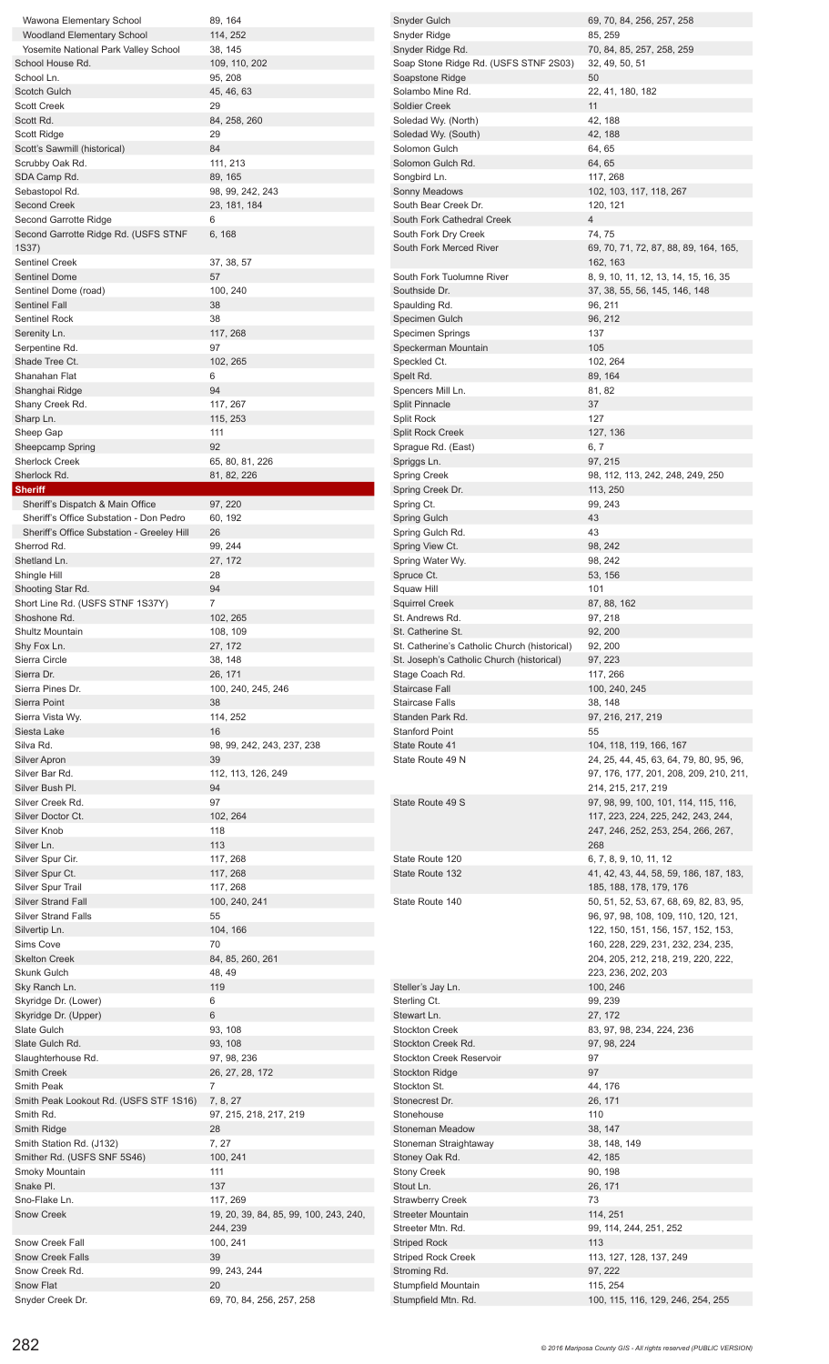| Wawona Elementary School                                                                                                       | 89, 164                                | Snyder Gulch                                 | 69, 70, 84, 256, 257, 258                     |
|--------------------------------------------------------------------------------------------------------------------------------|----------------------------------------|----------------------------------------------|-----------------------------------------------|
| Woodland Elementary School                                                                                                     | 114, 252                               | Snyder Ridge                                 | 85, 259                                       |
| Yosemite National Park Valley School                                                                                           | 38, 145                                | Snyder Ridge Rd.                             | 70, 84, 85, 257, 258, 259                     |
| School House Rd.                                                                                                               | 109, 110, 202                          | Soap Stone Ridge Rd. (USFS STNF 2S03)        | 32, 49, 50, 51                                |
| School Ln.                                                                                                                     | 95, 208                                | Soapstone Ridge                              | 50                                            |
| Scotch Gulch                                                                                                                   | 45, 46, 63                             | Solambo Mine Rd.                             | 22, 41, 180, 182                              |
| <b>Scott Creek</b>                                                                                                             | 29                                     | Soldier Creek                                | 11                                            |
| Scott Rd.                                                                                                                      | 84, 258, 260                           | Soledad Wy. (North)                          | 42, 188                                       |
| Scott Ridge                                                                                                                    | 29                                     | Soledad Wy. (South)                          | 42, 188                                       |
| Scott's Sawmill (historical)                                                                                                   | 84                                     | Solomon Gulch                                | 64, 65                                        |
| Scrubby Oak Rd.                                                                                                                | 111, 213                               | Solomon Gulch Rd.                            | 64, 65                                        |
| SDA Camp Rd.                                                                                                                   | 89, 165                                | Songbird Ln.                                 | 117, 268                                      |
| Sebastopol Rd.                                                                                                                 | 98, 99, 242, 243                       | Sonny Meadows                                | 102, 103, 117, 118, 267                       |
| <b>Second Creek</b>                                                                                                            | 23, 181, 184                           | South Bear Creek Dr.                         | 120, 121                                      |
| Second Garrotte Ridge                                                                                                          | 6                                      | South Fork Cathedral Creek                   | $\overline{4}$                                |
| Second Garrotte Ridge Rd. (USFS STNF                                                                                           | 6, 168                                 | South Fork Dry Creek                         | 74, 75                                        |
| 1S37)                                                                                                                          |                                        | South Fork Merced River                      | 69, 70, 71, 72, 87, 88, 89, 164, 165,         |
| <b>Sentinel Creek</b>                                                                                                          | 37, 38, 57                             |                                              | 162, 163                                      |
| <b>Sentinel Dome</b>                                                                                                           | 57                                     | South Fork Tuolumne River                    | 8, 9, 10, 11, 12, 13, 14, 15, 16, 35          |
| Sentinel Dome (road)                                                                                                           | 100, 240                               | Southside Dr.                                | 37, 38, 55, 56, 145, 146, 148                 |
| Sentinel Fall                                                                                                                  | 38                                     | Spaulding Rd.                                | 96, 211                                       |
| <b>Sentinel Rock</b>                                                                                                           | 38                                     | Specimen Gulch                               | 96, 212                                       |
| Serenity Ln.                                                                                                                   | 117, 268                               | Specimen Springs                             | 137                                           |
| Serpentine Rd.                                                                                                                 | 97                                     |                                              | 105                                           |
|                                                                                                                                | 102, 265                               | Speckerman Mountain                          | 102, 264                                      |
| Shade Tree Ct.                                                                                                                 |                                        | Speckled Ct.                                 |                                               |
| Shanahan Flat                                                                                                                  | 6                                      | Spelt Rd.                                    | 89, 164                                       |
| Shanghai Ridge                                                                                                                 | 94                                     | Spencers Mill Ln.                            | 81, 82                                        |
| Shany Creek Rd.                                                                                                                | 117, 267                               | <b>Split Pinnacle</b>                        | 37                                            |
| Sharp Ln.                                                                                                                      | 115, 253                               | Split Rock                                   | 127                                           |
| Sheep Gap                                                                                                                      | 111                                    | <b>Split Rock Creek</b>                      | 127, 136                                      |
| Sheepcamp Spring                                                                                                               | 92                                     | Sprague Rd. (East)                           | 6, 7                                          |
| <b>Sherlock Creek</b>                                                                                                          | 65, 80, 81, 226                        | Spriggs Ln.                                  | 97, 215                                       |
| Sherlock Rd.                                                                                                                   | 81, 82, 226                            | <b>Spring Creek</b>                          | 98, 112, 113, 242, 248, 249, 250              |
| <b>Sheriff</b>                                                                                                                 |                                        | Spring Creek Dr.                             | 113, 250                                      |
| Sheriff's Dispatch & Main Office                                                                                               | 97, 220                                | Spring Ct.                                   | 99, 243                                       |
| Sheriff's Office Substation - Don Pedro                                                                                        | 60, 192                                | <b>Spring Gulch</b>                          | 43                                            |
| Sheriff's Office Substation - Greeley Hill                                                                                     | 26                                     | Spring Gulch Rd.                             | 43                                            |
| Sherrod Rd.                                                                                                                    | 99, 244                                | Spring View Ct.                              | 98, 242                                       |
| Shetland Ln.                                                                                                                   | 27, 172                                | Spring Water Wy.                             | 98, 242                                       |
| Shingle Hill                                                                                                                   | 28                                     | Spruce Ct.                                   | 53, 156                                       |
| Shooting Star Rd.                                                                                                              | 94                                     | Squaw Hill                                   | 101                                           |
| Short Line Rd. (USFS STNF 1S37Y)                                                                                               | $\overline{7}$                         | <b>Squirrel Creek</b>                        | 87, 88, 162                                   |
| Shoshone Rd.                                                                                                                   | 102, 265                               | St. Andrews Rd.                              | 97, 218                                       |
| Shultz Mountain                                                                                                                | 108, 109                               | St. Catherine St.                            | 92, 200                                       |
| Shy Fox Ln.                                                                                                                    | 27, 172                                | St. Catherine's Catholic Church (historical) | 92, 200                                       |
| Sierra Circle                                                                                                                  | 38, 148                                |                                              | 97, 223                                       |
|                                                                                                                                |                                        | St. Joseph's Catholic Church (historical)    |                                               |
| Sierra Dr.                                                                                                                     | 26, 171                                | Stage Coach Rd.                              | 117, 266                                      |
| Sierra Pines Dr.                                                                                                               | 100, 240, 245, 246                     | <b>Staircase Fall</b>                        | 100, 240, 245                                 |
| Sierra Point                                                                                                                   | 38                                     | <b>Staircase Falls</b>                       | 38, 148                                       |
| Sierra Vista Wy.                                                                                                               | 114, 252                               | Standen Park Rd.                             | 97, 216, 217, 219                             |
| Siesta Lake                                                                                                                    | 16                                     | <b>Stanford Point</b>                        | 55                                            |
| Silva Rd.                                                                                                                      | 98, 99, 242, 243, 237, 238             | State Route 41                               | 104, 118, 119, 166, 167                       |
|                                                                                                                                | 39                                     | State Route 49 N                             | 24, 25, 44, 45, 63, 64, 79, 80, 95, 96,       |
| Silver Apron                                                                                                                   |                                        |                                              |                                               |
|                                                                                                                                | 112, 113, 126, 249                     |                                              | 97, 176, 177, 201, 208, 209, 210, 211,        |
|                                                                                                                                | 94                                     |                                              | 214, 215, 217, 219                            |
|                                                                                                                                | 97                                     | State Route 49 S                             | 97, 98, 99, 100, 101, 114, 115, 116,          |
| Silver Doctor Ct.                                                                                                              | 102, 264                               |                                              | 117, 223, 224, 225, 242, 243, 244,            |
|                                                                                                                                | 118                                    |                                              | 247, 246, 252, 253, 254, 266, 267,            |
| Silver Ln.                                                                                                                     | 113                                    |                                              | 268                                           |
|                                                                                                                                | 117, 268                               | State Route 120                              | 6, 7, 8, 9, 10, 11, 12                        |
| Silver Spur Ct.                                                                                                                | 117, 268                               | State Route 132                              | 41, 42, 43, 44, 58, 59, 186, 187, 183,        |
|                                                                                                                                | 117, 268                               |                                              | 185, 188, 178, 179, 176                       |
|                                                                                                                                |                                        | State Route 140                              |                                               |
| <b>Silver Strand Fall</b>                                                                                                      | 100, 240, 241<br>55                    |                                              | 50, 51, 52, 53, 67, 68, 69, 82, 83, 95,       |
| <b>Silver Strand Falls</b>                                                                                                     |                                        |                                              | 96, 97, 98, 108, 109, 110, 120, 121,          |
| Silvertip Ln.                                                                                                                  | 104, 166                               |                                              | 122, 150, 151, 156, 157, 152, 153,            |
| Sims Cove                                                                                                                      | 70                                     |                                              | 160, 228, 229, 231, 232, 234, 235,            |
| <b>Skelton Creek</b>                                                                                                           | 84, 85, 260, 261                       |                                              | 204, 205, 212, 218, 219, 220, 222,            |
| Skunk Gulch                                                                                                                    | 48, 49                                 |                                              | 223, 236, 202, 203                            |
| Silver Bar Rd.<br>Silver Bush Pl.<br>Silver Creek Rd.<br>Silver Knob<br>Silver Spur Cir.<br>Silver Spur Trail<br>Sky Ranch Ln. | 119                                    | Steller's Jay Ln.                            | 100, 246                                      |
| Skyridge Dr. (Lower)                                                                                                           | 6                                      | Sterling Ct.                                 | 99, 239                                       |
| Skyridge Dr. (Upper)                                                                                                           | 6                                      | Stewart Ln.                                  | 27, 172                                       |
| Slate Gulch                                                                                                                    | 93, 108                                | <b>Stockton Creek</b>                        | 83, 97, 98, 234, 224, 236                     |
| Slate Gulch Rd.                                                                                                                | 93, 108                                | Stockton Creek Rd.                           | 97, 98, 224                                   |
| Slaughterhouse Rd.                                                                                                             | 97, 98, 236                            | Stockton Creek Reservoir                     | 97                                            |
| Smith Creek                                                                                                                    | 26, 27, 28, 172                        | <b>Stockton Ridge</b>                        | 97                                            |
| Smith Peak                                                                                                                     | $\overline{7}$                         | Stockton St.                                 | 44, 176                                       |
| Smith Peak Lookout Rd. (USFS STF 1S16)                                                                                         | 7, 8, 27                               | Stonecrest Dr.                               | 26, 171                                       |
| Smith Rd.                                                                                                                      | 97, 215, 218, 217, 219                 | Stonehouse                                   | 110                                           |
| Smith Ridge                                                                                                                    | 28                                     | Stoneman Meadow                              | 38, 147                                       |
| Smith Station Rd. (J132)                                                                                                       | 7, 27                                  | Stoneman Straightaway                        | 38, 148, 149                                  |
| Smither Rd. (USFS SNF 5S46)                                                                                                    | 100, 241                               | Stoney Oak Rd.                               | 42, 185                                       |
|                                                                                                                                | 111                                    | <b>Stony Creek</b>                           | 90, 198                                       |
| Snake Pl.                                                                                                                      | 137                                    |                                              |                                               |
|                                                                                                                                |                                        | Stout Ln.                                    | 26, 171                                       |
| Sno-Flake Ln.                                                                                                                  | 117, 269                               | <b>Strawberry Creek</b>                      | 73                                            |
| Snow Creek                                                                                                                     | 19, 20, 39, 84, 85, 99, 100, 243, 240, | <b>Streeter Mountain</b>                     | 114, 251                                      |
| Smoky Mountain                                                                                                                 | 244, 239                               | Streeter Mtn. Rd.                            | 99, 114, 244, 251, 252                        |
| Snow Creek Fall                                                                                                                | 100, 241                               | <b>Striped Rock</b>                          | 113                                           |
| Snow Creek Falls                                                                                                               | 39                                     | <b>Striped Rock Creek</b>                    | 113, 127, 128, 137, 249                       |
| Snow Creek Rd.                                                                                                                 | 99, 243, 244                           | Stroming Rd.                                 | 97, 222                                       |
| Snow Flat<br>Snyder Creek Dr.                                                                                                  | 20<br>69, 70, 84, 256, 257, 258        | Stumpfield Mountain<br>Stumpfield Mtn. Rd.   | 115, 254<br>100, 115, 116, 129, 246, 254, 255 |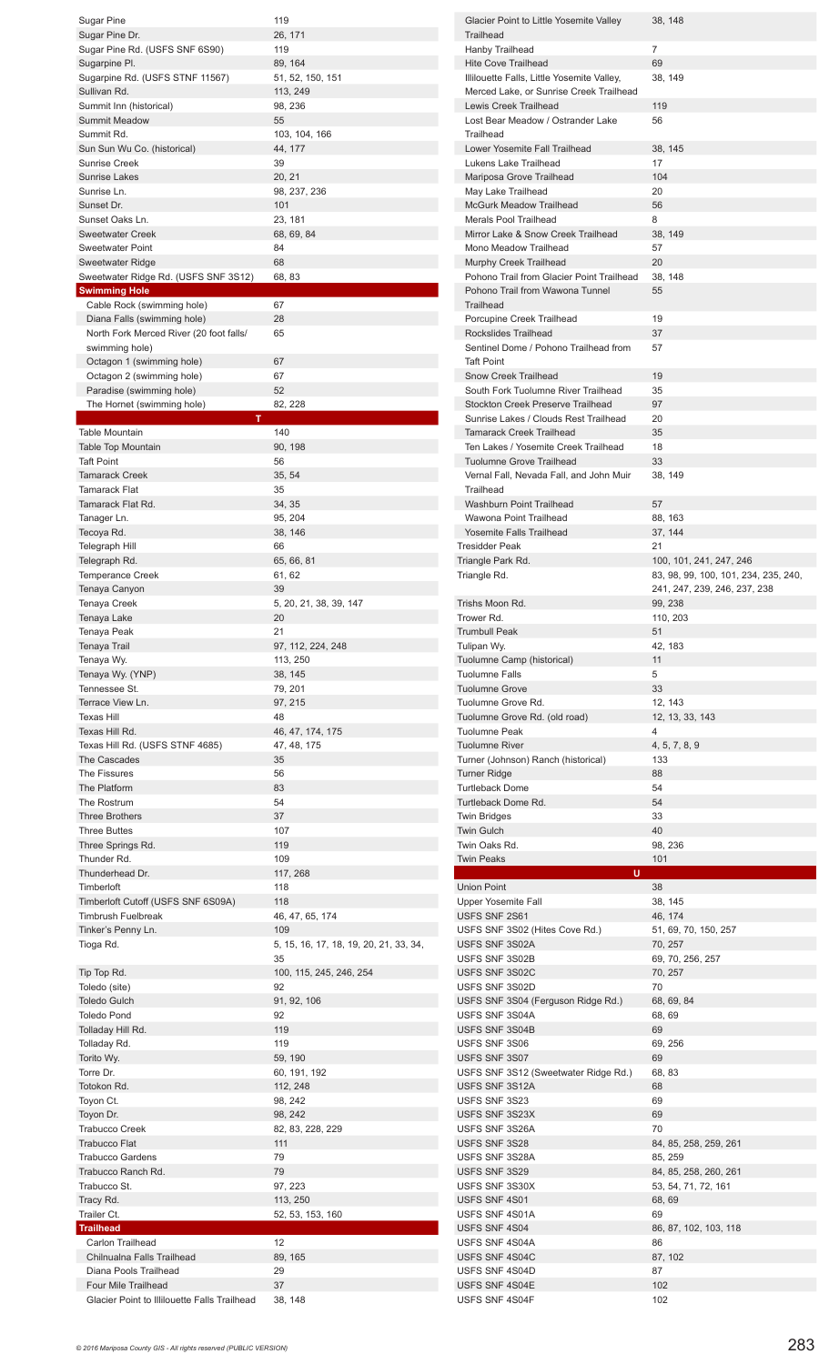| <b>Sugar Pine</b>                                                   | 119                                    |
|---------------------------------------------------------------------|----------------------------------------|
| Sugar Pine Dr.                                                      | 26, 171                                |
|                                                                     |                                        |
| Sugar Pine Rd. (USFS SNF 6S90)                                      | 119                                    |
| Sugarpine Pl.                                                       | 89, 164                                |
| Sugarpine Rd. (USFS STNF 11567)                                     | 51, 52, 150, 151                       |
| Sullivan Rd.                                                        | 113, 249                               |
| Summit Inn (historical)                                             | 98, 236                                |
| <b>Summit Meadow</b>                                                | 55                                     |
| Summit Rd.                                                          | 103, 104, 166                          |
| Sun Sun Wu Co. (historical)                                         | 44, 177                                |
| <b>Sunrise Creek</b>                                                | 39                                     |
| Sunrise Lakes                                                       | 20, 21                                 |
| Sunrise Ln.                                                         | 98, 237, 236                           |
| Sunset Dr.                                                          | 101                                    |
| Sunset Oaks Ln.                                                     | 23, 181                                |
| <b>Sweetwater Creek</b>                                             | 68, 69, 84                             |
| <b>Sweetwater Point</b>                                             | 84                                     |
| Sweetwater Ridge                                                    | 68                                     |
| Sweetwater Ridge Rd. (USFS SNF 3S12)                                | 68, 83                                 |
| <b>Swimming Hole</b>                                                |                                        |
| Cable Rock (swimming hole)                                          | 67                                     |
| Diana Falls (swimming hole)                                         | 28                                     |
| North Fork Merced River (20 foot falls/                             | 65                                     |
| swimming hole)                                                      |                                        |
|                                                                     | 67                                     |
| Octagon 1 (swimming hole)                                           |                                        |
| Octagon 2 (swimming hole)                                           | 67                                     |
| Paradise (swimming hole)                                            | 52                                     |
| The Hornet (swimming hole)                                          | 82, 228                                |
| т                                                                   |                                        |
| <b>Table Mountain</b>                                               | 140                                    |
| Table Top Mountain                                                  | 90, 198                                |
| <b>Taft Point</b>                                                   | 56                                     |
| <b>Tamarack Creek</b>                                               | 35, 54                                 |
| <b>Tamarack Flat</b>                                                | 35                                     |
| Tamarack Flat Rd.                                                   | 34, 35                                 |
| Tanager Ln.                                                         | 95, 204                                |
| Tecoya Rd.                                                          | 38, 146                                |
| <b>Telegraph Hill</b>                                               | 66                                     |
| Telegraph Rd.                                                       | 65, 66, 81                             |
| <b>Temperance Creek</b>                                             | 61, 62                                 |
| Tenaya Canyon                                                       | 39                                     |
| Tenaya Creek                                                        | 5, 20, 21, 38, 39, 147                 |
| Tenaya Lake                                                         | 20                                     |
| Tenaya Peak                                                         | 21                                     |
| Tenaya Trail                                                        | 97, 112, 224, 248                      |
| Tenaya Wy.                                                          | 113, 250                               |
|                                                                     |                                        |
| Tenaya Wy. (YNP)                                                    | 38, 145                                |
| Tennessee St.                                                       | 79, 201                                |
|                                                                     |                                        |
| Terrace View Ln.                                                    | 97, 215                                |
| <b>Texas Hill</b>                                                   | 48                                     |
| Texas Hill Rd.                                                      | 46, 47, 174, 175                       |
| Texas Hill Rd. (USFS STNF 4685)                                     | 47, 48, 175                            |
| The Cascades                                                        | 35                                     |
| The Fissures                                                        | 56                                     |
| The Platform                                                        | 83                                     |
| The Rostrum                                                         | 54                                     |
| <b>Three Brothers</b>                                               | 37                                     |
| <b>Three Buttes</b>                                                 | 107                                    |
| Three Springs Rd.                                                   | 119                                    |
| Thunder Rd.                                                         | 109                                    |
| Thunderhead Dr.                                                     | 117, 268                               |
| Timberloft                                                          | 118                                    |
| Timberloft Cutoff (USFS SNF 6S09A)                                  | 118                                    |
| Timbrush Fuelbreak                                                  | 46, 47, 65, 174                        |
| Tinker's Penny Ln.                                                  | 109                                    |
| Tioga Rd.                                                           | 5, 15, 16, 17, 18, 19, 20, 21, 33, 34, |
|                                                                     | 35                                     |
| Tip Top Rd.                                                         | 100, 115, 245, 246, 254                |
| Toledo (site)                                                       | 92                                     |
| <b>Toledo Gulch</b>                                                 | 91, 92, 106                            |
| <b>Toledo Pond</b>                                                  | 92                                     |
| Tolladay Hill Rd.                                                   | 119                                    |
| Tolladay Rd.                                                        | 119                                    |
| Torito Wy.                                                          | 59, 190                                |
|                                                                     |                                        |
| Torre Dr.                                                           | 60, 191, 192                           |
| Totokon Rd.                                                         | 112, 248                               |
| Toyon Ct.                                                           | 98, 242                                |
| Toyon Dr.                                                           | 98, 242                                |
| <b>Trabucco Creek</b>                                               | 82, 83, 228, 229                       |
| <b>Trabucco Flat</b>                                                | 111                                    |
| <b>Trabucco Gardens</b>                                             | 79                                     |
| Trabucco Ranch Rd.                                                  | 79                                     |
| Trabucco St.                                                        | 97, 223                                |
| Tracy Rd.                                                           | 113, 250                               |
| Trailer Ct.                                                         | 52, 53, 153, 160                       |
| <b>Trailhead</b>                                                    |                                        |
| Carlon Trailhead                                                    | 12                                     |
| Chilnualna Falls Trailhead                                          | 89, 165                                |
| Diana Pools Trailhead                                               | 29                                     |
| Four Mile Trailhead<br>Glacier Point to Illilouette Falls Trailhead | 37<br>38, 148                          |

| Glacier Point to Little Yosemite Valley<br><b>Trailhead</b>                                                                                                   | 38, 148                                 |
|---------------------------------------------------------------------------------------------------------------------------------------------------------------|-----------------------------------------|
| Hanby Trailhead                                                                                                                                               | 7                                       |
| <b>Hite Cove Trailhead</b>                                                                                                                                    | 69                                      |
| Illilouette Falls, Little Yosemite Valley,                                                                                                                    | 38, 149                                 |
| Merced Lake, or Sunrise Creek Trailhead<br>Lewis Creek Trailhead                                                                                              | 119                                     |
| Lost Bear Meadow / Ostrander Lake                                                                                                                             | 56                                      |
| Trailhead                                                                                                                                                     |                                         |
| Lower Yosemite Fall Trailhead<br>Lukens Lake Trailhead                                                                                                        | 38, 145<br>17                           |
| Mariposa Grove Trailhead                                                                                                                                      | 104                                     |
| May Lake Trailhead                                                                                                                                            | 20                                      |
| <b>McGurk Meadow Trailhead</b><br>Merals Pool Trailhead                                                                                                       | 56                                      |
| Mirror Lake & Snow Creek Trailhead                                                                                                                            | 8<br>38, 149                            |
| Mono Meadow Trailhead                                                                                                                                         | 57                                      |
| Murphy Creek Trailhead                                                                                                                                        | 20                                      |
| Pohono Trail from Glacier Point Trailhead<br>Pohono Trail from Wawona Tunnel<br><b>Trailhead</b>                                                              | 38, 148<br>55                           |
| Porcupine Creek Trailhead                                                                                                                                     | 19                                      |
| Rockslides Trailhead<br>Sentinel Dome / Pohono Trailhead from                                                                                                 | 37<br>57                                |
| <b>Taft Point</b>                                                                                                                                             |                                         |
| Snow Creek Trailhead                                                                                                                                          | 19                                      |
| South Fork Tuolumne River Trailhead                                                                                                                           | 35                                      |
| <b>Stockton Creek Preserve Trailhead</b><br>Sunrise Lakes / Clouds Rest Trailhead                                                                             | 97<br>20                                |
| <b>Tamarack Creek Trailhead</b>                                                                                                                               | 35                                      |
| Ten Lakes / Yosemite Creek Trailhead                                                                                                                          | 18                                      |
| <b>Tuolumne Grove Trailhead</b><br>Vernal Fall, Nevada Fall, and John Muir                                                                                    | 33<br>38, 149                           |
| Trailhead                                                                                                                                                     |                                         |
| <b>Washburn Point Trailhead</b>                                                                                                                               | 57                                      |
| Wawona Point Trailhead                                                                                                                                        | 88, 163                                 |
| Yosemite Falls Trailhead<br><b>Tresidder Peak</b>                                                                                                             | 37, 144<br>21                           |
| Triangle Park Rd.                                                                                                                                             | 100, 101, 241, 247, 246                 |
| Triangle Rd.                                                                                                                                                  | 83, 98, 99, 100, 101, 234, 235, 240,    |
| Trishs Moon Rd.                                                                                                                                               | 241, 247, 239, 246, 237, 238<br>99, 238 |
| Trower Rd.                                                                                                                                                    | 110, 203                                |
| Trumbull Peak                                                                                                                                                 | 51                                      |
| Tulipan Wy.<br>Tuolumne Camp (historical)                                                                                                                     | 42, 183<br>11                           |
|                                                                                                                                                               |                                         |
| Tuolumne Falls                                                                                                                                                | 5                                       |
|                                                                                                                                                               | 33                                      |
|                                                                                                                                                               | 12, 143                                 |
|                                                                                                                                                               | 12, 13, 33, 143<br>4                    |
|                                                                                                                                                               | 4, 5, 7, 8, 9                           |
| <b>Tuolumne Grove</b><br>Tuolumne Grove Rd.<br>Tuolumne Grove Rd. (old road)<br>Tuolumne Peak<br><b>Tuolumne River</b><br>Turner (Johnson) Ranch (historical) | 133                                     |
| Turner Ridge<br>Turtleback Dome                                                                                                                               | 88<br>54                                |
| Turtleback Dome Rd.                                                                                                                                           | 54                                      |
|                                                                                                                                                               | 33                                      |
| <b>Twin Bridges</b><br>Twin Gulch<br>Twin Oaks Rd.                                                                                                            | 40<br>98, 236                           |
| Twin Peaks                                                                                                                                                    | 101                                     |
| U                                                                                                                                                             |                                         |
| Union Point                                                                                                                                                   | 38                                      |
| Upper Yosemite Fall<br>USFS SNF 2S61                                                                                                                          | 38, 145<br>46, 174                      |
|                                                                                                                                                               | 51, 69, 70, 150, 257                    |
|                                                                                                                                                               | 70, 257                                 |
|                                                                                                                                                               | 69, 70, 256, 257<br>70, 257             |
| USFS SNF 3S02 (Hites Cove Rd.)<br>USFS SNF 3S02A<br>USFS SNF 3S02B<br>USFS SNF 3S02C<br>USFS SNF 3S02D                                                        | 70                                      |
| USFS SNF 3S04 (Ferguson Ridge Rd.)                                                                                                                            | 68, 69, 84                              |
| USFS SNF 3S04A<br>USFS SNF 3S04B                                                                                                                              | 68, 69<br>69                            |
|                                                                                                                                                               | 69, 256                                 |
| USFS SNF 3S06<br>USFS SNF 3S07                                                                                                                                | 69                                      |
| USFS SNF 3S12 (Sweetwater Ridge Rd.)                                                                                                                          | 68, 83                                  |
| USFS SNF 3S12A<br>USFS SNF 3S23                                                                                                                               | 68<br>69                                |
| USFS SNF 3S23X                                                                                                                                                | 69                                      |
|                                                                                                                                                               | 70                                      |
| USFS SNF 3S26A<br>USFS SNF 3S28<br>USFS SNF 3S28A                                                                                                             | 84, 85, 258, 259, 261<br>85, 259        |
|                                                                                                                                                               | 84, 85, 258, 260, 261                   |
|                                                                                                                                                               | 53, 54, 71, 72, 161                     |
|                                                                                                                                                               | 68, 69<br>69                            |
| USFS SNF 3S29<br>USFS SNF 3S30X<br>USFS SNF 4S01<br>USFS SNF 4S01A<br>USFS SNF 4S04                                                                           | 86, 87, 102, 103, 118                   |
| USFS SNF 4S04A                                                                                                                                                | 86                                      |
| USFS SNF 4S04C                                                                                                                                                | 87, 102                                 |
| USFS SNF 4S04D<br>USFS SNF 4S04E                                                                                                                              | 87<br>102                               |
| USFS SNF 4S04F                                                                                                                                                | 102                                     |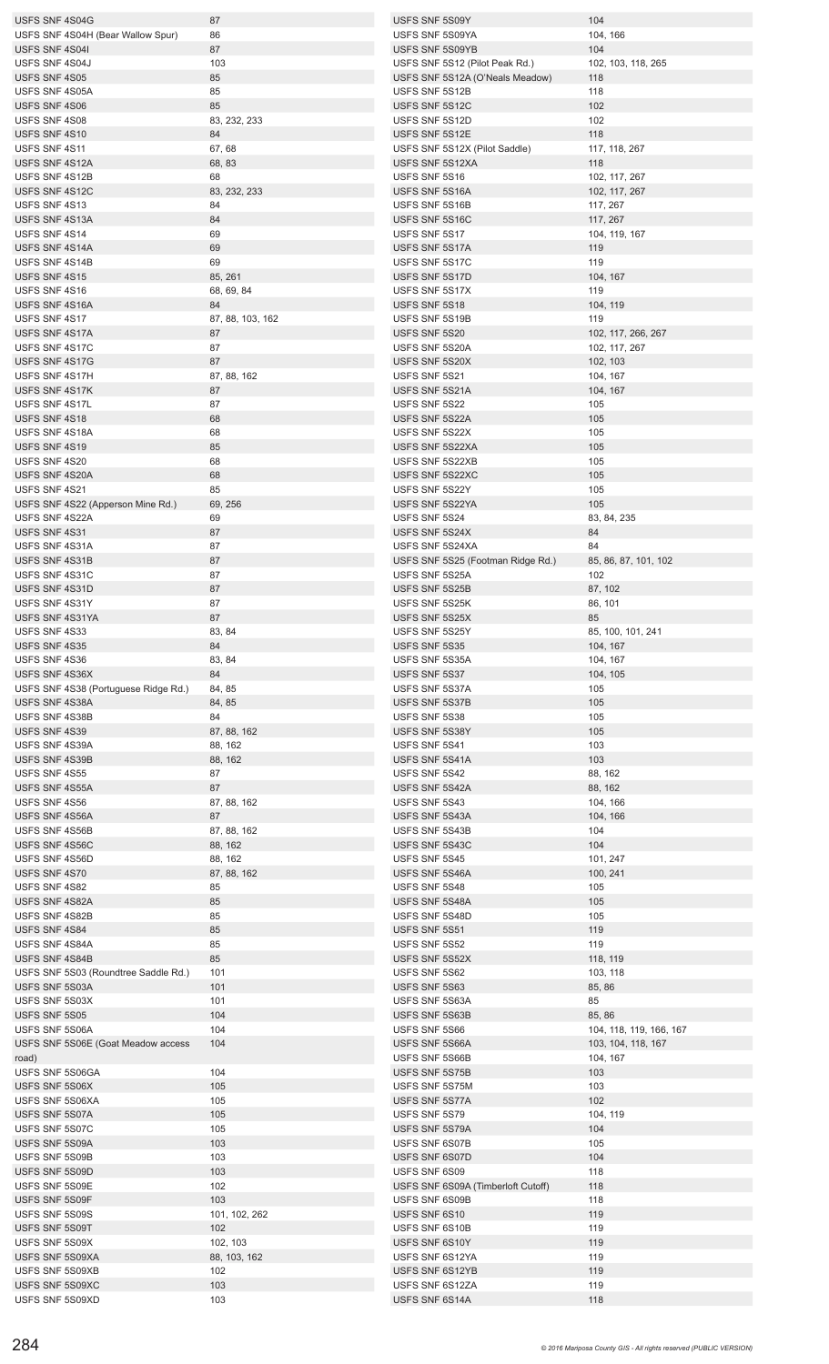| USFS SNF 4S04G                       | 87               | USFS SNF 5S09Y                     | 104                     |
|--------------------------------------|------------------|------------------------------------|-------------------------|
| USFS SNF 4S04H (Bear Wallow Spur)    | 86               | USFS SNF 5S09YA                    | 104, 166                |
| USFS SNF 4S041                       | 87               | USFS SNF 5S09YB                    | 104                     |
| USFS SNF 4S04J                       | 103              | USFS SNF 5S12 (Pilot Peak Rd.)     | 102, 103, 118, 265      |
| USFS SNF 4S05                        | 85               |                                    | 118                     |
|                                      |                  | USFS SNF 5S12A (O'Neals Meadow)    |                         |
| USFS SNF 4S05A                       | 85               | USFS SNF 5S12B                     | 118                     |
| USFS SNF 4S06                        | 85               | USFS SNF 5S12C                     | 102                     |
| USFS SNF 4S08                        | 83, 232, 233     | USFS SNF 5S12D                     | 102                     |
| USFS SNF 4S10                        | 84               | USFS SNF 5S12E                     | 118                     |
| USFS SNF 4S11                        | 67,68            | USFS SNF 5S12X (Pilot Saddle)      | 117, 118, 267           |
| USFS SNF 4S12A                       | 68, 83           | USFS SNF 5S12XA                    | 118                     |
| USFS SNF 4S12B                       | 68               | USFS SNF 5S16                      | 102, 117, 267           |
| USFS SNF 4S12C                       | 83, 232, 233     | USFS SNF 5S16A                     | 102, 117, 267           |
| USFS SNF 4S13                        | 84               | USFS SNF 5S16B                     | 117, 267                |
|                                      |                  |                                    |                         |
| USFS SNF 4S13A                       | 84               | USFS SNF 5S16C                     | 117, 267                |
| USFS SNF 4S14                        | 69               | USFS SNF 5S17                      | 104, 119, 167           |
| USFS SNF 4S14A                       | 69               | USFS SNF 5S17A                     | 119                     |
| USFS SNF 4S14B                       | 69               | USFS SNF 5S17C                     | 119                     |
| USFS SNF 4S15                        | 85, 261          | USFS SNF 5S17D                     | 104, 167                |
| USFS SNF 4S16                        | 68, 69, 84       | USFS SNF 5S17X                     | 119                     |
| USFS SNF 4S16A                       | 84               | USFS SNF 5S18                      | 104, 119                |
| USFS SNF 4S17                        | 87, 88, 103, 162 | USFS SNF 5S19B                     | 119                     |
|                                      |                  |                                    |                         |
| USFS SNF 4S17A                       | 87               | USFS SNF 5S20                      | 102, 117, 266, 267      |
| USFS SNF 4S17C                       | 87               | USFS SNF 5S20A                     | 102, 117, 267           |
| USFS SNF 4S17G                       | 87               | USFS SNF 5S20X                     | 102, 103                |
| USFS SNF 4S17H                       | 87, 88, 162      | USFS SNF 5S21                      | 104, 167                |
| USFS SNF 4S17K                       | 87               | USFS SNF 5S21A                     | 104, 167                |
| USFS SNF 4S17L                       | 87               | USFS SNF 5S22                      | 105                     |
| USFS SNF 4S18                        | 68               | USFS SNF 5S22A                     | 105                     |
| USFS SNF 4S18A                       |                  |                                    |                         |
|                                      | 68               | USFS SNF 5S22X                     | 105                     |
| USFS SNF 4S19                        | 85               | USFS SNF 5S22XA                    | 105                     |
| USFS SNF 4S20                        | 68               | USFS SNF 5S22XB                    | 105                     |
| USFS SNF 4S20A                       | 68               | USFS SNF 5S22XC                    | 105                     |
| USFS SNF 4S21                        | 85               | USFS SNF 5S22Y                     | 105                     |
| USFS SNF 4S22 (Apperson Mine Rd.)    | 69, 256          | USFS SNF 5S22YA                    | 105                     |
| USFS SNF 4S22A                       | 69               | USFS SNF 5S24                      | 83, 84, 235             |
| USFS SNF 4S31                        | 87               | USFS SNF 5S24X                     | 84                      |
| USFS SNF 4S31A                       | 87               | USFS SNF 5S24XA                    | 84                      |
|                                      |                  |                                    |                         |
| USFS SNF 4S31B                       | 87               | USFS SNF 5S25 (Footman Ridge Rd.)  | 85, 86, 87, 101, 102    |
| USFS SNF 4S31C                       | 87               | USFS SNF 5S25A                     | 102                     |
| USFS SNF 4S31D                       | 87               | USFS SNF 5S25B                     | 87, 102                 |
| USFS SNF 4S31Y                       | 87               | USFS SNF 5S25K                     | 86, 101                 |
| USFS SNF 4S31YA                      | 87               | USFS SNF 5S25X                     | 85                      |
| USFS SNF 4S33                        | 83, 84           | USFS SNF 5S25Y                     | 85, 100, 101, 241       |
|                                      |                  |                                    |                         |
|                                      |                  |                                    |                         |
| USFS SNF 4S35                        | 84               | USFS SNF 5S35                      | 104, 167                |
| USFS SNF 4S36                        | 83, 84           | USFS SNF 5S35A                     | 104, 167                |
| USFS SNF 4S36X                       | 84               | USFS SNF 5S37                      | 104, 105                |
| USFS SNF 4S38 (Portuguese Ridge Rd.) | 84, 85           | USFS SNF 5S37A                     | 105                     |
| USFS SNF 4S38A                       | 84, 85           | USFS SNF 5S37B                     | 105                     |
| USFS SNF 4S38B                       | 84               | USFS SNF 5S38                      | 105                     |
| USFS SNF 4S39                        | 87, 88, 162      | USFS SNF 5S38Y                     | 105                     |
| USFS SNF 4S39A                       |                  | USFS SNF 5S41                      | 103                     |
|                                      | 88, 162          |                                    |                         |
| USFS SNF 4S39B                       | 88, 162          | USFS SNF 5S41A                     | 103                     |
| USFS SNF 4S55                        | 87               | USFS SNF 5S42                      | 88, 162                 |
| USFS SNF 4S55A                       | 87               | USFS SNF 5S42A                     | 88, 162                 |
| USFS SNF 4S56                        | 87, 88, 162      | USFS SNF 5S43                      | 104, 166                |
| USFS SNF 4S56A                       | 87               | USFS SNF 5S43A                     | 104, 166                |
| USFS SNF 4S56B                       | 87, 88, 162      | USFS SNF 5S43B                     | 104                     |
| USFS SNF 4S56C                       | 88, 162          | USFS SNF 5S43C                     | 104                     |
| USFS SNF 4S56D                       | 88, 162          | USFS SNF 5S45                      | 101, 247                |
|                                      |                  |                                    |                         |
| USFS SNF 4S70                        | 87, 88, 162      | USFS SNF 5S46A                     | 100, 241                |
| USFS SNF 4S82                        | 85               | USFS SNF 5S48                      | 105                     |
| USFS SNF 4S82A                       | 85               | USFS SNF 5S48A                     | 105                     |
| USFS SNF 4S82B                       | 85               | USFS SNF 5S48D                     | 105                     |
| USFS SNF 4S84                        | 85               | USFS SNF 5S51                      | 119                     |
| USFS SNF 4S84A                       | 85               | USFS SNF 5S52                      | 119                     |
| USFS SNF 4S84B                       | 85               | USFS SNF 5S52X                     | 118, 119                |
| USFS SNF 5S03 (Roundtree Saddle Rd.) | 101              | USFS SNF 5S62                      | 103, 118                |
|                                      |                  |                                    |                         |
| USFS SNF 5S03A                       | 101              | USFS SNF 5S63                      | 85, 86                  |
| USFS SNF 5S03X                       | 101              | USFS SNF 5S63A                     | 85                      |
| USFS SNF 5S05                        | 104              | USFS SNF 5S63B                     | 85, 86                  |
| USFS SNF 5S06A                       | 104              | USFS SNF 5S66                      | 104, 118, 119, 166, 167 |
| USFS SNF 5S06E (Goat Meadow access   | 104              | USFS SNF 5S66A                     | 103, 104, 118, 167      |
| road)                                |                  | USFS SNF 5S66B                     | 104, 167                |
| USFS SNF 5S06GA                      | 104              | USFS SNF 5S75B                     | 103                     |
| USFS SNF 5S06X                       | 105              | USFS SNF 5S75M                     | 103                     |
|                                      |                  |                                    |                         |
| USFS SNF 5S06XA                      | 105              | USFS SNF 5S77A                     | 102                     |
| USFS SNF 5S07A                       | 105              | USFS SNF 5S79                      | 104, 119                |
| USFS SNF 5S07C                       | 105              | USFS SNF 5S79A                     | 104                     |
| USFS SNF 5S09A                       | 103              | USFS SNF 6S07B                     | 105                     |
| USFS SNF 5S09B                       | 103              | USFS SNF 6S07D                     | 104                     |
| USFS SNF 5S09D                       | 103              | USFS SNF 6S09                      | 118                     |
| USFS SNF 5S09E                       | 102              | USFS SNF 6S09A (Timberloft Cutoff) | 118                     |
| USFS SNF 5S09F                       | 103              | USFS SNF 6S09B                     | 118                     |
|                                      |                  |                                    |                         |
| USFS SNF 5S09S                       | 101, 102, 262    | USFS SNF 6S10                      | 119                     |
| USFS SNF 5S09T                       | 102              | USFS SNF 6S10B                     | 119                     |
| USFS SNF 5S09X                       | 102, 103         | USFS SNF 6S10Y                     | 119                     |
| USFS SNF 5S09XA                      | 88, 103, 162     | USFS SNF 6S12YA                    | 119                     |
| USFS SNF 5S09XB                      | 102              | USFS SNF 6S12YB                    | 119                     |
| USFS SNF 5S09XC                      | 103              | USFS SNF 6S12ZA                    | 119                     |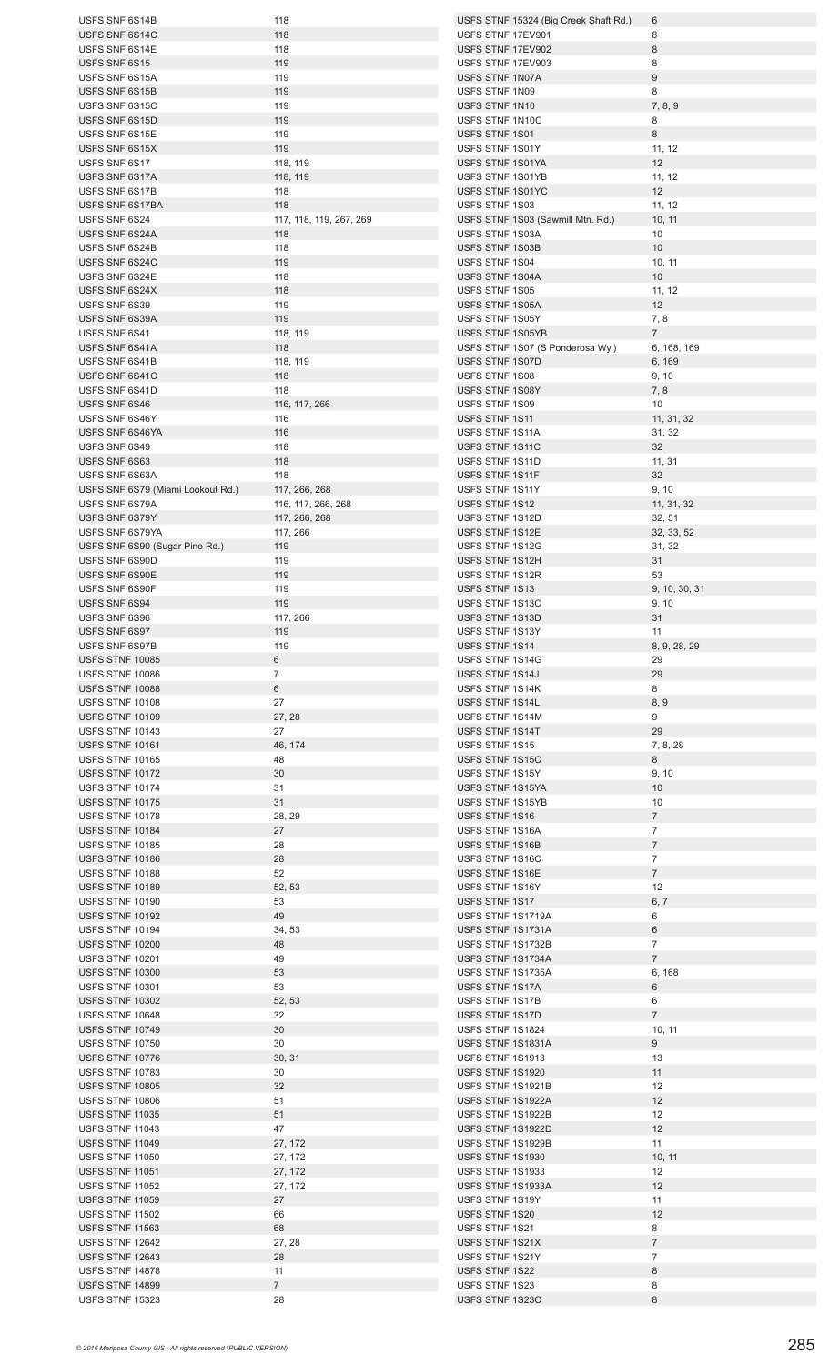| USFS SNF 6S14B                            | 118                     | USFS STNF 15324 (Big Creek Shaft Rd.) | 6               |
|-------------------------------------------|-------------------------|---------------------------------------|-----------------|
| USFS SNF 6S14C                            | 118                     | USFS STNF 17EV901                     | 8               |
| USFS SNF 6S14E                            | 118                     | USFS STNF 17EV902                     | 8               |
| USFS SNF 6S15                             | 119                     | USFS STNF 17EV903                     | 8               |
| USFS SNF 6S15A                            | 119                     | USFS STNF 1N07A                       | $\overline{9}$  |
| USFS SNF 6S15B                            | 119                     | USFS STNF 1N09                        | 8               |
| USFS SNF 6S15C                            | 119                     | USFS STNF 1N10                        | 7, 8, 9         |
|                                           |                         |                                       |                 |
| USFS SNF 6S15D                            | 119                     | USFS STNF 1N10C                       | 8               |
| USFS SNF 6S15E                            | 119                     | USFS STNF 1S01                        | 8               |
| USFS SNF 6S15X                            | 119                     | USFS STNF 1S01Y                       | 11, 12          |
| USFS SNF 6S17                             | 118, 119                | USFS STNF 1S01YA                      | 12              |
| USFS SNF 6S17A                            | 118, 119                | USFS STNF 1S01YB                      | 11, 12          |
| USFS SNF 6S17B                            | 118                     | USFS STNF 1S01YC                      | 12              |
| USFS SNF 6S17BA                           | 118                     | USFS STNF 1S03                        | 11, 12          |
| USFS SNF 6S24                             | 117, 118, 119, 267, 269 | USFS STNF 1S03 (Sawmill Mtn. Rd.)     | 10, 11          |
| USFS SNF 6S24A                            | 118                     | USFS STNF 1S03A                       | 10              |
| USFS SNF 6S24B                            | 118                     | USFS STNF 1S03B                       | 10              |
| USFS SNF 6S24C                            | 119                     | USFS STNF 1S04                        | 10, 11          |
| USFS SNF 6S24E                            | 118                     | USFS STNF 1S04A                       | 10              |
| USFS SNF 6S24X                            | 118                     | USFS STNF 1S05                        | 11, 12          |
| USFS SNF 6S39                             | 119                     | USFS STNF 1S05A                       | 12              |
| USFS SNF 6S39A                            | 119                     | USFS STNF 1S05Y                       | 7,8             |
| USFS SNF 6S41                             | 118, 119                | USFS STNF 1S05YB                      | $7^{\circ}$     |
| USFS SNF 6S41A                            | 118                     | USFS STNF 1S07 (S Ponderosa Wy.)      | 6, 168, 169     |
| USFS SNF 6S41B                            |                         | USFS STNF 1S07D                       |                 |
|                                           | 118, 119                |                                       | 6, 169          |
| USFS SNF 6S41C                            | 118                     | USFS STNF 1S08                        | 9, 10           |
| USFS SNF 6S41D                            | 118                     | USFS STNF 1S08Y                       | 7, 8            |
| USFS SNF 6S46                             | 116, 117, 266           | USFS STNF 1S09                        | 10              |
| USFS SNF 6S46Y                            | 116                     | USFS STNF 1S11                        | 11, 31, 32      |
| USFS SNF 6S46YA                           | 116                     | USFS STNF 1S11A                       | 31, 32          |
| USFS SNF 6S49                             | 118                     | USFS STNF 1S11C                       | 32              |
| USFS SNF 6S63                             | 118                     | USFS STNF 1S11D                       | 11, 31          |
| USFS SNF 6S63A                            | 118                     | USFS STNF 1S11F                       | 32              |
| USFS SNF 6S79 (Miami Lookout Rd.)         | 117, 266, 268           | USFS STNF 1S11Y                       | 9, 10           |
| USFS SNF 6S79A                            | 116, 117, 266, 268      | USFS STNF 1S12                        | 11, 31, 32      |
| USFS SNF 6S79Y                            | 117, 266, 268           | USFS STNF 1S12D                       | 32, 51          |
| USFS SNF 6S79YA                           | 117, 266                | USFS STNF 1S12E                       | 32, 33, 52      |
| USFS SNF 6S90 (Sugar Pine Rd.)            | 119                     | USFS STNF 1S12G                       | 31, 32          |
| USFS SNF 6S90D                            | 119                     | USFS STNF 1S12H                       | 31              |
| USFS SNF 6S90E                            | 119                     | USFS STNF 1S12R                       | 53              |
| USFS SNF 6S90F                            | 119                     | USFS STNF 1S13                        | 9, 10, 30, 31   |
|                                           | 119                     |                                       |                 |
| USFS SNF 6S94                             |                         | USFS STNF 1S13C                       | 9, 10           |
| USFS SNF 6S96                             | 117, 266                | USFS STNF 1S13D                       | 31              |
| USFS SNF 6S97                             | 119                     | USFS STNF 1S13Y                       | 11              |
| USFS SNF 6S97B                            | 119                     | USFS STNF 1S14                        | 8, 9, 28, 29    |
| <b>USFS STNF 10085</b>                    | 6                       | USFS STNF 1S14G                       | 29              |
| <b>USFS STNF 10086</b>                    | $7\overline{ }$         | USFS STNF 1S14J                       | 29              |
| <b>USFS STNF 10088</b>                    | 6                       | USFS STNF 1S14K                       | 8               |
| <b>USFS STNF 10108</b>                    | 27                      | USFS STNF 1S14L                       | 8, 9            |
| <b>USFS STNF 10109</b>                    | 27, 28                  | USFS STNF 1S14M                       | 9               |
| <b>USFS STNF 10143</b>                    | 27                      | USFS STNF 1S14T                       | 29              |
| <b>USFS STNF 10161</b>                    | 46, 174                 | USFS STNF 1S15                        | 7, 8, 28        |
| <b>USFS STNF 10165</b>                    | 48                      | USFS STNF 1S15C                       | 8               |
| <b>USFS STNF 10172</b>                    | 30                      | USFS STNF 1S15Y                       | 9, 10           |
| <b>USFS STNF 10174</b>                    | 31                      | USFS STNF 1S15YA                      | 10              |
| <b>USFS STNF 10175</b>                    | 31                      | USFS STNF 1S15YB                      | 10              |
| <b>USFS STNF 10178</b>                    | 28, 29                  | USFS STNF 1S16                        | $7\overline{ }$ |
| <b>USFS STNF 10184</b>                    | 27                      | USFS STNF 1S16A                       | $\overline{7}$  |
| <b>USFS STNF 10185</b>                    | 28                      | USFS STNF 1S16B                       | $\overline{7}$  |
| <b>USFS STNF 10186</b>                    | 28                      | USFS STNF 1S16C                       | $\overline{7}$  |
| <b>USFS STNF 10188</b>                    | 52                      | USFS STNF 1S16E                       | $7\overline{ }$ |
| <b>USFS STNF 10189</b>                    |                         | USFS STNF 1S16Y                       | 12              |
| <b>USFS STNF 10190</b>                    | 52, 53<br>53            | USFS STNF 1S17                        | 6, 7            |
| <b>USFS STNF 10192</b>                    | 49                      | USFS STNF 1S1719A                     | 6               |
| USFS STNF 10194                           |                         | USFS STNF 1S1731A                     | 6               |
|                                           | 34, 53                  |                                       | $\overline{7}$  |
| USFS STNF 10200                           | 48                      | USFS STNF 1S1732B                     |                 |
| <b>USFS STNF 10201</b>                    | 49                      | USFS STNF 1S1734A                     | $\overline{7}$  |
| <b>USFS STNF 10300</b>                    | 53                      | USFS STNF 1S1735A                     | 6, 168          |
| <b>USFS STNF 10301</b>                    | 53                      | USFS STNF 1S17A                       | $6\phantom{1}$  |
| <b>USFS STNF 10302</b>                    | 52, 53                  | USFS STNF 1S17B                       | 6               |
| USFS STNF 10648                           | 32                      | USFS STNF 1S17D                       | $\overline{7}$  |
| <b>USFS STNF 10749</b>                    | 30                      | USFS STNF 1S1824                      | 10, 11          |
| <b>USFS STNF 10750</b>                    |                         |                                       | 9               |
| USFS STNF 10776                           | 30                      | USFS STNF 1S1831A                     |                 |
| <b>USFS STNF 10783</b>                    | 30, 31                  | USFS STNF 1S1913                      | 13              |
|                                           | 30                      | USFS STNF 1S1920                      | 11              |
| <b>USFS STNF 10805</b>                    | 32                      | USFS STNF 1S1921B                     | 12              |
| <b>USFS STNF 10806</b>                    | 51                      | USFS STNF 1S1922A                     | 12              |
| <b>USFS STNF 11035</b>                    | 51                      | USFS STNF 1S1922B                     | 12              |
| USFS STNF 11043                           | 47                      | USFS STNF 1S1922D                     | 12              |
| USFS STNF 11049                           | 27, 172                 | USFS STNF 1S1929B                     | 11              |
| <b>USFS STNF 11050</b>                    | 27, 172                 | USFS STNF 1S1930                      | 10, 11          |
| USFS STNF 11051                           |                         | USFS STNF 1S1933                      | 12              |
| USFS STNF 11052                           | 27, 172                 | USFS STNF 1S1933A                     | 12              |
|                                           | 27, 172                 |                                       |                 |
| <b>USFS STNF 11059</b>                    | 27                      | USFS STNF 1S19Y                       | 11              |
| <b>USFS STNF 11502</b>                    | 66                      | USFS STNF 1S20                        | 12              |
| USFS STNF 11563                           | 68                      | USFS STNF 1S21                        | 8               |
| USFS STNF 12642                           | 27, 28                  | USFS STNF 1S21X                       | $\overline{7}$  |
| <b>USFS STNF 12643</b>                    | 28                      | USFS STNF 1S21Y                       | $\overline{7}$  |
| USFS STNF 14878                           | 11                      | USFS STNF 1S22                        | 8               |
| <b>USFS STNF 14899</b><br>USFS STNF 15323 | 7 <sup>7</sup><br>28    | USFS STNF 1S23<br>USFS STNF 1S23C     | 8<br>8          |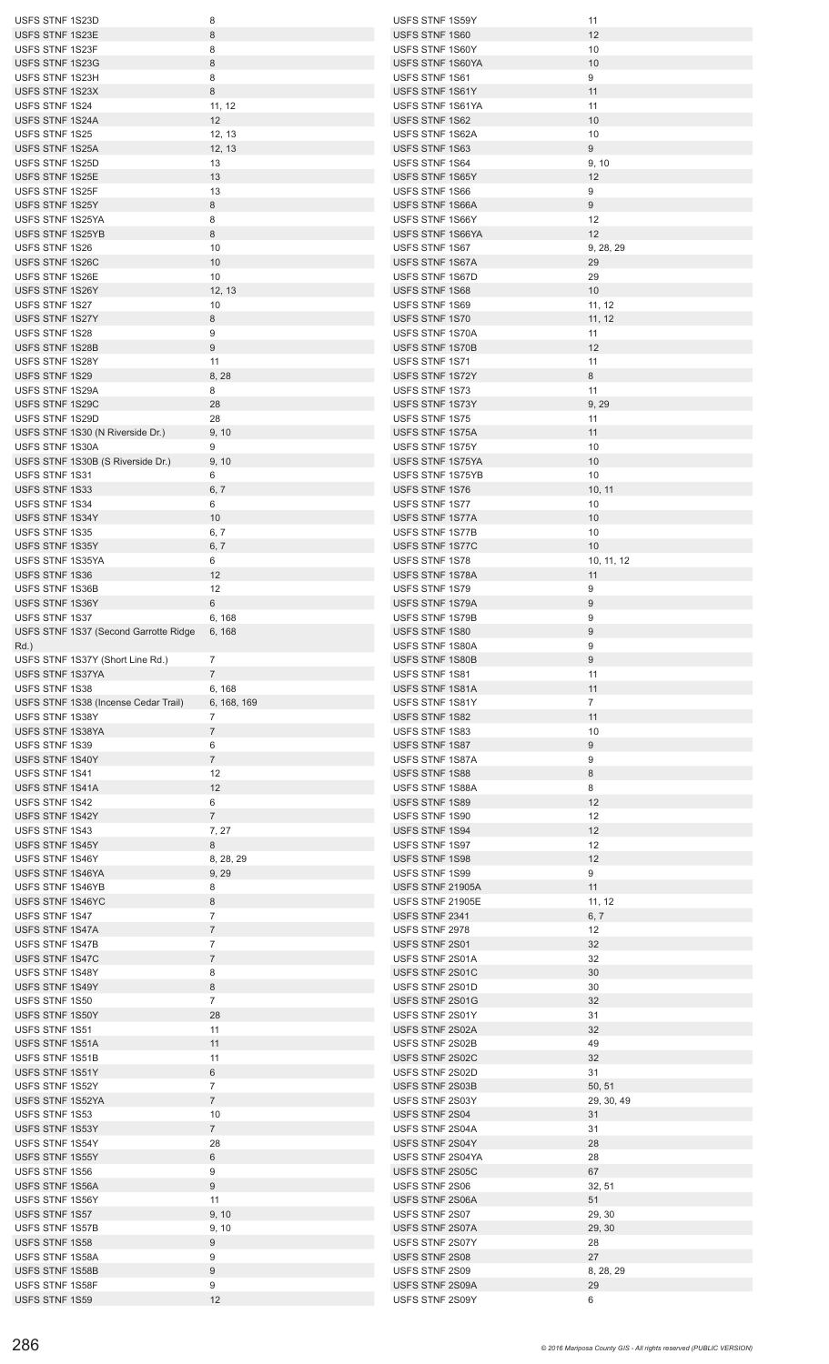| USFS STNF 1S23D                       | 8                | USFS STNF 1S59Y                    | 11               |
|---------------------------------------|------------------|------------------------------------|------------------|
| USFS STNF 1S23E                       | $\,8\,$          | USFS STNF 1S60                     | 12               |
| USFS STNF 1S23F                       | 8                | USFS STNF 1S60Y                    | 10               |
| USFS STNF 1S23G                       | $\bf 8$          | USFS STNF 1S60YA                   | 10               |
| USFS STNF 1S23H                       | 8                | USFS STNF 1S61                     | 9                |
| USFS STNF 1S23X                       | 8                | USFS STNF 1S61Y                    | 11               |
| USFS STNF 1S24                        | 11, 12           | USFS STNF 1S61YA                   | 11               |
| USFS STNF 1S24A                       | 12               | USFS STNF 1S62                     | 10               |
| USFS STNF 1S25                        |                  | USFS STNF 1S62A                    |                  |
|                                       | 12, 13           |                                    | 10               |
| USFS STNF 1S25A                       | 12, 13           | USFS STNF 1S63                     | 9                |
| USFS STNF 1S25D                       | 13               | USFS STNF 1S64                     | 9, 10            |
| USFS STNF 1S25E                       | 13               | USFS STNF 1S65Y                    | 12               |
| USFS STNF 1S25F                       | 13               | USFS STNF 1S66                     | 9                |
| USFS STNF 1S25Y                       | 8                | USFS STNF 1S66A                    | 9                |
| USFS STNF 1S25YA                      | 8                | USFS STNF 1S66Y                    | 12               |
| USFS STNF 1S25YB                      | 8                | USFS STNF 1S66YA                   | 12               |
| USFS STNF 1S26                        | 10               | USFS STNF 1S67                     | 9, 28, 29        |
| USFS STNF 1S26C                       | 10               | USFS STNF 1S67A                    | 29               |
| USFS STNF 1S26E                       | 10               | USFS STNF 1S67D                    | 29               |
| USFS STNF 1S26Y                       |                  | USFS STNF 1S68                     | 10               |
| USFS STNF 1S27                        | 12, 13           |                                    |                  |
|                                       | 10               | USFS STNF 1S69                     | 11, 12           |
| USFS STNF 1S27Y                       | 8                | USFS STNF 1S70                     | 11, 12           |
| USFS STNF 1S28                        | 9                | USFS STNF 1S70A                    | 11               |
| USFS STNF 1S28B                       | $9\,$            | USFS STNF 1S70B                    | 12               |
| USFS STNF 1S28Y                       | 11               | USFS STNF 1S71                     | 11               |
| USFS STNF 1S29                        | 8, 28            | USFS STNF 1S72Y                    | 8                |
| USFS STNF 1S29A                       | 8                | USFS STNF 1S73                     | 11               |
| USFS STNF 1S29C                       | 28               | USFS STNF 1S73Y                    | 9, 29            |
| USFS STNF 1S29D                       | 28               | USFS STNF 1S75                     | 11               |
| USFS STNF 1S30 (N Riverside Dr.)      | 9, 10            | USFS STNF 1S75A                    | 11               |
| USFS STNF 1S30A                       | 9                | USFS STNF 1S75Y                    | 10               |
|                                       |                  |                                    |                  |
| USFS STNF 1S30B (S Riverside Dr.)     | 9, 10            | USFS STNF 1S75YA                   | 10               |
| USFS STNF 1S31                        | 6                | USFS STNF 1S75YB                   | 10               |
| USFS STNF 1S33                        | 6, 7             | USFS STNF 1S76                     | 10, 11           |
| USFS STNF 1S34                        | 6                | USFS STNF 1S77                     | 10               |
| USFS STNF 1S34Y                       | 10               | USFS STNF 1S77A                    | 10               |
| USFS STNF 1S35                        | 6, 7             | USFS STNF 1S77B                    | 10               |
| USFS STNF 1S35Y                       | 6, 7             | USFS STNF 1S77C                    | 10               |
| USFS STNF 1S35YA                      | 6                | USFS STNF 1S78                     | 10, 11, 12       |
| USFS STNF 1S36                        | 12               | USFS STNF 1S78A                    | 11               |
| USFS STNF 1S36B                       | 12               | USFS STNF 1S79                     | 9                |
| USFS STNF 1S36Y                       | 6                | USFS STNF 1S79A                    | $\boldsymbol{9}$ |
|                                       |                  |                                    |                  |
| USFS STNF 1S37                        | 6, 168           | <b>USFS STNF 1S79B</b>             | 9                |
| USFS STNF 1S37 (Second Garrotte Ridge | 6, 168           | USFS STNF 1S80                     | 9                |
|                                       |                  |                                    |                  |
| $Rd.$ )                               |                  | USFS STNF 1S80A                    | 9                |
| USFS STNF 1S37Y (Short Line Rd.)      | $\overline{7}$   | USFS STNF 1S80B                    | $9\,$            |
| USFS STNF 1S37YA                      | $7^{\circ}$      | USFS STNF 1S81                     | 11               |
| USFS STNF 1S38                        | 6, 168           | USFS STNF 1S81A                    | 11               |
| USFS STNF 1S38 (Incense Cedar Trail)  | 6, 168, 169      | USFS STNF 1S81Y                    | $\overline{7}$   |
|                                       |                  |                                    |                  |
| USFS STNF 1S38Y                       | $\overline{7}$   | USFS STNF 1S82                     | 11               |
| USFS STNF 1S38YA                      | $\overline{7}$   | USFS STNF 1S83                     | 10               |
| USFS STNF 1S39                        | 6                | USFS STNF 1S87                     | $9\,$            |
| USFS STNF 1S40Y                       | $\overline{7}$   | USFS STNF 1S87A                    | 9                |
| USFS STNF 1S41                        | 12               | USFS STNF 1S88                     | $\bf 8$          |
| USFS STNF 1S41A                       | 12               | USFS STNF 1S88A                    | 8                |
| USFS STNF 1S42                        | 6                | USFS STNF 1S89                     | 12               |
| USFS STNF 1S42Y                       | $7\overline{ }$  | USFS STNF 1S90                     | 12               |
| USFS STNF 1S43                        | 7, 27            | USFS STNF 1S94                     | 12               |
| USFS STNF 1S45Y                       | 8                | USFS STNF 1S97                     | 12               |
| USFS STNF 1S46Y                       | 8, 28, 29        | USFS STNF 1S98                     | 12               |
| USFS STNF 1S46YA                      | 9, 29            | USFS STNF 1S99                     | 9                |
| USFS STNF 1S46YB                      | 8                | USFS STNF 21905A                   | 11               |
| USFS STNF 1S46YC                      | 8                | USFS STNF 21905E                   | 11, 12           |
| USFS STNF 1S47                        | $\overline{7}$   | USFS STNF 2341                     |                  |
|                                       |                  |                                    | 6, 7             |
| USFS STNF 1S47A                       | $\overline{7}$   | USFS STNF 2978                     | 12               |
| USFS STNF 1S47B                       | $\overline{7}$   | USFS STNF 2S01                     | 32               |
| USFS STNF 1S47C                       | $\overline{7}$   | USFS STNF 2S01A                    | 32               |
| USFS STNF 1S48Y                       | 8                | USFS STNF 2S01C                    | 30               |
| USFS STNF 1S49Y                       | $\bf 8$          | USFS STNF 2S01D                    | 30               |
| USFS STNF 1S50                        | $\overline{7}$   | USFS STNF 2S01G                    | 32               |
| USFS STNF 1S50Y                       | 28               | USFS STNF 2S01Y                    | 31               |
| USFS STNF 1S51                        | 11               | USFS STNF 2S02A                    | 32               |
| USFS STNF 1S51A                       | 11               | USFS STNF 2S02B                    | 49               |
| USFS STNF 1S51B                       | 11               | USFS STNF 2S02C                    | 32               |
| USFS STNF 1S51Y                       | 6                | USFS STNF 2S02D                    | 31               |
| USFS STNF 1S52Y                       | $\overline{7}$   | USFS STNF 2S03B                    | 50, 51           |
| USFS STNF 1S52YA                      | $\overline{7}$   | USFS STNF 2S03Y                    | 29, 30, 49       |
|                                       |                  |                                    |                  |
| USFS STNF 1S53                        | 10               | USFS STNF 2S04                     | 31               |
| USFS STNF 1S53Y                       | $\overline{7}$   | USFS STNF 2S04A                    | 31               |
| USFS STNF 1S54Y                       | 28               | USFS STNF 2S04Y                    | 28               |
| USFS STNF 1S55Y                       | 6                | USFS STNF 2S04YA                   | 28               |
| USFS STNF 1S56                        | 9                | USFS STNF 2S05C                    | 67               |
| USFS STNF 1S56A                       | $9\,$            | USFS STNF 2S06                     | 32, 51           |
| USFS STNF 1S56Y                       | 11               | USFS STNF 2S06A                    | 51               |
| USFS STNF 1S57                        | 9, 10            | USFS STNF 2S07                     | 29, 30           |
| USFS STNF 1S57B                       | 9, 10            | USFS STNF 2S07A                    | 29, 30           |
| USFS STNF 1S58                        | 9                | USFS STNF 2S07Y                    | 28               |
| USFS STNF 1S58A                       | 9                | USFS STNF 2S08                     | 27               |
| USFS STNF 1S58B                       | $\boldsymbol{9}$ | USFS STNF 2S09                     | 8, 28, 29        |
|                                       |                  |                                    |                  |
| USFS STNF 1S58F<br>USFS STNF 1S59     | 9<br>12          | USFS STNF 2S09A<br>USFS STNF 2S09Y | 29<br>6          |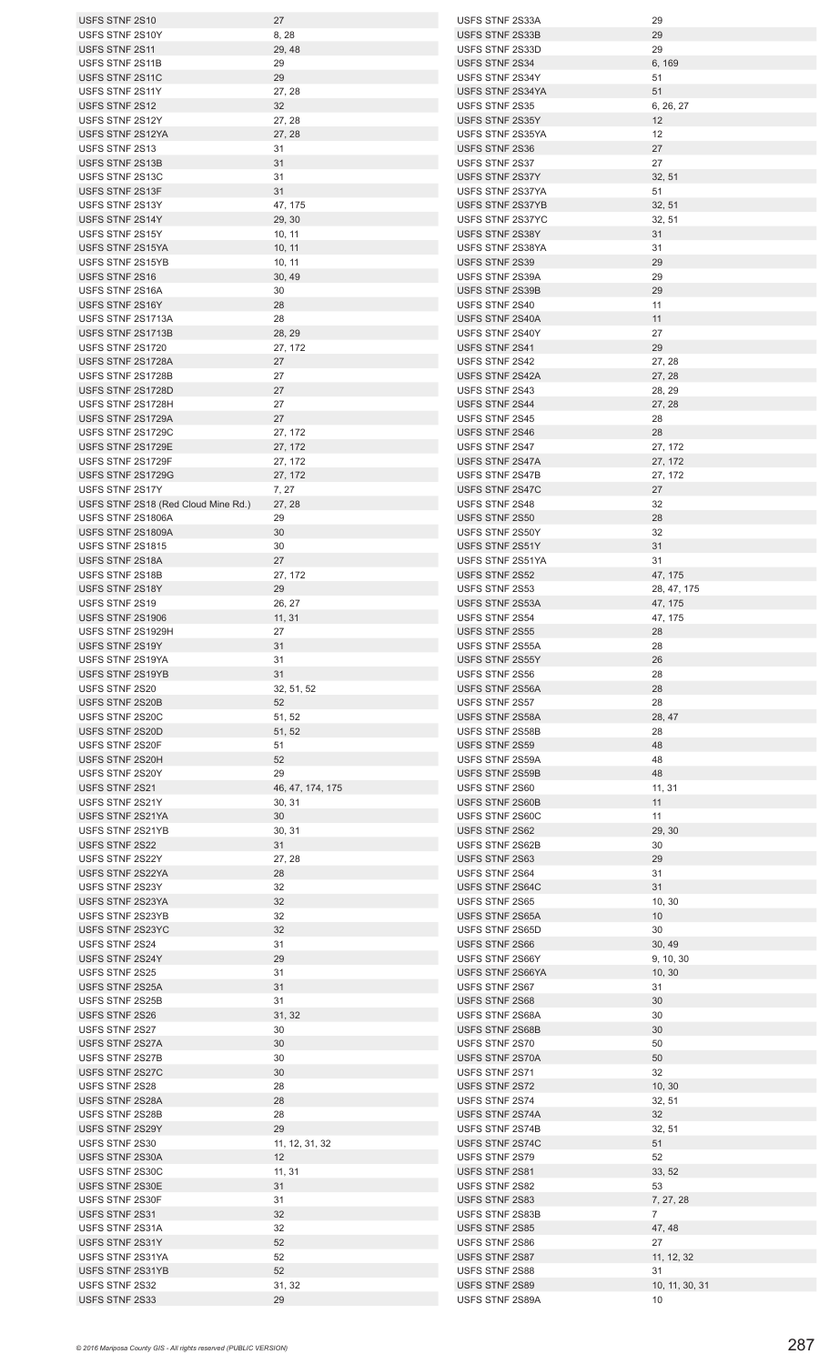| USFS STNF 2S10                      | 27               | USFS STNF 2S33A  | 29          |
|-------------------------------------|------------------|------------------|-------------|
| USFS STNF 2S10Y                     | 8, 28            | USFS STNF 2S33B  | 29          |
| USFS STNF 2S11                      | 29, 48           | USFS STNF 2S33D  | 29          |
| USFS STNF 2S11B                     | 29               | USFS STNF 2S34   |             |
|                                     |                  |                  | 6, 169      |
| USFS STNF 2S11C                     | 29               | USFS STNF 2S34Y  | 51          |
| USFS STNF 2S11Y                     | 27, 28           | USFS STNF 2S34YA | 51          |
| USFS STNF 2S12                      | 32               | USFS STNF 2S35   | 6, 26, 27   |
| USFS STNF 2S12Y                     | 27, 28           | USFS STNF 2S35Y  | 12          |
|                                     |                  |                  |             |
| USFS STNF 2S12YA                    | 27, 28           | USFS STNF 2S35YA | 12          |
| USFS STNF 2S13                      | 31               | USFS STNF 2S36   | 27          |
| USFS STNF 2S13B                     | 31               | USFS STNF 2S37   | 27          |
| USFS STNF 2S13C                     | 31               | USFS STNF 2S37Y  | 32, 51      |
|                                     |                  |                  |             |
| USFS STNF 2S13F                     | 31               | USFS STNF 2S37YA | 51          |
| USFS STNF 2S13Y                     | 47, 175          | USFS STNF 2S37YB | 32, 51      |
| USFS STNF 2S14Y                     | 29, 30           | USFS STNF 2S37YC | 32, 51      |
| USFS STNF 2S15Y                     | 10, 11           | USFS STNF 2S38Y  | 31          |
|                                     |                  |                  |             |
| USFS STNF 2S15YA                    | 10, 11           | USFS STNF 2S38YA | 31          |
| USFS STNF 2S15YB                    | 10, 11           | USFS STNF 2S39   | 29          |
| USFS STNF 2S16                      | 30, 49           | USFS STNF 2S39A  | 29          |
| USFS STNF 2S16A                     | 30               | USFS STNF 2S39B  | 29          |
| USFS STNF 2S16Y                     |                  |                  |             |
|                                     | 28               | USFS STNF 2S40   | 11          |
| USFS STNF 2S1713A                   | 28               | USFS STNF 2S40A  | 11          |
| USFS STNF 2S1713B                   | 28, 29           | USFS STNF 2S40Y  | 27          |
| USFS STNF 2S1720                    | 27, 172          | USFS STNF 2S41   | 29          |
| USFS STNF 2S1728A                   | 27               | USFS STNF 2S42   | 27, 28      |
|                                     |                  |                  |             |
| USFS STNF 2S1728B                   | 27               | USFS STNF 2S42A  | 27, 28      |
| USFS STNF 2S1728D                   | 27               | USFS STNF 2S43   | 28, 29      |
| USFS STNF 2S1728H                   | 27               | USFS STNF 2S44   | 27, 28      |
| USFS STNF 2S1729A                   | 27               | USFS STNF 2S45   |             |
|                                     |                  |                  | 28          |
| USFS STNF 2S1729C                   | 27, 172          | USFS STNF 2S46   | 28          |
| USFS STNF 2S1729E                   | 27, 172          | USFS STNF 2S47   | 27, 172     |
| USFS STNF 2S1729F                   | 27, 172          | USFS STNF 2S47A  | 27, 172     |
| USFS STNF 2S1729G                   | 27, 172          | USFS STNF 2S47B  | 27, 172     |
|                                     |                  |                  |             |
| USFS STNF 2S17Y                     | 7, 27            | USFS STNF 2S47C  | 27          |
| USFS STNF 2S18 (Red Cloud Mine Rd.) | 27, 28           | USFS STNF 2S48   | 32          |
| USFS STNF 2S1806A                   | 29               | USFS STNF 2S50   | 28          |
| USFS STNF 2S1809A                   | 30               | USFS STNF 2S50Y  | 32          |
|                                     |                  |                  |             |
| <b>USFS STNF 2S1815</b>             | 30               | USFS STNF 2S51Y  | 31          |
| USFS STNF 2S18A                     | 27               | USFS STNF 2S51YA | 31          |
| USFS STNF 2S18B                     | 27, 172          | USFS STNF 2S52   | 47, 175     |
| USFS STNF 2S18Y                     | 29               | USFS STNF 2S53   | 28, 47, 175 |
|                                     |                  |                  |             |
| USFS STNF 2S19                      | 26, 27           | USFS STNF 2S53A  | 47, 175     |
| USFS STNF 2S1906                    | 11, 31           | USFS STNF 2S54   | 47, 175     |
| USFS STNF 2S1929H                   | 27               | USFS STNF 2S55   | 28          |
| USFS STNF 2S19Y                     | 31               | USFS STNF 2S55A  | 28          |
|                                     |                  |                  |             |
| USFS STNF 2S19YA                    | 31               | USFS STNF 2S55Y  | 26          |
| USFS STNF 2S19YB                    | 31               | USFS STNF 2S56   | 28          |
| USFS STNF 2S20                      | 32, 51, 52       | USFS STNF 2S56A  | 28          |
| USFS STNF 2S20B                     | 52               | USFS STNF 2S57   | 28          |
|                                     |                  |                  |             |
| USFS STNF 2S20C                     | 51, 52           | USFS STNF 2S58A  | 28, 47      |
| USFS STNF 2S20D                     | 51, 52           | USFS STNF 2S58B  | 28          |
| USFS STNF 2S20F                     | 51               | USFS STNF 2S59   | 48          |
| USFS STNF 2S20H                     | 52               | USFS STNF 2S59A  | 48          |
|                                     |                  |                  |             |
| USFS STNF 2S20Y                     | 29               | USFS STNF 2S59B  | 48          |
| USFS STNF 2S21                      | 46, 47, 174, 175 | USFS STNF 2S60   | 11, 31      |
| USFS STNF 2S21Y                     | 30, 31           | USFS STNF 2S60B  | 11          |
| USFS STNF 2S21YA                    | 30               | USFS STNF 2S60C  | 11          |
|                                     |                  |                  |             |
| USFS STNF 2S21YB                    | 30, 31           | USFS STNF 2S62   | 29, 30      |
| USFS STNF 2S22                      | 31               | USFS STNF 2S62B  | 30          |
| USFS STNF 2S22Y                     | 27, 28           | USFS STNF 2S63   | 29          |
| USFS STNF 2S22YA                    | 28               | USFS STNF 2S64   | 31          |
|                                     |                  |                  |             |
| USFS STNF 2S23Y                     | 32               | USFS STNF 2S64C  | 31          |
| USFS STNF 2S23YA                    | 32               | USFS STNF 2S65   | 10, 30      |
| USFS STNF 2S23YB                    | 32               | USFS STNF 2S65A  | 10          |
| USFS STNF 2S23YC                    | 32               | USFS STNF 2S65D  | 30          |
|                                     |                  |                  |             |
| USFS STNF 2S24                      | 31               | USFS STNF 2S66   | 30, 49      |
| USFS STNF 2S24Y                     | 29               | USFS STNF 2S66Y  | 9, 10, 30   |
| USFS STNF 2S25                      | 31               | USFS STNF 2S66YA | 10, 30      |
| USFS STNF 2S25A                     | 31               | USFS STNF 2S67   | 31          |
|                                     |                  |                  |             |
| USFS STNF 2S25B                     | 31               | USFS STNF 2S68   | 30          |
| USFS STNF 2S26                      | 31, 32           | USFS STNF 2S68A  | 30          |
| USFS STNF 2S27                      | 30               | USFS STNF 2S68B  | 30          |
| USFS STNF 2S27A                     | 30               | USFS STNF 2S70   | 50          |
|                                     |                  |                  |             |
| USFS STNF 2S27B                     | 30               | USFS STNF 2S70A  | 50          |
| USFS STNF 2S27C                     | 30               | USFS STNF 2S71   | 32          |
| USFS STNF 2S28                      | 28               | USFS STNF 2S72   | 10, 30      |
| USFS STNF 2S28A                     | 28               | USFS STNF 2S74   | 32, 51      |
|                                     |                  |                  |             |
| USFS STNF 2S28B                     | 28               | USFS STNF 2S74A  | 32          |
| USFS STNF 2S29Y                     | 29               | USFS STNF 2S74B  | 32, 51      |
| USFS STNF 2S30                      | 11, 12, 31, 32   | USFS STNF 2S74C  | 51          |
| USFS STNF 2S30A                     | 12               | USFS STNF 2S79   | 52          |
|                                     |                  |                  |             |
|                                     |                  |                  | 33, 52      |
| USFS STNF 2S30C                     | 11, 31           | USFS STNF 2S81   |             |
| USFS STNF 2S30E                     | 31               | USFS STNF 2S82   | 53          |
| USFS STNF 2S30F                     |                  | USFS STNF 2S83   |             |
|                                     | 31               |                  | 7, 27, 28   |
| USFS STNF 2S31                      | 32               | USFS STNF 2S83B  | 7           |
| USFS STNF 2S31A                     | 32               | USFS STNF 2S85   | 47, 48      |
| USFS STNF 2S31Y                     | 52               | USFS STNF 2S86   | 27          |
| USFS STNF 2S31YA                    |                  |                  |             |
|                                     | 52               | USFS STNF 2S87   | 11, 12, 32  |
| USFS STNF 2S31YB                    | 52               | USFS STNF 2S88   | 31          |
| USFS STNF 2S32                      | 31, 32           | USFS STNF 2S89   | 10, 11, 30, |
| USFS STNF 2S33                      | 29               | USFS STNF 2S89A  | 10          |

 $\frac{29}{3}$ 6, 169<br>51  $6, 26, 27$ <br> $12$  $32, 51$ <br> $51$  $32, 51$  $\frac{32}{31}$  $27, 28$  $27, 28$ 28, 29<br>27, 28 27, 28<br>28 27, 172<br>27, 172  $27, 172$ 27, 172  $47, 175$ 47, 175  $28, 47$  $11, 31$  $29, 30$  $\frac{10}{10}$  $30, 49$  $9, 10, 30$ <br> $10, 30$  $10, 30$ <br> $31$  $10, 30$  $\frac{32}{32}$  $32, 51$ <br> $51$  $33, 52$  $\frac{7}{7}$ , 27, 28  $\frac{47}{27}$  $11, 12, 32$  $10, 11, 30, 31$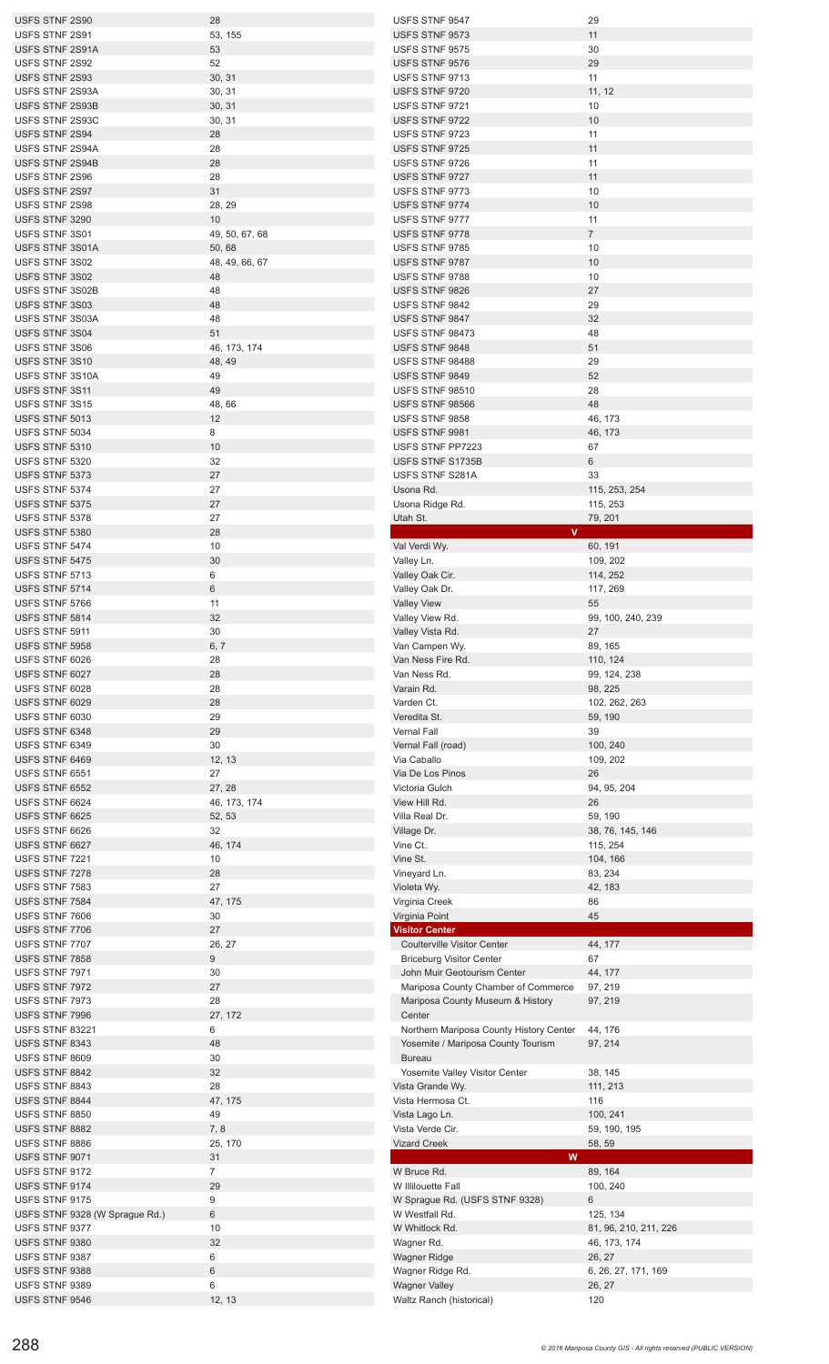| USFS STNF 2S90                   | 28                     | USFS STNF 9547                             | 29                                    |
|----------------------------------|------------------------|--------------------------------------------|---------------------------------------|
| USFS STNF 2S91                   | 53, 155                | USFS STNF 9573                             | 11                                    |
| USFS STNF 2S91A                  | 53                     | USFS STNF 9575                             | 30                                    |
| USFS STNF 2S92                   | 52                     | USFS STNF 9576                             | 29                                    |
| USFS STNF 2S93                   | 30, 31                 | USFS STNF 9713                             | 11                                    |
| USFS STNF 2S93A                  | 30, 31                 | USFS STNF 9720                             | 11, 12                                |
| USFS STNF 2S93B                  | 30, 31                 | USFS STNF 9721                             | 10                                    |
| USFS STNF 2S93C                  | 30, 31                 | USFS STNF 9722                             | 10                                    |
| USFS STNF 2S94                   | 28                     | USFS STNF 9723                             | 11                                    |
| USFS STNF 2S94A                  | 28                     | USFS STNF 9725                             | 11                                    |
| USFS STNF 2S94B                  | 28                     | USFS STNF 9726                             | 11                                    |
| USFS STNF 2S96                   | 28                     | USFS STNF 9727                             | 11                                    |
| USFS STNF 2S97                   | 31                     | USFS STNF 9773                             | 10                                    |
| USFS STNF 2S98                   | 28, 29<br>10           | USFS STNF 9774                             | 10                                    |
| USFS STNF 3290<br>USFS STNF 3S01 | 49, 50, 67, 68         | USFS STNF 9777<br>USFS STNF 9778           | 11<br>$\overline{7}$                  |
| USFS STNF 3S01A                  | 50,68                  | USFS STNF 9785                             | 10                                    |
| USFS STNF 3S02                   | 48, 49, 66, 67         | USFS STNF 9787                             | 10                                    |
| USFS STNF 3S02                   | 48                     | USFS STNF 9788                             | 10                                    |
| USFS STNF 3S02B                  | 48                     | USFS STNF 9826                             | 27                                    |
| USFS STNF 3S03                   | 48                     | USFS STNF 9842                             | 29                                    |
| USFS STNF 3S03A                  | 48                     | USFS STNF 9847                             | 32                                    |
| USFS STNF 3S04                   | 51                     | <b>USFS STNF 98473</b>                     | 48                                    |
| USFS STNF 3S06                   | 46, 173, 174           | USFS STNF 9848                             | 51                                    |
| USFS STNF 3S10                   | 48, 49                 | USFS STNF 98488                            | 29                                    |
| USFS STNF 3S10A                  | 49                     | USFS STNF 9849                             | 52                                    |
| USFS STNF 3S11                   | 49                     | <b>USFS STNF 98510</b>                     | 28                                    |
| USFS STNF 3S15                   | 48, 66                 | <b>USFS STNF 98566</b>                     | 48                                    |
| USFS STNF 5013                   | 12                     | USFS STNF 9858                             | 46, 173                               |
| USFS STNF 5034                   | 8                      | USFS STNF 9981                             | 46, 173                               |
| USFS STNF 5310                   | 10                     | USFS STNF PP7223                           | 67                                    |
| USFS STNF 5320                   | 32                     | USFS STNF S1735B                           | 6                                     |
| USFS STNF 5373                   | 27<br>27               | USFS STNF S281A                            | 33                                    |
| USFS STNF 5374<br>USFS STNF 5375 | 27                     | Usona Rd.<br>Usona Ridge Rd.               | 115, 253, 254<br>115, 253             |
| USFS STNF 5378                   | 27                     | Utah St.                                   | 79, 201                               |
| USFS STNF 5380                   | 28                     | v.                                         |                                       |
| USFS STNF 5474                   | 10                     | Val Verdi Wy.                              | 60, 191                               |
| USFS STNF 5475                   | 30                     | Valley Ln.                                 | 109, 202                              |
| USFS STNF 5713                   | 6                      | Valley Oak Cir.                            | 114, 252                              |
| USFS STNF 5714                   | 6                      | Valley Oak Dr.                             | 117, 269                              |
| USFS STNF 5766                   | 11                     | <b>Valley View</b>                         | 55                                    |
| USFS STNF 5814                   | 32                     | Valley View Rd.                            | 99, 100, 240, 239                     |
| USFS STNF 5911                   | 30                     | Valley Vista Rd.                           | 27                                    |
| USFS STNF 5958                   | 6, 7                   | Van Campen Wy.                             | 89, 165                               |
| USFS STNF 6026                   | 28                     | Van Ness Fire Rd.                          | 110, 124                              |
| USFS STNF 6027                   | 28                     | Van Ness Rd.                               | 99, 124, 238                          |
|                                  |                        |                                            |                                       |
| USFS STNF 6028                   | 28                     | Varain Rd.                                 | 98, 225                               |
| USFS STNF 6029                   | 28                     | Varden Ct.                                 | 102, 262, 263                         |
| USFS STNF 6030                   | 29                     | Veredita St.                               | 59, 190                               |
| USFS STNF 6348                   | 29                     | Vernal Fall                                | 39                                    |
| USFS STNF 6349                   | 30                     | Vernal Fall (road)                         | 100, 240                              |
| USFS STNF 6469                   | 12, 13                 | Via Caballo                                | 109, 202                              |
| USFS STNF 6551                   | 27                     | Via De Los Pinos                           | 26                                    |
| USFS STNF 6552                   | 27, 28                 | Victoria Gulch<br>View Hill Rd.            | 94, 95, 204                           |
| USFS STNF 6624<br>USFS STNF 6625 | 46, 173, 174<br>52, 53 | Villa Real Dr.                             | 26<br>59, 190                         |
| USFS STNF 6626                   | 32                     | Village Dr.                                | 38, 76, 145, 146                      |
| USFS STNF 6627                   | 46, 174                | Vine Ct.                                   | 115, 254                              |
| USFS STNF 7221                   | 10                     | Vine St.                                   | 104, 166                              |
| USFS STNF 7278                   | 28                     | Vineyard Ln.                               | 83, 234                               |
| USFS STNF 7583                   | 27                     | Violeta Wy.                                | 42, 183                               |
| USFS STNF 7584                   | 47, 175                | Virginia Creek                             | 86                                    |
| USFS STNF 7606                   | 30                     | Virginia Point                             | 45                                    |
| USFS STNF 7706                   | 27                     | Visitor Center                             |                                       |
| USFS STNF 7707                   | 26, 27                 | <b>Coulterville Visitor Center</b>         | 44, 177                               |
| USFS STNF 7858                   | 9                      | <b>Briceburg Visitor Center</b>            | 67                                    |
| USFS STNF 7971                   | 30                     | John Muir Geotourism Center                | 44, 177                               |
| USFS STNF 7972                   | 27                     | Mariposa County Chamber of Commerce        | 97, 219                               |
| USFS STNF 7973<br>USFS STNF 7996 | 28<br>27, 172          | Mariposa County Museum & History<br>Center | 97, 219                               |
| USFS STNF 83221                  | 6                      | Northern Mariposa County History Center    | 44, 176                               |
| USFS STNF 8343                   | 48                     | Yosemite / Mariposa County Tourism         | 97, 214                               |
| USFS STNF 8609                   | 30                     | <b>Bureau</b>                              |                                       |
| USFS STNF 8842                   | 32                     | Yosemite Valley Visitor Center             | 38, 145                               |
| USFS STNF 8843                   | 28                     | Vista Grande Wy.                           | 111, 213                              |
| USFS STNF 8844                   | 47, 175                | Vista Hermosa Ct.                          | 116                                   |
| USFS STNF 8850                   | 49                     | Vista Lago Ln.                             | 100, 241                              |
| USFS STNF 8882                   | 7,8                    | Vista Verde Cir.                           | 59, 190, 195                          |
| USFS STNF 8886                   | 25, 170                | <b>Vizard Creek</b>                        | 58, 59                                |
| USFS STNF 9071                   | 31                     | W                                          |                                       |
| USFS STNF 9172                   | 7                      | W Bruce Rd.                                | 89, 164                               |
| USFS STNF 9174                   | 29                     | W Illilouette Fall                         | 100, 240                              |
| USFS STNF 9175                   | 9                      | W Sprague Rd. (USFS STNF 9328)             | 6                                     |
| USFS STNF 9328 (W Sprague Rd.)   | 6                      | W Westfall Rd.                             | 125, 134                              |
| USFS STNF 9377<br>USFS STNF 9380 | $10\,$<br>32           | W Whitlock Rd.<br>Wagner Rd.               | 81, 96, 210, 211, 226<br>46, 173, 174 |
| USFS STNF 9387                   | 6                      | <b>Wagner Ridge</b>                        | 26, 27                                |
| USFS STNF 9388<br>USFS STNF 9389 | 6                      | Wagner Ridge Rd.                           | 6, 26, 27, 171, 169                   |

USFS STNF 9546 12, 13 Waltz Ranch (historical) 120